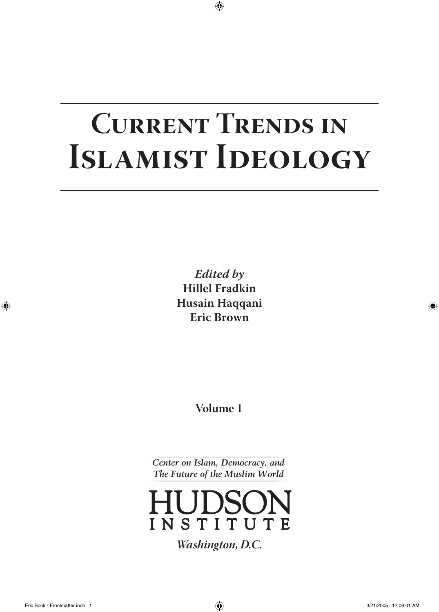# **CURRENT TRENDS IN ISLAMIST IDEOLOGY**

 $\bigoplus$ 

*Edited by* **Hillel Fradkin Husain Haqqani Eric Brown**

**Volume 1**

*Center on Islam, Democracy, and The Future of the Muslim World*



*Washington, D.C.*

⊕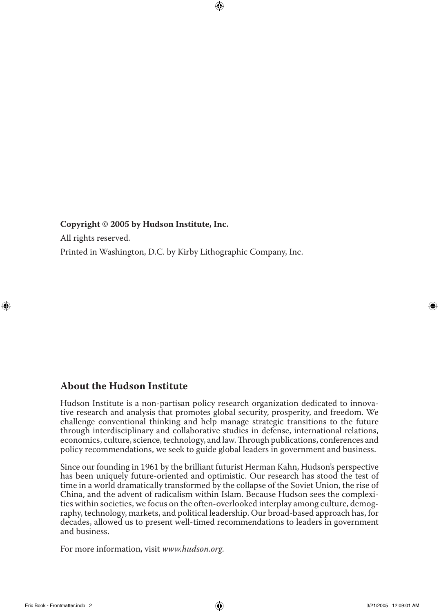#### **Copyright © 2005 by Hudson Institute, Inc.**

All rights reserved.

⊕

Printed in Washington, D.C. by Kirby Lithographic Company, Inc.

#### **About the Hudson Institute**

Hudson Institute is a non-partisan policy research organization dedicated to innovative research and analysis that promotes global security, prosperity, and freedom. We challenge conventional thinking and help manage strategic transitions to the future through interdisciplinary and collaborative studies in defense, international relations, economics, culture, science, technology, and law. Through publications, conferences and policy recommendations, we seek to guide global leaders in government and business.

⊕

Since our founding in 1961 by the brilliant futurist Herman Kahn, Hudson's perspective has been uniquely future-oriented and optimistic. Our research has stood the test of time in a world dramatically transformed by the collapse of the Soviet Union, the rise of China, and the advent of radicalism within Islam. Because Hudson sees the complexities within societies, we focus on the often-overlooked interplay among culture, demography, technology, markets, and political leadership. Our broad-based approach has, for decades, allowed us to present well-timed recommendations to leaders in government and business.

For more information, visit *www.hudson.org*.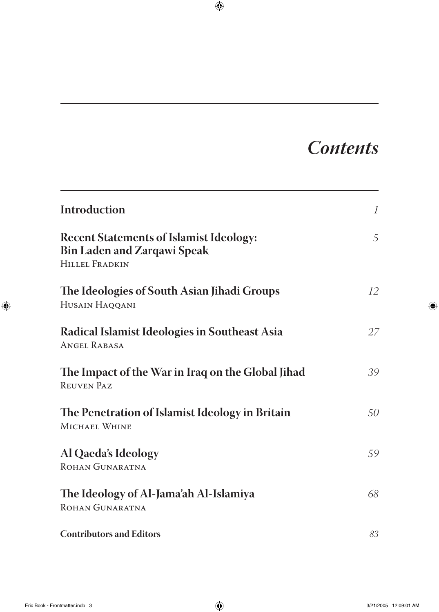## *Contents*

| <b>Introduction</b>                                                                                           | $\mathcal{I}$ |
|---------------------------------------------------------------------------------------------------------------|---------------|
| <b>Recent Statements of Islamist Ideology:</b><br><b>Bin Laden and Zarqawi Speak</b><br><b>HILLEL FRADKIN</b> | 5             |
| The Ideologies of South Asian Jihadi Groups<br>HUSAIN HAQQANI                                                 | 12            |
| Radical Islamist Ideologies in Southeast Asia<br><b>ANGEL RABASA</b>                                          | 27            |
| The Impact of the War in Iraq on the Global Jihad<br><b>REUVEN PAZ</b>                                        | 39            |
| The Penetration of Islamist Ideology in Britain<br>MICHAEL WHINE                                              | 50            |
| Al Qaeda's Ideology<br>ROHAN GUNARATNA                                                                        | 59            |
| The Ideology of Al-Jama'ah Al-Islamiya<br>ROHAN GUNARATNA                                                     | 68            |
| <b>Contributors and Editors</b>                                                                               | 83            |

 $\bigoplus$ 

 $\bigoplus$ 

 $\bigoplus$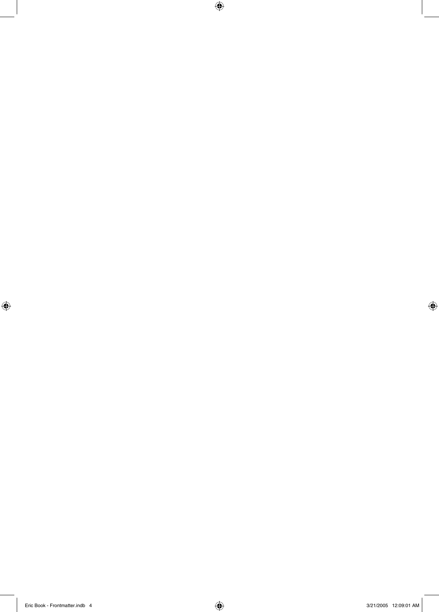

 $\bigoplus$ 

 $\bigoplus$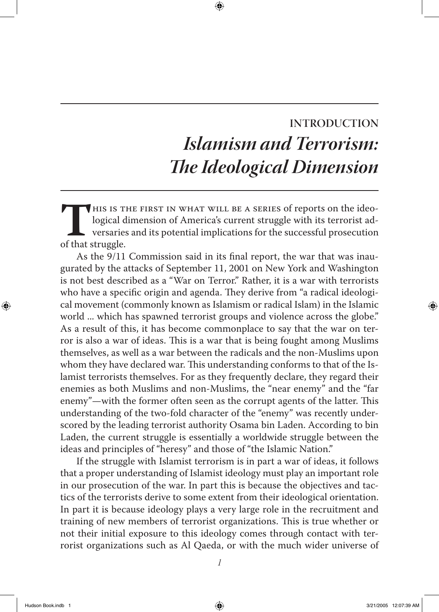## **INTRODUCTION** *Islamism and Terrorism: The Ideological Dimension*

THIS IS THE FIRST IN WHAT WILL BE A SERIES of reports on the ideo-<br>logical dimension of America's current struggle with its terrorist ad-<br>versaries and its potential implications for the successful prosecution<br>of that stru logical dimension of America's current struggle with its terrorist adversaries and its potential implications for the successful prosecution of that struggle.

⊕

As the 9/11 Commission said in its final report, the war that was inaugurated by the attacks of September 11, 2001 on New York and Washington is not best described as a "War on Terror." Rather, it is a war with terrorists who have a specific origin and agenda. They derive from "a radical ideological movement (commonly known as Islamism or radical Islam) in the Islamic world ... which has spawned terrorist groups and violence across the globe." As a result of this, it has become commonplace to say that the war on terror is also a war of ideas. This is a war that is being fought among Muslims themselves, as well as a war between the radicals and the non-Muslims upon whom they have declared war. This understanding conforms to that of the Islamist terrorists themselves. For as they frequently declare, they regard their enemies as both Muslims and non-Muslims, the "near enemy" and the "far enemy"—with the former often seen as the corrupt agents of the latter. This understanding of the two-fold character of the "enemy" was recently underscored by the leading terrorist authority Osama bin Laden. According to bin Laden, the current struggle is essentially a worldwide struggle between the ideas and principles of "heresy" and those of "the Islamic Nation."

If the struggle with Islamist terrorism is in part a war of ideas, it follows that a proper understanding of Islamist ideology must play an important role in our prosecution of the war. In part this is because the objectives and tactics of the terrorists derive to some extent from their ideological orientation. In part it is because ideology plays a very large role in the recruitment and training of new members of terrorist organizations. This is true whether or not their initial exposure to this ideology comes through contact with terrorist organizations such as Al Qaeda, or with the much wider universe of

⊕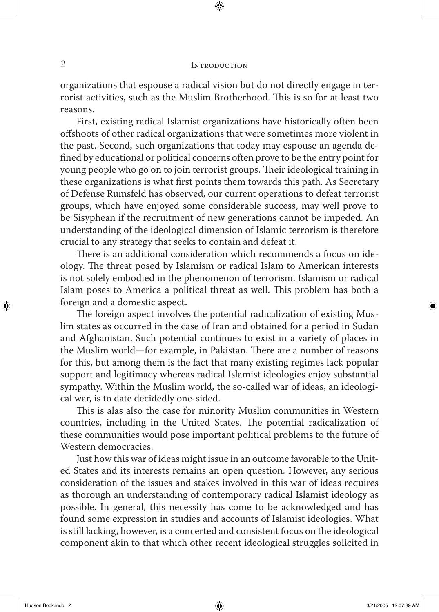#### *2* INTRODUCTION

⊕

organizations that espouse a radical vision but do not directly engage in terrorist activities, such as the Muslim Brotherhood. This is so for at least two reasons.

First, existing radical Islamist organizations have historically often been offshoots of other radical organizations that were sometimes more violent in the past. Second, such organizations that today may espouse an agenda defined by educational or political concerns often prove to be the entry point for young people who go on to join terrorist groups. Their ideological training in these organizations is what first points them towards this path. As Secretary of Defense Rumsfeld has observed, our current operations to defeat terrorist groups, which have enjoyed some considerable success, may well prove to be Sisyphean if the recruitment of new generations cannot be impeded. An understanding of the ideological dimension of Islamic terrorism is therefore crucial to any strategy that seeks to contain and defeat it.

There is an additional consideration which recommends a focus on ideology. The threat posed by Islamism or radical Islam to American interests is not solely embodied in the phenomenon of terrorism. Islamism or radical Islam poses to America a political threat as well. This problem has both a foreign and a domestic aspect.

The foreign aspect involves the potential radicalization of existing Muslim states as occurred in the case of Iran and obtained for a period in Sudan and Afghanistan. Such potential continues to exist in a variety of places in the Muslim world—for example, in Pakistan. There are a number of reasons for this, but among them is the fact that many existing regimes lack popular support and legitimacy whereas radical Islamist ideologies enjoy substantial sympathy. Within the Muslim world, the so-called war of ideas, an ideological war, is to date decidedly one-sided.

This is alas also the case for minority Muslim communities in Western countries, including in the United States. The potential radicalization of these communities would pose important political problems to the future of Western democracies.

Just how this war of ideas might issue in an outcome favorable to the United States and its interests remains an open question. However, any serious consideration of the issues and stakes involved in this war of ideas requires as thorough an understanding of contemporary radical Islamist ideology as possible. In general, this necessity has come to be acknowledged and has found some expression in studies and accounts of Islamist ideologies. What is still lacking, however, is a concerted and consistent focus on the ideological component akin to that which other recent ideological struggles solicited in

⊕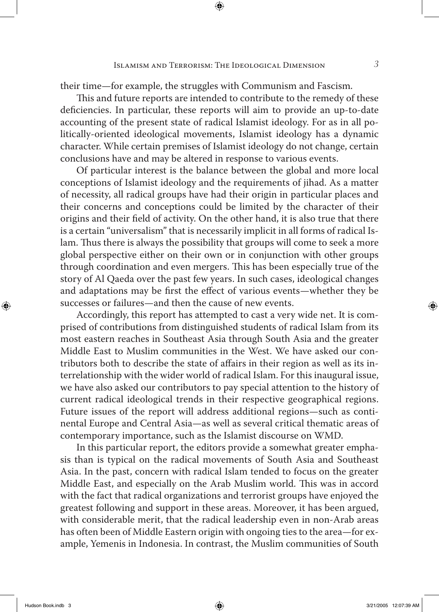⊕

their time—for example, the struggles with Communism and Fascism.

This and future reports are intended to contribute to the remedy of these deficiencies. In particular, these reports will aim to provide an up-to-date accounting of the present state of radical Islamist ideology. For as in all politically-oriented ideological movements, Islamist ideology has a dynamic character. While certain premises of Islamist ideology do not change, certain conclusions have and may be altered in response to various events.

Of particular interest is the balance between the global and more local conceptions of Islamist ideology and the requirements of jihad. As a matter of necessity, all radical groups have had their origin in particular places and their concerns and conceptions could be limited by the character of their origins and their field of activity. On the other hand, it is also true that there is a certain "universalism" that is necessarily implicit in all forms of radical Islam. Thus there is always the possibility that groups will come to seek a more global perspective either on their own or in conjunction with other groups through coordination and even mergers. This has been especially true of the story of Al Qaeda over the past few years. In such cases, ideological changes and adaptations may be first the effect of various events—whether they be successes or failures—and then the cause of new events.

Accordingly, this report has attempted to cast a very wide net. It is comprised of contributions from distinguished students of radical Islam from its most eastern reaches in Southeast Asia through South Asia and the greater Middle East to Muslim communities in the West. We have asked our contributors both to describe the state of affairs in their region as well as its interrelationship with the wider world of radical Islam. For this inaugural issue, we have also asked our contributors to pay special attention to the history of current radical ideological trends in their respective geographical regions. Future issues of the report will address additional regions—such as continental Europe and Central Asia—as well as several critical thematic areas of contemporary importance, such as the Islamist discourse on WMD.

In this particular report, the editors provide a somewhat greater emphasis than is typical on the radical movements of South Asia and Southeast Asia. In the past, concern with radical Islam tended to focus on the greater Middle East, and especially on the Arab Muslim world. This was in accord with the fact that radical organizations and terrorist groups have enjoyed the greatest following and support in these areas. Moreover, it has been argued, with considerable merit, that the radical leadership even in non-Arab areas has often been of Middle Eastern origin with ongoing ties to the area—for example, Yemenis in Indonesia. In contrast, the Muslim communities of South

⊕

Hudson Book.indb 3 3/21/2005 12:07:39 AM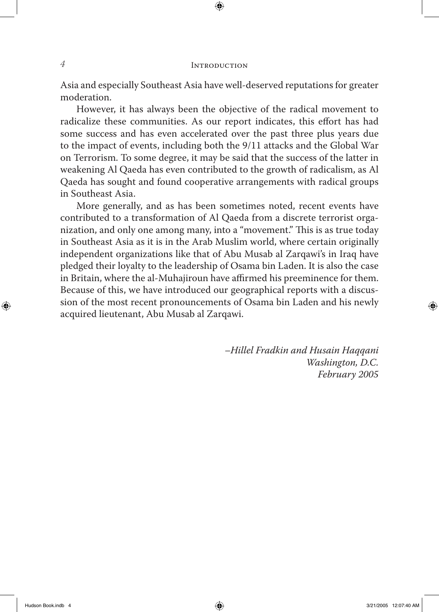#### *4* INTRODUCTION

⊕

Asia and especially Southeast Asia have well-deserved reputations for greater moderation.

However, it has always been the objective of the radical movement to radicalize these communities. As our report indicates, this effort has had some success and has even accelerated over the past three plus years due to the impact of events, including both the 9/11 attacks and the Global War on Terrorism. To some degree, it may be said that the success of the latter in weakening Al Qaeda has even contributed to the growth of radicalism, as Al Qaeda has sought and found cooperative arrangements with radical groups in Southeast Asia.

More generally, and as has been sometimes noted, recent events have contributed to a transformation of Al Qaeda from a discrete terrorist organization, and only one among many, into a "movement." This is as true today in Southeast Asia as it is in the Arab Muslim world, where certain originally independent organizations like that of Abu Musab al Zarqawi's in Iraq have pledged their loyalty to the leadership of Osama bin Laden. It is also the case in Britain, where the al-Muhajiroun have affirmed his preeminence for them. Because of this, we have introduced our geographical reports with a discussion of the most recent pronouncements of Osama bin Laden and his newly acquired lieutenant, Abu Musab al Zarqawi.

> *–Hillel Fradkin and Husain Haqqani Washington, D.C. February 2005*

⊕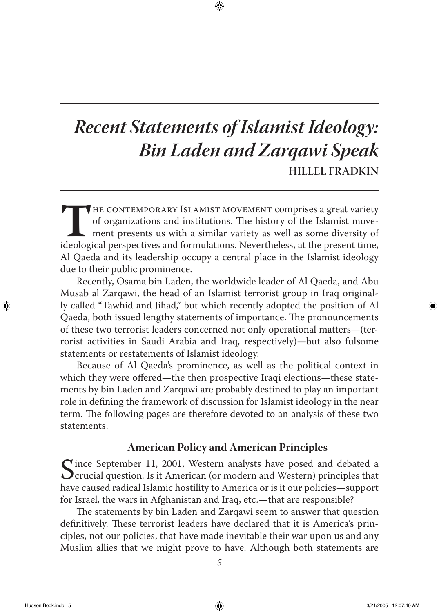## *Recent Statements of Islamist Ideology: Bin Laden and Zarqawi Speak* **HILLEL FRADKIN**

⊕

THE CONTEMPORARY ISLAMIST MOVEMENT comprises a great variety of organizations and institutions. The history of the Islamist movement presents us with a similar variety as well as some diversity of ideological perspectives of organizations and institutions. The history of the Islamist movement presents us with a similar variety as well as some diversity of Al Qaeda and its leadership occupy a central place in the Islamist ideology due to their public prominence.

Recently, Osama bin Laden, the worldwide leader of Al Qaeda, and Abu Musab al Zarqawi, the head of an Islamist terrorist group in Iraq originally called "Tawhid and Jihad," but which recently adopted the position of Al Qaeda, both issued lengthy statements of importance. The pronouncements of these two terrorist leaders concerned not only operational matters—(terrorist activities in Saudi Arabia and Iraq, respectively)—but also fulsome statements or restatements of Islamist ideology.

Because of Al Qaeda's prominence, as well as the political context in which they were offered—the then prospective Iraqi elections—these statements by bin Laden and Zarqawi are probably destined to play an important role in defining the framework of discussion for Islamist ideology in the near term. The following pages are therefore devoted to an analysis of these two statements.

#### **American Policy and American Principles**

Since September 11, 2001, Western analysts have posed and debated a<br>Scrucial question: Is it American (or modern and Western) principles that<br>have caused radical Islamic bostility to America or is it our policies—support crucial question: Is it American (or modern and Western) principles that have caused radical Islamic hostility to America or is it our policies—support for Israel, the wars in Afghanistan and Iraq, etc.—that are responsible?

The statements by bin Laden and Zarqawi seem to answer that question definitively. These terrorist leaders have declared that it is America's principles, not our policies, that have made inevitable their war upon us and any Muslim allies that we might prove to have. Although both statements are

⊕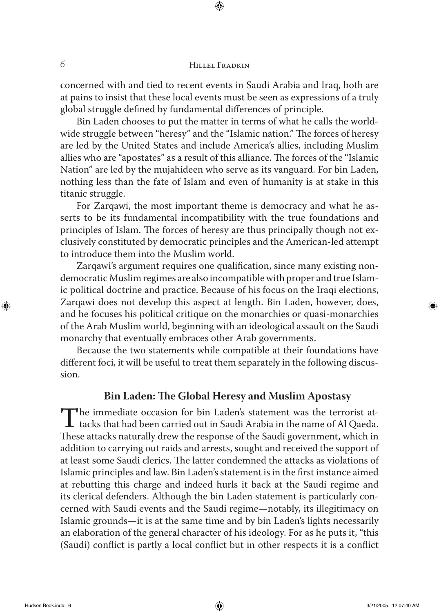#### *6* HILLEL FRADKIN

⊕

concerned with and tied to recent events in Saudi Arabia and Iraq, both are at pains to insist that these local events must be seen as expressions of a truly global struggle defined by fundamental differences of principle.

Bin Laden chooses to put the matter in terms of what he calls the worldwide struggle between "heresy" and the "Islamic nation." The forces of heresy are led by the United States and include America's allies, including Muslim allies who are "apostates" as a result of this alliance. The forces of the "Islamic Nation" are led by the mujahideen who serve as its vanguard. For bin Laden, nothing less than the fate of Islam and even of humanity is at stake in this titanic struggle.

For Zarqawi, the most important theme is democracy and what he asserts to be its fundamental incompatibility with the true foundations and principles of Islam. The forces of heresy are thus principally though not exclusively constituted by democratic principles and the American-led attempt to introduce them into the Muslim world.

Zarqawi's argument requires one qualification, since many existing nondemocratic Muslim regimes are also incompatible with proper and true Islamic political doctrine and practice. Because of his focus on the Iraqi elections, Zarqawi does not develop this aspect at length. Bin Laden, however, does, and he focuses his political critique on the monarchies or quasi-monarchies of the Arab Muslim world, beginning with an ideological assault on the Saudi monarchy that eventually embraces other Arab governments.

Because the two statements while compatible at their foundations have different foci, it will be useful to treat them separately in the following discussion.

#### **Bin Laden: The Global Heresy and Muslim Apostasy**

The immediate occasion for bin Laden's statement was the terrorist at-<br>tacks that had been carried out in Saudi Arabia in the name of Al Qaeda.<br>These attacks naturally drew the response of the Saudi government, which in tacks that had been carried out in Saudi Arabia in the name of Al Qaeda. These attacks naturally drew the response of the Saudi government, which in addition to carrying out raids and arrests, sought and received the support of at least some Saudi clerics. The latter condemned the attacks as violations of Islamic principles and law. Bin Laden's statement is in the first instance aimed at rebutting this charge and indeed hurls it back at the Saudi regime and its clerical defenders. Although the bin Laden statement is particularly concerned with Saudi events and the Saudi regime—notably, its illegitimacy on Islamic grounds—it is at the same time and by bin Laden's lights necessarily an elaboration of the general character of his ideology. For as he puts it, "this (Saudi) conflict is partly a local conflict but in other respects it is a conflict

⊕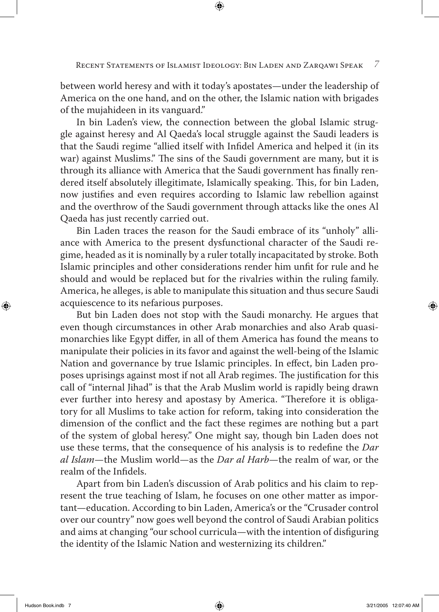between world heresy and with it today's apostates—under the leadership of America on the one hand, and on the other, the Islamic nation with brigades of the mujahideen in its vanguard."

⊕

In bin Laden's view, the connection between the global Islamic struggle against heresy and Al Qaeda's local struggle against the Saudi leaders is that the Saudi regime "allied itself with Infidel America and helped it (in its war) against Muslims." The sins of the Saudi government are many, but it is through its alliance with America that the Saudi government has finally rendered itself absolutely illegitimate, Islamically speaking. This, for bin Laden, now justifies and even requires according to Islamic law rebellion against and the overthrow of the Saudi government through attacks like the ones Al Qaeda has just recently carried out.

Bin Laden traces the reason for the Saudi embrace of its "unholy" alliance with America to the present dysfunctional character of the Saudi regime, headed as it is nominally by a ruler totally incapacitated by stroke. Both Islamic principles and other considerations render him unfit for rule and he should and would be replaced but for the rivalries within the ruling family. America, he alleges, is able to manipulate this situation and thus secure Saudi acquiescence to its nefarious purposes.

But bin Laden does not stop with the Saudi monarchy. He argues that even though circumstances in other Arab monarchies and also Arab quasimonarchies like Egypt differ, in all of them America has found the means to manipulate their policies in its favor and against the well-being of the Islamic Nation and governance by true Islamic principles. In effect, bin Laden proposes uprisings against most if not all Arab regimes. The justification for this call of "internal Jihad" is that the Arab Muslim world is rapidly being drawn ever further into heresy and apostasy by America. "Therefore it is obligatory for all Muslims to take action for reform, taking into consideration the dimension of the conflict and the fact these regimes are nothing but a part of the system of global heresy." One might say, though bin Laden does not use these terms, that the consequence of his analysis is to redefine the *Dar al Islam*—the Muslim world—as the *Dar al Harb*—the realm of war, or the realm of the Infidels.

Apart from bin Laden's discussion of Arab politics and his claim to represent the true teaching of Islam, he focuses on one other matter as important—education. According to bin Laden, America's or the "Crusader control over our country" now goes well beyond the control of Saudi Arabian politics and aims at changing "our school curricula—with the intention of disfiguring the identity of the Islamic Nation and westernizing its children."

⊕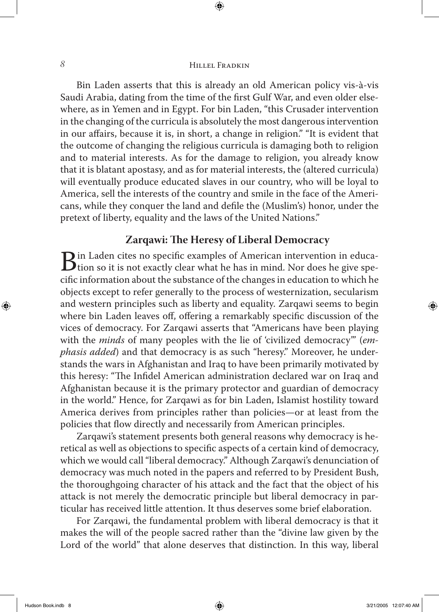#### 8 HILLEL FRADKIN

⊕

Bin Laden asserts that this is already an old American policy vis-à-vis Saudi Arabia, dating from the time of the first Gulf War, and even older elsewhere, as in Yemen and in Egypt. For bin Laden, "this Crusader intervention in the changing of the curricula is absolutely the most dangerous intervention in our affairs, because it is, in short, a change in religion." "It is evident that the outcome of changing the religious curricula is damaging both to religion and to material interests. As for the damage to religion, you already know that it is blatant apostasy, and as for material interests, the (altered curricula) will eventually produce educated slaves in our country, who will be loyal to America, sell the interests of the country and smile in the face of the Americans, while they conquer the land and defile the (Muslim's) honor, under the pretext of liberty, equality and the laws of the United Nations."

#### **Zarqawi: The Heresy of Liberal Democracy**

**B** in Laden cites no specific examples of American intervention in educa-<br>begins to it is not exactly clear what he has in mind. Nor does he give specific information about the substance of the changes in education to whi tion so it is not exactly clear what he has in mind. Nor does he give specific information about the substance of the changes in education to which he objects except to refer generally to the process of westernization, secularism and western principles such as liberty and equality. Zarqawi seems to begin where bin Laden leaves off, offering a remarkably specific discussion of the vices of democracy. For Zarqawi asserts that "Americans have been playing with the *minds* of many peoples with the lie of 'civilized democracy'" (*emphasis added*) and that democracy is as such "heresy." Moreover, he understands the wars in Afghanistan and Iraq to have been primarily motivated by this heresy: "The Infidel American administration declared war on Iraq and Afghanistan because it is the primary protector and guardian of democracy in the world." Hence, for Zarqawi as for bin Laden, Islamist hostility toward America derives from principles rather than policies—or at least from the policies that flow directly and necessarily from American principles.

Zarqawi's statement presents both general reasons why democracy is heretical as well as objections to specific aspects of a certain kind of democracy, which we would call "liberal democracy." Although Zarqawi's denunciation of democracy was much noted in the papers and referred to by President Bush, the thoroughgoing character of his attack and the fact that the object of his attack is not merely the democratic principle but liberal democracy in particular has received little attention. It thus deserves some brief elaboration.

For Zarqawi, the fundamental problem with liberal democracy is that it makes the will of the people sacred rather than the "divine law given by the Lord of the world" that alone deserves that distinction. In this way, liberal

⊕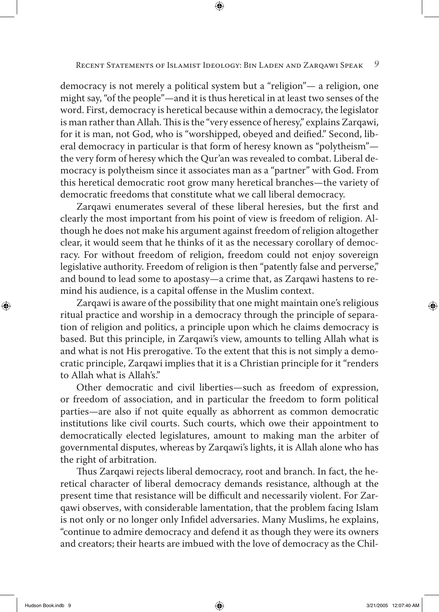#### RECENT STATEMENTS OF ISLAMIST IDEOLOGY: BIN LADEN AND ZARQAWI SPEAK *9*

⊕

democracy is not merely a political system but a "religion"— a religion, one might say, "of the people"—and it is thus heretical in at least two senses of the word. First, democracy is heretical because within a democracy, the legislator is man rather than Allah. This is the "very essence of heresy," explains Zarqawi, for it is man, not God, who is "worshipped, obeyed and deified." Second, liberal democracy in particular is that form of heresy known as "polytheism" the very form of heresy which the Qur'an was revealed to combat. Liberal democracy is polytheism since it associates man as a "partner" with God. From this heretical democratic root grow many heretical branches—the variety of democratic freedoms that constitute what we call liberal democracy.

Zarqawi enumerates several of these liberal heresies, but the first and clearly the most important from his point of view is freedom of religion. Although he does not make his argument against freedom of religion altogether clear, it would seem that he thinks of it as the necessary corollary of democracy. For without freedom of religion, freedom could not enjoy sovereign legislative authority. Freedom of religion is then "patently false and perverse," and bound to lead some to apostasy—a crime that, as Zarqawi hastens to remind his audience, is a capital offense in the Muslim context.

Zarqawi is aware of the possibility that one might maintain one's religious ritual practice and worship in a democracy through the principle of separation of religion and politics, a principle upon which he claims democracy is based. But this principle, in Zarqawi's view, amounts to telling Allah what is and what is not His prerogative. To the extent that this is not simply a democratic principle, Zarqawi implies that it is a Christian principle for it "renders to Allah what is Allah's."

Other democratic and civil liberties—such as freedom of expression, or freedom of association, and in particular the freedom to form political parties—are also if not quite equally as abhorrent as common democratic institutions like civil courts. Such courts, which owe their appointment to democratically elected legislatures, amount to making man the arbiter of governmental disputes, whereas by Zarqawi's lights, it is Allah alone who has the right of arbitration.

Thus Zarqawi rejects liberal democracy, root and branch. In fact, the heretical character of liberal democracy demands resistance, although at the present time that resistance will be difficult and necessarily violent. For Zarqawi observes, with considerable lamentation, that the problem facing Islam is not only or no longer only Infidel adversaries. Many Muslims, he explains, "continue to admire democracy and defend it as though they were its owners and creators; their hearts are imbued with the love of democracy as the Chil-

⊕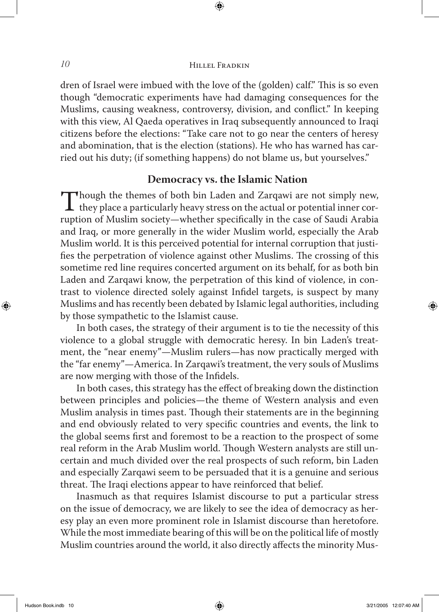#### *10* HILLEL FRADKIN

⊕

dren of Israel were imbued with the love of the (golden) calf." This is so even though "democratic experiments have had damaging consequences for the Muslims, causing weakness, controversy, division, and conflict." In keeping with this view, Al Qaeda operatives in Iraq subsequently announced to Iraqi citizens before the elections: "Take care not to go near the centers of heresy and abomination, that is the election (stations). He who has warned has carried out his duty; (if something happens) do not blame us, but yourselves."

#### **Democracy vs. the Islamic Nation**

Though the themes of both bin Laden and Zarqawi are not simply new,<br>they place a particularly heavy stress on the actual or potential inner cor-<br>ruption of Muslim society—whether specifically in the case of Saudi Arabia they place a particularly heavy stress on the actual or potential inner corruption of Muslim society—whether specifically in the case of Saudi Arabia and Iraq, or more generally in the wider Muslim world, especially the Arab Muslim world. It is this perceived potential for internal corruption that justifies the perpetration of violence against other Muslims. The crossing of this sometime red line requires concerted argument on its behalf, for as both bin Laden and Zarqawi know, the perpetration of this kind of violence, in contrast to violence directed solely against Infidel targets, is suspect by many Muslims and has recently been debated by Islamic legal authorities, including by those sympathetic to the Islamist cause.

In both cases, the strategy of their argument is to tie the necessity of this violence to a global struggle with democratic heresy. In bin Laden's treatment, the "near enemy"—Muslim rulers—has now practically merged with the "far enemy"—America. In Zarqawi's treatment, the very souls of Muslims are now merging with those of the Infidels.

In both cases, this strategy has the effect of breaking down the distinction between principles and policies—the theme of Western analysis and even Muslim analysis in times past. Though their statements are in the beginning and end obviously related to very specific countries and events, the link to the global seems first and foremost to be a reaction to the prospect of some real reform in the Arab Muslim world. Though Western analysts are still uncertain and much divided over the real prospects of such reform, bin Laden and especially Zarqawi seem to be persuaded that it is a genuine and serious threat. The Iraqi elections appear to have reinforced that belief.

Inasmuch as that requires Islamist discourse to put a particular stress on the issue of democracy, we are likely to see the idea of democracy as heresy play an even more prominent role in Islamist discourse than heretofore. While the most immediate bearing of this will be on the political life of mostly Muslim countries around the world, it also directly affects the minority Mus-

⊕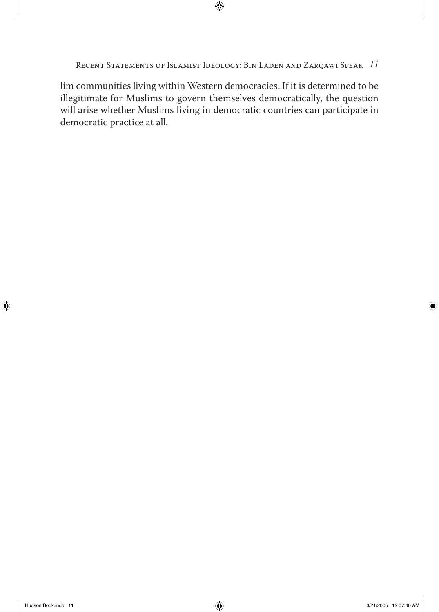RECENT STATEMENTS OF ISLAMIST IDEOLOGY: BIN LADEN AND ZARQAWI SPEAK *11*

lim communities living within Western democracies. If it is determined to be illegitimate for Muslims to govern themselves democratically, the question will arise whether Muslims living in democratic countries can participate in democratic practice at all.

 $\bigoplus$ 

 $\bigoplus$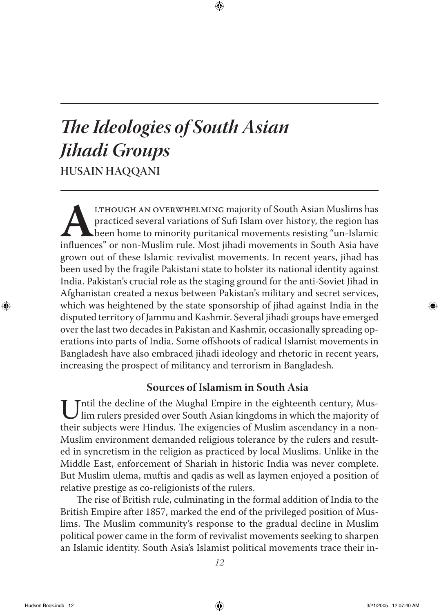# *The Ideologies of South Asian Jihadi Groups*

**HUSAIN HAQQANI**

**ALTHOUGH AN OVERWHELMING majority of South Asian Muslims has practiced several variations of Sufi Islam over history, the region has been home to minority puritanical movements resisting "un-Islamic influences" or non-Mus** practiced several variations of Sufi Islam over history, the region has been home to minority puritanical movements resisting "un-Islamic grown out of these Islamic revivalist movements. In recent years, jihad has been used by the fragile Pakistani state to bolster its national identity against India. Pakistan's crucial role as the staging ground for the anti-Soviet Jihad in Afghanistan created a nexus between Pakistan's military and secret services, which was heightened by the state sponsorship of jihad against India in the disputed territory of Jammu and Kashmir. Several jihadi groups have emerged over the last two decades in Pakistan and Kashmir, occasionally spreading operations into parts of India. Some offshoots of radical Islamist movements in Bangladesh have also embraced jihadi ideology and rhetoric in recent years, increasing the prospect of militancy and terrorism in Bangladesh.

⊕

#### **Sources of Islamism in South Asia**

Until the decline of the Mughal Empire in the eighteenth century, Mus-<br>lim rulers presided over South Asian kingdoms in which the majority of<br>their subjects were Hindus. The exigencies of Muslim ascendancy in a nonlim rulers presided over South Asian kingdoms in which the majority of their subjects were Hindus. The exigencies of Muslim ascendancy in a non-Muslim environment demanded religious tolerance by the rulers and resulted in syncretism in the religion as practiced by local Muslims. Unlike in the Middle East, enforcement of Shariah in historic India was never complete. But Muslim ulema, muftis and qadis as well as laymen enjoyed a position of relative prestige as co-religionists of the rulers.

The rise of British rule, culminating in the formal addition of India to the British Empire after 1857, marked the end of the privileged position of Muslims. The Muslim community's response to the gradual decline in Muslim political power came in the form of revivalist movements seeking to sharpen an Islamic identity. South Asia's Islamist political movements trace their in-

⊕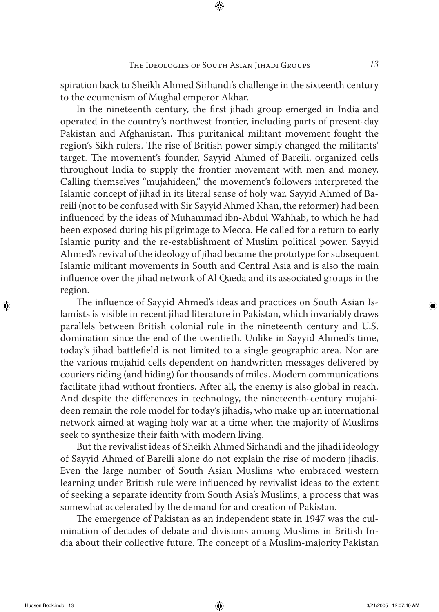⊕

spiration back to Sheikh Ahmed Sirhandi's challenge in the sixteenth century to the ecumenism of Mughal emperor Akbar.

In the nineteenth century, the first jihadi group emerged in India and operated in the country's northwest frontier, including parts of present-day Pakistan and Afghanistan. This puritanical militant movement fought the region's Sikh rulers. The rise of British power simply changed the militants' target. The movement's founder, Sayyid Ahmed of Bareili, organized cells throughout India to supply the frontier movement with men and money. Calling themselves "mujahideen," the movement's followers interpreted the Islamic concept of jihad in its literal sense of holy war. Sayyid Ahmed of Bareili (not to be confused with Sir Sayyid Ahmed Khan, the reformer) had been influenced by the ideas of Muhammad ibn-Abdul Wahhab, to which he had been exposed during his pilgrimage to Mecca. He called for a return to early Islamic purity and the re-establishment of Muslim political power. Sayyid Ahmed's revival of the ideology of jihad became the prototype for subsequent Islamic militant movements in South and Central Asia and is also the main influence over the jihad network of Al Qaeda and its associated groups in the region.

The influence of Sayyid Ahmed's ideas and practices on South Asian Islamists is visible in recent jihad literature in Pakistan, which invariably draws parallels between British colonial rule in the nineteenth century and U.S. domination since the end of the twentieth. Unlike in Sayyid Ahmed's time, today's jihad battlefield is not limited to a single geographic area. Nor are the various mujahid cells dependent on handwritten messages delivered by couriers riding (and hiding) for thousands of miles. Modern communications facilitate jihad without frontiers. After all, the enemy is also global in reach. And despite the differences in technology, the nineteenth-century mujahideen remain the role model for today's jihadis, who make up an international network aimed at waging holy war at a time when the majority of Muslims seek to synthesize their faith with modern living.

But the revivalist ideas of Sheikh Ahmed Sirhandi and the jihadi ideology of Sayyid Ahmed of Bareili alone do not explain the rise of modern jihadis. Even the large number of South Asian Muslims who embraced western learning under British rule were influenced by revivalist ideas to the extent of seeking a separate identity from South Asia's Muslims, a process that was somewhat accelerated by the demand for and creation of Pakistan.

The emergence of Pakistan as an independent state in 1947 was the culmination of decades of debate and divisions among Muslims in British India about their collective future. The concept of a Muslim-majority Pakistan

⊕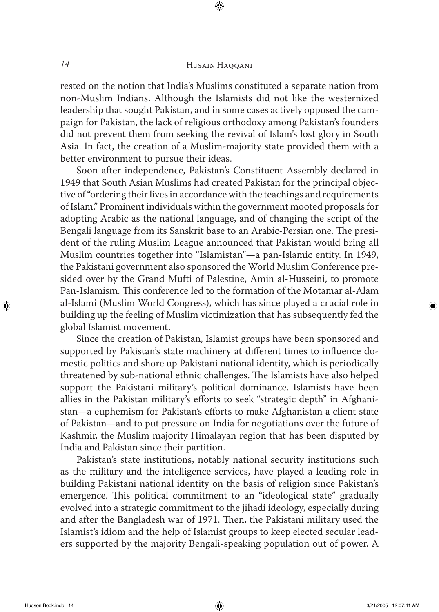#### *14* HUSAIN HAQQANI

⊕

rested on the notion that India's Muslims constituted a separate nation from non-Muslim Indians. Although the Islamists did not like the westernized leadership that sought Pakistan, and in some cases actively opposed the campaign for Pakistan, the lack of religious orthodoxy among Pakistan's founders did not prevent them from seeking the revival of Islam's lost glory in South Asia. In fact, the creation of a Muslim-majority state provided them with a better environment to pursue their ideas.

Soon after independence, Pakistan's Constituent Assembly declared in 1949 that South Asian Muslims had created Pakistan for the principal objective of "ordering their lives in accordance with the teachings and requirements of Islam." Prominent individuals within the government mooted proposals for adopting Arabic as the national language, and of changing the script of the Bengali language from its Sanskrit base to an Arabic-Persian one. The president of the ruling Muslim League announced that Pakistan would bring all Muslim countries together into "Islamistan"—a pan-Islamic entity. In 1949, the Pakistani government also sponsored the World Muslim Conference presided over by the Grand Mufti of Palestine, Amin al-Husseini, to promote Pan-Islamism. This conference led to the formation of the Motamar al-Alam al-Islami (Muslim World Congress), which has since played a crucial role in building up the feeling of Muslim victimization that has subsequently fed the global Islamist movement.

Since the creation of Pakistan, Islamist groups have been sponsored and supported by Pakistan's state machinery at different times to influence domestic politics and shore up Pakistani national identity, which is periodically threatened by sub-national ethnic challenges. The Islamists have also helped support the Pakistani military's political dominance. Islamists have been allies in the Pakistan military's efforts to seek "strategic depth" in Afghanistan—a euphemism for Pakistan's efforts to make Afghanistan a client state of Pakistan—and to put pressure on India for negotiations over the future of Kashmir, the Muslim majority Himalayan region that has been disputed by India and Pakistan since their partition.

Pakistan's state institutions, notably national security institutions such as the military and the intelligence services, have played a leading role in building Pakistani national identity on the basis of religion since Pakistan's emergence. This political commitment to an "ideological state" gradually evolved into a strategic commitment to the jihadi ideology, especially during and after the Bangladesh war of 1971. Then, the Pakistani military used the Islamist's idiom and the help of Islamist groups to keep elected secular leaders supported by the majority Bengali-speaking population out of power. A

⊕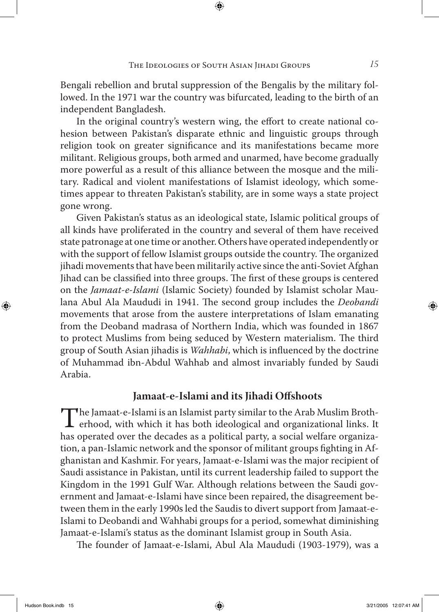⊕

Bengali rebellion and brutal suppression of the Bengalis by the military followed. In the 1971 war the country was bifurcated, leading to the birth of an independent Bangladesh.

In the original country's western wing, the effort to create national cohesion between Pakistan's disparate ethnic and linguistic groups through religion took on greater significance and its manifestations became more militant. Religious groups, both armed and unarmed, have become gradually more powerful as a result of this alliance between the mosque and the military. Radical and violent manifestations of Islamist ideology, which sometimes appear to threaten Pakistan's stability, are in some ways a state project gone wrong.

Given Pakistan's status as an ideological state, Islamic political groups of all kinds have proliferated in the country and several of them have received state patronage at one time or another. Others have operated independently or with the support of fellow Islamist groups outside the country. The organized jihadi movements that have been militarily active since the anti-Soviet Afghan Jihad can be classified into three groups. The first of these groups is centered on the *Jamaat-e-Islami* (Islamic Society) founded by Islamist scholar Maulana Abul Ala Maududi in 1941. The second group includes the *Deobandi* movements that arose from the austere interpretations of Islam emanating from the Deoband madrasa of Northern India, which was founded in 1867 to protect Muslims from being seduced by Western materialism. The third group of South Asian jihadis is *Wahhabi*, which is influenced by the doctrine of Muhammad ibn-Abdul Wahhab and almost invariably funded by Saudi Arabia.

#### **Jamaat-e-Islami and its Jihadi Offshoots**

The Jamaat-e-Islami is an Islamist party similar to the Arab Muslim Broth-<br>erhood, with which it has both ideological and organizational links. It<br>has operated over the decades as a political party a social welfare organiz erhood, with which it has both ideological and organizational links. It has operated over the decades as a political party, a social welfare organization, a pan-Islamic network and the sponsor of militant groups fighting in Afghanistan and Kashmir. For years, Jamaat-e-Islami was the major recipient of Saudi assistance in Pakistan, until its current leadership failed to support the Kingdom in the 1991 Gulf War. Although relations between the Saudi government and Jamaat-e-Islami have since been repaired, the disagreement between them in the early 1990s led the Saudis to divert support from Jamaat-e-Islami to Deobandi and Wahhabi groups for a period, somewhat diminishing Jamaat-e-Islami's status as the dominant Islamist group in South Asia.

The founder of Jamaat-e-Islami, Abul Ala Maududi (1903-1979), was a

⊕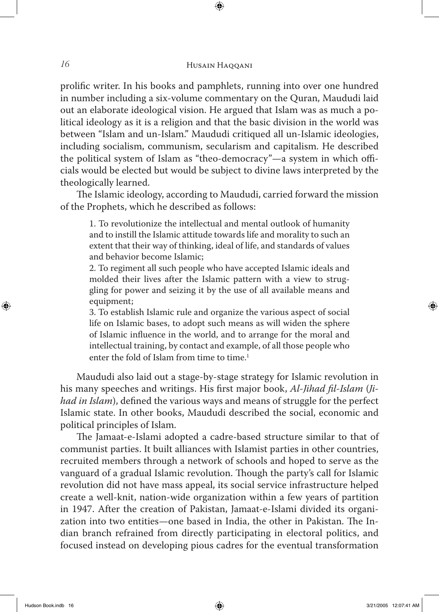#### *16* HUSAIN HAQQANI

⊕

prolific writer. In his books and pamphlets, running into over one hundred in number including a six-volume commentary on the Quran, Maududi laid out an elaborate ideological vision. He argued that Islam was as much a political ideology as it is a religion and that the basic division in the world was between "Islam and un-Islam." Maududi critiqued all un-Islamic ideologies, including socialism, communism, secularism and capitalism. He described the political system of Islam as "theo-democracy"—a system in which officials would be elected but would be subject to divine laws interpreted by the theologically learned.

The Islamic ideology, according to Maududi, carried forward the mission of the Prophets, which he described as follows:

1. To revolutionize the intellectual and mental outlook of humanity and to instill the Islamic attitude towards life and morality to such an extent that their way of thinking, ideal of life, and standards of values and behavior become Islamic;

2. To regiment all such people who have accepted Islamic ideals and molded their lives after the Islamic pattern with a view to struggling for power and seizing it by the use of all available means and equipment;

3. To establish Islamic rule and organize the various aspect of social life on Islamic bases, to adopt such means as will widen the sphere of Islamic influence in the world, and to arrange for the moral and intellectual training, by contact and example, of all those people who enter the fold of Islam from time to time.<sup>1</sup>

Maududi also laid out a stage-by-stage strategy for Islamic revolution in his many speeches and writings. His first major book, *Al-Jihad fil-Islam* (*Jihad in Islam*), defined the various ways and means of struggle for the perfect Islamic state. In other books, Maududi described the social, economic and political principles of Islam.

The Jamaat-e-Islami adopted a cadre-based structure similar to that of communist parties. It built alliances with Islamist parties in other countries, recruited members through a network of schools and hoped to serve as the vanguard of a gradual Islamic revolution. Though the party's call for Islamic revolution did not have mass appeal, its social service infrastructure helped create a well-knit, nation-wide organization within a few years of partition in 1947. After the creation of Pakistan, Jamaat-e-Islami divided its organization into two entities—one based in India, the other in Pakistan. The Indian branch refrained from directly participating in electoral politics, and focused instead on developing pious cadres for the eventual transformation

⊕

↔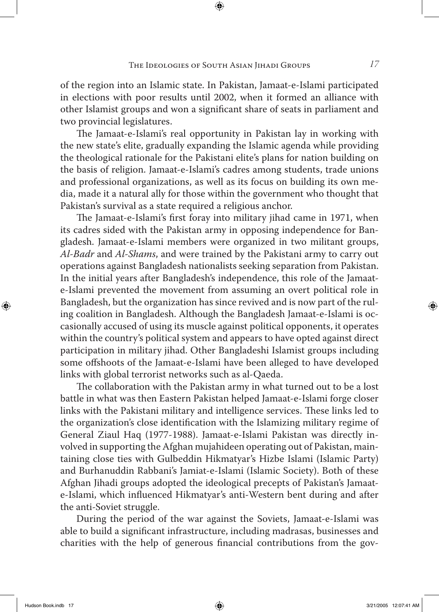⊕

of the region into an Islamic state. In Pakistan, Jamaat-e-Islami participated in elections with poor results until 2002, when it formed an alliance with other Islamist groups and won a significant share of seats in parliament and two provincial legislatures.

The Jamaat-e-Islami's real opportunity in Pakistan lay in working with the new state's elite, gradually expanding the Islamic agenda while providing the theological rationale for the Pakistani elite's plans for nation building on the basis of religion. Jamaat-e-Islami's cadres among students, trade unions and professional organizations, as well as its focus on building its own media, made it a natural ally for those within the government who thought that Pakistan's survival as a state required a religious anchor.

The Jamaat-e-Islami's first foray into military jihad came in 1971, when its cadres sided with the Pakistan army in opposing independence for Bangladesh. Jamaat-e-Islami members were organized in two militant groups, *Al-Badr* and *Al-Shams*, and were trained by the Pakistani army to carry out operations against Bangladesh nationalists seeking separation from Pakistan. In the initial years after Bangladesh's independence, this role of the Jamaate-Islami prevented the movement from assuming an overt political role in Bangladesh, but the organization has since revived and is now part of the ruling coalition in Bangladesh. Although the Bangladesh Jamaat-e-Islami is occasionally accused of using its muscle against political opponents, it operates within the country's political system and appears to have opted against direct participation in military jihad. Other Bangladeshi Islamist groups including some offshoots of the Jamaat-e-Islami have been alleged to have developed links with global terrorist networks such as al-Qaeda.

The collaboration with the Pakistan army in what turned out to be a lost battle in what was then Eastern Pakistan helped Jamaat-e-Islami forge closer links with the Pakistani military and intelligence services. These links led to the organization's close identification with the Islamizing military regime of General Ziaul Haq (1977-1988). Jamaat-e-Islami Pakistan was directly involved in supporting the Afghan mujahideen operating out of Pakistan, maintaining close ties with Gulbeddin Hikmatyar's Hizbe Islami (Islamic Party) and Burhanuddin Rabbani's Jamiat-e-Islami (Islamic Society). Both of these Afghan Jihadi groups adopted the ideological precepts of Pakistan's Jamaate-Islami, which influenced Hikmatyar's anti-Western bent during and after the anti-Soviet struggle.

During the period of the war against the Soviets, Jamaat-e-Islami was able to build a significant infrastructure, including madrasas, businesses and charities with the help of generous financial contributions from the gov-

⊕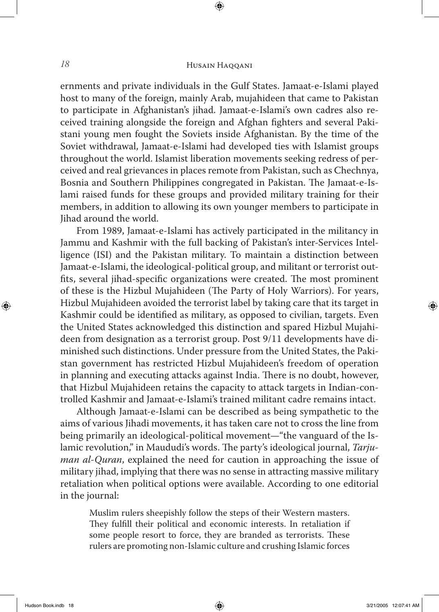#### *18* HUSAIN HAQQANI

⊕

ernments and private individuals in the Gulf States. Jamaat-e-Islami played host to many of the foreign, mainly Arab, mujahideen that came to Pakistan to participate in Afghanistan's jihad. Jamaat-e-Islami's own cadres also received training alongside the foreign and Afghan fighters and several Pakistani young men fought the Soviets inside Afghanistan. By the time of the Soviet withdrawal, Jamaat-e-Islami had developed ties with Islamist groups throughout the world. Islamist liberation movements seeking redress of perceived and real grievances in places remote from Pakistan, such as Chechnya, Bosnia and Southern Philippines congregated in Pakistan. The Jamaat-e-Islami raised funds for these groups and provided military training for their members, in addition to allowing its own younger members to participate in Jihad around the world.

From 1989, Jamaat-e-Islami has actively participated in the militancy in Jammu and Kashmir with the full backing of Pakistan's inter-Services Intelligence (ISI) and the Pakistan military. To maintain a distinction between Jamaat-e-Islami, the ideological-political group, and militant or terrorist outfits, several jihad-specific organizations were created. The most prominent of these is the Hizbul Mujahideen (The Party of Holy Warriors). For years, Hizbul Mujahideen avoided the terrorist label by taking care that its target in Kashmir could be identified as military, as opposed to civilian, targets. Even the United States acknowledged this distinction and spared Hizbul Mujahideen from designation as a terrorist group. Post 9/11 developments have diminished such distinctions. Under pressure from the United States, the Pakistan government has restricted Hizbul Mujahideen's freedom of operation in planning and executing attacks against India. There is no doubt, however, that Hizbul Mujahideen retains the capacity to attack targets in Indian-controlled Kashmir and Jamaat-e-Islami's trained militant cadre remains intact.

Although Jamaat-e-Islami can be described as being sympathetic to the aims of various Jihadi movements, it has taken care not to cross the line from being primarily an ideological-political movement—"the vanguard of the Islamic revolution," in Maududi's words. The party's ideological journal, *Tarjuman al-Quran*, explained the need for caution in approaching the issue of military jihad, implying that there was no sense in attracting massive military retaliation when political options were available. According to one editorial in the journal:

Muslim rulers sheepishly follow the steps of their Western masters. They fulfill their political and economic interests. In retaliation if some people resort to force, they are branded as terrorists. These rulers are promoting non-Islamic culture and crushing Islamic forces

⊕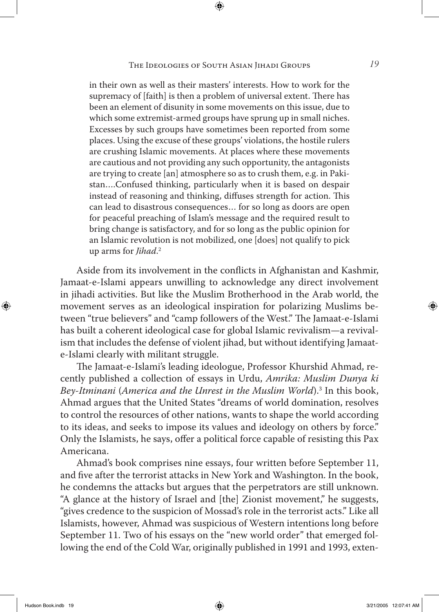#### THE IDEOLOGIES OF SOUTH ASIAN JIHADI GROUPS *19*

⊕

in their own as well as their masters' interests. How to work for the supremacy of [faith] is then a problem of universal extent. There has been an element of disunity in some movements on this issue, due to which some extremist-armed groups have sprung up in small niches. Excesses by such groups have sometimes been reported from some places. Using the excuse of these groups' violations, the hostile rulers are crushing Islamic movements. At places where these movements are cautious and not providing any such opportunity, the antagonists are trying to create [an] atmosphere so as to crush them, e.g. in Pakistan….Confused thinking, particularly when it is based on despair instead of reasoning and thinking, diffuses strength for action. This can lead to disastrous consequences… for so long as doors are open for peaceful preaching of Islam's message and the required result to bring change is satisfactory, and for so long as the public opinion for an Islamic revolution is not mobilized, one [does] not qualify to pick up arms for *Jihad*. 2

Aside from its involvement in the conflicts in Afghanistan and Kashmir, Jamaat-e-Islami appears unwilling to acknowledge any direct involvement in jihadi activities. But like the Muslim Brotherhood in the Arab world, the movement serves as an ideological inspiration for polarizing Muslims between "true believers" and "camp followers of the West." The Jamaat-e-Islami has built a coherent ideological case for global Islamic revivalism—a revivalism that includes the defense of violent jihad, but without identifying Jamaate-Islami clearly with militant struggle.

The Jamaat-e-Islami's leading ideologue, Professor Khurshid Ahmad, recently published a collection of essays in Urdu, *Amrika: Muslim Dunya ki Bey-Itminani* (*America and the Unrest in the Muslim World*).3 In this book, Ahmad argues that the United States "dreams of world domination, resolves to control the resources of other nations, wants to shape the world according to its ideas, and seeks to impose its values and ideology on others by force." Only the Islamists, he says, offer a political force capable of resisting this Pax Americana.

Ahmad's book comprises nine essays, four written before September 11, and five after the terrorist attacks in New York and Washington. In the book, he condemns the attacks but argues that the perpetrators are still unknown. "A glance at the history of Israel and [the] Zionist movement," he suggests, "gives credence to the suspicion of Mossad's role in the terrorist acts." Like all Islamists, however, Ahmad was suspicious of Western intentions long before September 11. Two of his essays on the "new world order" that emerged following the end of the Cold War, originally published in 1991 and 1993, exten-

⊕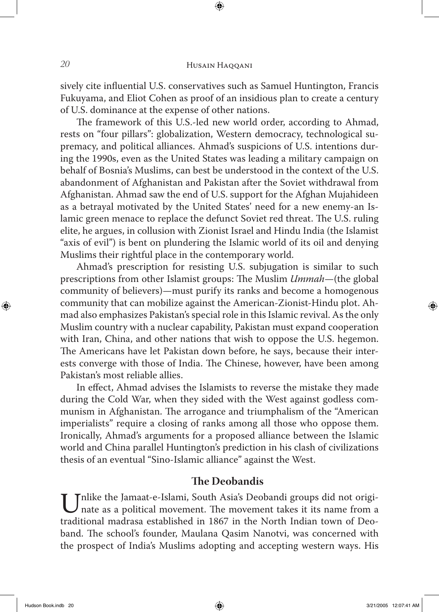#### *20* HUSAIN HAQQANI

⊕

sively cite influential U.S. conservatives such as Samuel Huntington, Francis Fukuyama, and Eliot Cohen as proof of an insidious plan to create a century of U.S. dominance at the expense of other nations.

The framework of this U.S.-led new world order, according to Ahmad, rests on "four pillars": globalization, Western democracy, technological supremacy, and political alliances. Ahmad's suspicions of U.S. intentions during the 1990s, even as the United States was leading a military campaign on behalf of Bosnia's Muslims, can best be understood in the context of the U.S. abandonment of Afghanistan and Pakistan after the Soviet withdrawal from Afghanistan. Ahmad saw the end of U.S. support for the Afghan Mujahideen as a betrayal motivated by the United States' need for a new enemy-an Islamic green menace to replace the defunct Soviet red threat. The U.S. ruling elite, he argues, in collusion with Zionist Israel and Hindu India (the Islamist "axis of evil") is bent on plundering the Islamic world of its oil and denying Muslims their rightful place in the contemporary world.

Ahmad's prescription for resisting U.S. subjugation is similar to such prescriptions from other Islamist groups: The Muslim *Ummah*—(the global community of believers)—must purify its ranks and become a homogenous community that can mobilize against the American-Zionist-Hindu plot. Ahmad also emphasizes Pakistan's special role in this Islamic revival. As the only Muslim country with a nuclear capability, Pakistan must expand cooperation with Iran, China, and other nations that wish to oppose the U.S. hegemon. The Americans have let Pakistan down before, he says, because their interests converge with those of India. The Chinese, however, have been among Pakistan's most reliable allies.

In effect, Ahmad advises the Islamists to reverse the mistake they made during the Cold War, when they sided with the West against godless communism in Afghanistan. The arrogance and triumphalism of the "American imperialists" require a closing of ranks among all those who oppose them. Ironically, Ahmad's arguments for a proposed alliance between the Islamic world and China parallel Huntington's prediction in his clash of civilizations thesis of an eventual "Sino-Islamic alliance" against the West.

#### **The Deobandis**

Unlike the Jamaat-e-Islami, South Asia's Deobandi groups did not origi-<br>nate as a political movement. The movement takes it its name from a<br>traditional madrasa established in 1867 in the North Indian town of Deonate as a political movement. The movement takes it its name from a traditional madrasa established in 1867 in the North Indian town of Deoband. The school's founder, Maulana Qasim Nanotvi, was concerned with the prospect of India's Muslims adopting and accepting western ways. His

⊕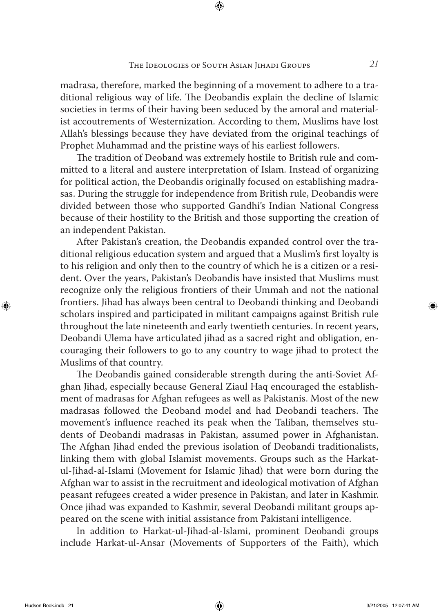⊕

madrasa, therefore, marked the beginning of a movement to adhere to a traditional religious way of life. The Deobandis explain the decline of Islamic societies in terms of their having been seduced by the amoral and materialist accoutrements of Westernization. According to them, Muslims have lost Allah's blessings because they have deviated from the original teachings of Prophet Muhammad and the pristine ways of his earliest followers.

The tradition of Deoband was extremely hostile to British rule and committed to a literal and austere interpretation of Islam. Instead of organizing for political action, the Deobandis originally focused on establishing madrasas. During the struggle for independence from British rule, Deobandis were divided between those who supported Gandhi's Indian National Congress because of their hostility to the British and those supporting the creation of an independent Pakistan.

After Pakistan's creation, the Deobandis expanded control over the traditional religious education system and argued that a Muslim's first loyalty is to his religion and only then to the country of which he is a citizen or a resident. Over the years, Pakistan's Deobandis have insisted that Muslims must recognize only the religious frontiers of their Ummah and not the national frontiers. Jihad has always been central to Deobandi thinking and Deobandi scholars inspired and participated in militant campaigns against British rule throughout the late nineteenth and early twentieth centuries. In recent years, Deobandi Ulema have articulated jihad as a sacred right and obligation, encouraging their followers to go to any country to wage jihad to protect the Muslims of that country.

The Deobandis gained considerable strength during the anti-Soviet Afghan Jihad, especially because General Ziaul Haq encouraged the establishment of madrasas for Afghan refugees as well as Pakistanis. Most of the new madrasas followed the Deoband model and had Deobandi teachers. The movement's influence reached its peak when the Taliban, themselves students of Deobandi madrasas in Pakistan, assumed power in Afghanistan. The Afghan Jihad ended the previous isolation of Deobandi traditionalists, linking them with global Islamist movements. Groups such as the Harkatul-Jihad-al-Islami (Movement for Islamic Jihad) that were born during the Afghan war to assist in the recruitment and ideological motivation of Afghan peasant refugees created a wider presence in Pakistan, and later in Kashmir. Once jihad was expanded to Kashmir, several Deobandi militant groups appeared on the scene with initial assistance from Pakistani intelligence.

In addition to Harkat-ul-Jihad-al-Islami, prominent Deobandi groups include Harkat-ul-Ansar (Movements of Supporters of the Faith), which

⊕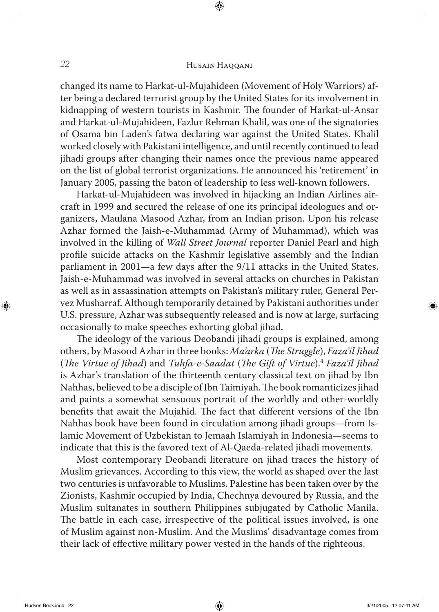#### *22* HUSAIN HAQQANI

⊕

changed its name to Harkat-ul-Mujahideen (Movement of Holy Warriors) after being a declared terrorist group by the United States for its involvement in kidnapping of western tourists in Kashmir. The founder of Harkat-ul-Ansar and Harkat-ul-Mujahideen, Fazlur Rehman Khalil, was one of the signatories of Osama bin Laden's fatwa declaring war against the United States. Khalil worked closely with Pakistani intelligence, and until recently continued to lead jihadi groups after changing their names once the previous name appeared on the list of global terrorist organizations. He announced his 'retirement' in January 2005, passing the baton of leadership to less well-known followers.

Harkat-ul-Mujahideen was involved in hijacking an Indian Airlines aircraft in 1999 and secured the release of one its principal ideologues and organizers, Maulana Masood Azhar, from an Indian prison. Upon his release Azhar formed the Jaish-e-Muhammad (Army of Muhammad), which was involved in the killing of *Wall Street Journal* reporter Daniel Pearl and high profile suicide attacks on the Kashmir legislative assembly and the Indian parliament in 2001—a few days after the 9/11 attacks in the United States. Jaish-e-Muhammad was involved in several attacks on churches in Pakistan as well as in assassination attempts on Pakistan's military ruler, General Pervez Musharraf. Although temporarily detained by Pakistani authorities under U.S. pressure, Azhar was subsequently released and is now at large, surfacing occasionally to make speeches exhorting global jihad.

The ideology of the various Deobandi jihadi groups is explained, among others, by Masood Azhar in three books: *Ma'arka* (*The Struggle*), *Faza'il Jihad* (*The Virtue of Jihad*) and *Tuhfa-e-Saadat* (*The Gift of Virtue*).4 *Faza'il Jihad* is Azhar's translation of the thirteenth century classical text on jihad by Ibn Nahhas, believed to be a disciple of Ibn Taimiyah. The book romanticizes jihad and paints a somewhat sensuous portrait of the worldly and other-worldly benefits that await the Mujahid. The fact that different versions of the Ibn Nahhas book have been found in circulation among jihadi groups—from Islamic Movement of Uzbekistan to Jemaah Islamiyah in Indonesia—seems to indicate that this is the favored text of Al-Qaeda-related jihadi movements.

Most contemporary Deobandi literature on jihad traces the history of Muslim grievances. According to this view, the world as shaped over the last two centuries is unfavorable to Muslims. Palestine has been taken over by the Zionists, Kashmir occupied by India, Chechnya devoured by Russia, and the Muslim sultanates in southern Philippines subjugated by Catholic Manila. The battle in each case, irrespective of the political issues involved, is one of Muslim against non-Muslim. And the Muslims' disadvantage comes from their lack of effective military power vested in the hands of the righteous.

⊕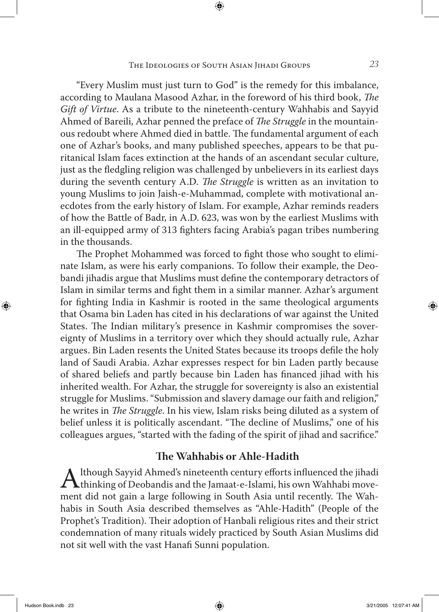#### THE IDEOLOGIES OF SOUTH ASIAN JIHADI GROUPS *23*

⊕

"Every Muslim must just turn to God" is the remedy for this imbalance, according to Maulana Masood Azhar, in the foreword of his third book, *The Gift of Virtue*. As a tribute to the nineteenth-century Wahhabis and Sayyid Ahmed of Bareili, Azhar penned the preface of *The Struggle* in the mountainous redoubt where Ahmed died in battle. The fundamental argument of each one of Azhar's books, and many published speeches, appears to be that puritanical Islam faces extinction at the hands of an ascendant secular culture, just as the fledgling religion was challenged by unbelievers in its earliest days during the seventh century A.D. *The Struggle* is written as an invitation to young Muslims to join Jaish-e-Muhammad, complete with motivational anecdotes from the early history of Islam. For example, Azhar reminds readers of how the Battle of Badr, in A.D. 623, was won by the earliest Muslims with an ill-equipped army of 313 fighters facing Arabia's pagan tribes numbering in the thousands.

The Prophet Mohammed was forced to fight those who sought to eliminate Islam, as were his early companions. To follow their example, the Deobandi jihadis argue that Muslims must define the contemporary detractors of Islam in similar terms and fight them in a similar manner. Azhar's argument for fighting India in Kashmir is rooted in the same theological arguments that Osama bin Laden has cited in his declarations of war against the United States. The Indian military's presence in Kashmir compromises the sovereignty of Muslims in a territory over which they should actually rule, Azhar argues. Bin Laden resents the United States because its troops defile the holy land of Saudi Arabia. Azhar expresses respect for bin Laden partly because of shared beliefs and partly because bin Laden has financed jihad with his inherited wealth. For Azhar, the struggle for sovereignty is also an existential struggle for Muslims. "Submission and slavery damage our faith and religion," he writes in *The Struggle*. In his view, Islam risks being diluted as a system of belief unless it is politically ascendant. "The decline of Muslims," one of his colleagues argues, "started with the fading of the spirit of jihad and sacrifice."

#### **The Wahhabis or Ahle-Hadith**

Although Sayyid Ahmed's nineteenth century efforts influenced the jihadi<br>thinking of Deobandis and the Jamaat-e-Islami, his own Wahhabi move-<br>ment did not gain a large following in South Asia until recently. The Wahthinking of Deobandis and the Jamaat-e-Islami, his own Wahhabi movement did not gain a large following in South Asia until recently. The Wahhabis in South Asia described themselves as "Ahle-Hadith" (People of the Prophet's Tradition). Their adoption of Hanbali religious rites and their strict condemnation of many rituals widely practiced by South Asian Muslims did not sit well with the vast Hanafi Sunni population.

⊕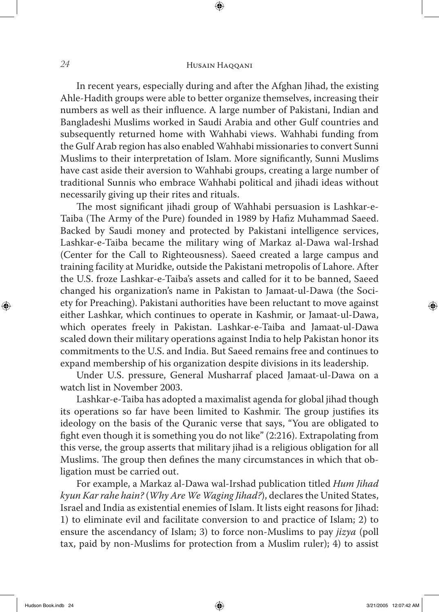#### *24* HUSAIN HAQQANI

⊕

In recent years, especially during and after the Afghan Jihad, the existing Ahle-Hadith groups were able to better organize themselves, increasing their numbers as well as their influence. A large number of Pakistani, Indian and Bangladeshi Muslims worked in Saudi Arabia and other Gulf countries and subsequently returned home with Wahhabi views. Wahhabi funding from the Gulf Arab region has also enabled Wahhabi missionaries to convert Sunni Muslims to their interpretation of Islam. More significantly, Sunni Muslims have cast aside their aversion to Wahhabi groups, creating a large number of traditional Sunnis who embrace Wahhabi political and jihadi ideas without necessarily giving up their rites and rituals.

The most significant jihadi group of Wahhabi persuasion is Lashkar-e-Taiba (The Army of the Pure) founded in 1989 by Hafiz Muhammad Saeed. Backed by Saudi money and protected by Pakistani intelligence services, Lashkar-e-Taiba became the military wing of Markaz al-Dawa wal-Irshad (Center for the Call to Righteousness). Saeed created a large campus and training facility at Muridke, outside the Pakistani metropolis of Lahore. After the U.S. froze Lashkar-e-Taiba's assets and called for it to be banned, Saeed changed his organization's name in Pakistan to Jamaat-ul-Dawa (the Society for Preaching). Pakistani authorities have been reluctant to move against either Lashkar, which continues to operate in Kashmir, or Jamaat-ul-Dawa, which operates freely in Pakistan. Lashkar-e-Taiba and Jamaat-ul-Dawa scaled down their military operations against India to help Pakistan honor its commitments to the U.S. and India. But Saeed remains free and continues to expand membership of his organization despite divisions in its leadership.

Under U.S. pressure, General Musharraf placed Jamaat-ul-Dawa on a watch list in November 2003.

Lashkar-e-Taiba has adopted a maximalist agenda for global jihad though its operations so far have been limited to Kashmir. The group justifies its ideology on the basis of the Quranic verse that says, "You are obligated to fight even though it is something you do not like" (2:216). Extrapolating from this verse, the group asserts that military jihad is a religious obligation for all Muslims. The group then defines the many circumstances in which that obligation must be carried out.

For example, a Markaz al-Dawa wal-Irshad publication titled *Hum Jihad kyun Kar rahe hain?* (*Why Are We Waging Jihad?*), declares the United States, Israel and India as existential enemies of Islam. It lists eight reasons for Jihad: 1) to eliminate evil and facilitate conversion to and practice of Islam; 2) to ensure the ascendancy of Islam; 3) to force non-Muslims to pay *jizya* (poll tax, paid by non-Muslims for protection from a Muslim ruler); 4) to assist

⊕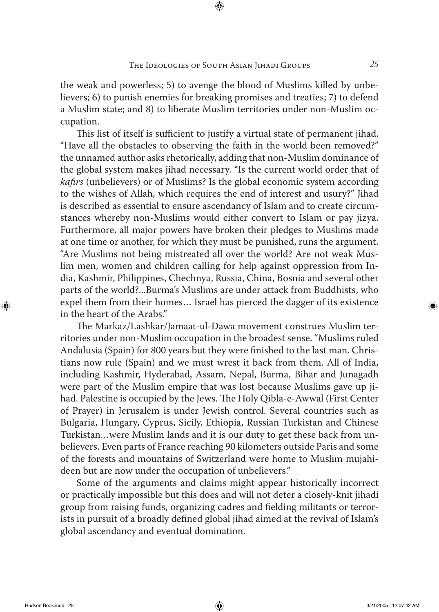#### THE IDEOLOGIES OF SOUTH ASIAN JIHADI GROUPS *25*

⊕

the weak and powerless; 5) to avenge the blood of Muslims killed by unbelievers; 6) to punish enemies for breaking promises and treaties; 7) to defend a Muslim state; and 8) to liberate Muslim territories under non-Muslim occupation.

This list of itself is sufficient to justify a virtual state of permanent jihad. "Have all the obstacles to observing the faith in the world been removed?" the unnamed author asks rhetorically, adding that non-Muslim dominance of the global system makes jihad necessary. "Is the current world order that of *kafirs* (unbelievers) or of Muslims? Is the global economic system according to the wishes of Allah, which requires the end of interest and usury?" Jihad is described as essential to ensure ascendancy of Islam and to create circumstances whereby non-Muslims would either convert to Islam or pay jizya. Furthermore, all major powers have broken their pledges to Muslims made at one time or another, for which they must be punished, runs the argument. "Are Muslims not being mistreated all over the world? Are not weak Muslim men, women and children calling for help against oppression from India, Kashmir, Philippines, Chechnya, Russia, China, Bosnia and several other parts of the world?...Burma's Muslims are under attack from Buddhists, who expel them from their homes… Israel has pierced the dagger of its existence in the heart of the Arabs."

The Markaz/Lashkar/Jamaat-ul-Dawa movement construes Muslim territories under non-Muslim occupation in the broadest sense. "Muslims ruled Andalusia (Spain) for 800 years but they were finished to the last man. Christians now rule (Spain) and we must wrest it back from them. All of India, including Kashmir, Hyderabad, Assam, Nepal, Burma, Bihar and Junagadh were part of the Muslim empire that was lost because Muslims gave up jihad. Palestine is occupied by the Jews. The Holy Qibla-e-Awwal (First Center of Prayer) in Jerusalem is under Jewish control. Several countries such as Bulgaria, Hungary, Cyprus, Sicily, Ethiopia, Russian Turkistan and Chinese Turkistan…were Muslim lands and it is our duty to get these back from unbelievers. Even parts of France reaching 90 kilometers outside Paris and some of the forests and mountains of Switzerland were home to Muslim mujahideen but are now under the occupation of unbelievers."

Some of the arguments and claims might appear historically incorrect or practically impossible but this does and will not deter a closely-knit jihadi group from raising funds, organizing cadres and fielding militants or terrorists in pursuit of a broadly defined global jihad aimed at the revival of Islam's global ascendancy and eventual domination.

⊕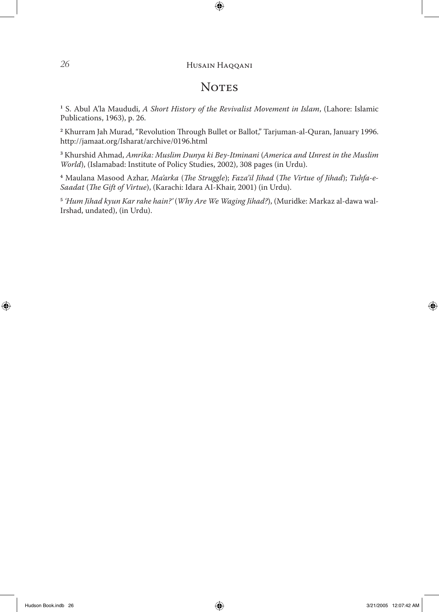#### *26* HUSAIN HAQQANI

 $\bigoplus$ 

#### **NOTES**

**1** S. Abul A'la Maududi, *A Short History of the Revivalist Movement in Islam*, (Lahore: Islamic Publications, 1963), p. 26.

**2** Khurram Jah Murad, "Revolution Through Bullet or Ballot," Tarjuman-al-Quran, January 1996. http://jamaat.org/Isharat/archive/0196.html

**3** Khurshid Ahmad, *Amrika: Muslim Dunya ki Bey-Itminani* (*America and Unrest in the Muslim World*), (Islamabad: Institute of Policy Studies, 2002), 308 pages (in Urdu).

**4** Maulana Masood Azhar, *Ma'arka* (*The Struggle*); *Faza'il Jihad* (*The Virtue of Jihad*); *Tuhfa-e-Saadat* (*The Gift of Virtue*), (Karachi: Idara AI-Khair, 2001) (in Urdu).

**<sup>5</sup>** *'Hum Jihad kyun Kar rahe hain?'* (*Why Are We Waging Jihad?*), (Muridke: Markaz al-dawa wal-Irshad, undated), (in Urdu).

⊕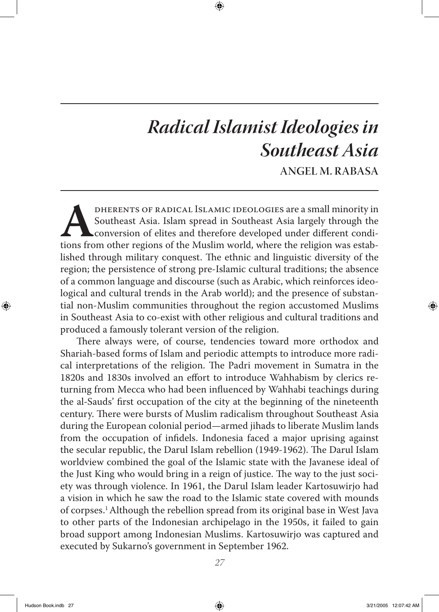# *Radical Islamist Ideologies in Southeast Asia*

**ANGEL M. RABASA**

DHERENTS OF RADICAL ISLAMIC IDEOLOGIES are a small minority in Southeast Asia. Islam spread in Southeast Asia largely through the conversion of elites and therefore developed under different conditions from other regions o Southeast Asia. Islam spread in Southeast Asia largely through the conversion of elites and therefore developed under different condilished through military conquest. The ethnic and linguistic diversity of the region; the persistence of strong pre-Islamic cultural traditions; the absence of a common language and discourse (such as Arabic, which reinforces ideological and cultural trends in the Arab world); and the presence of substantial non-Muslim communities throughout the region accustomed Muslims in Southeast Asia to co-exist with other religious and cultural traditions and produced a famously tolerant version of the religion.

⊕

There always were, of course, tendencies toward more orthodox and Shariah-based forms of Islam and periodic attempts to introduce more radical interpretations of the religion. The Padri movement in Sumatra in the 1820s and 1830s involved an effort to introduce Wahhabism by clerics returning from Mecca who had been influenced by Wahhabi teachings during the al-Sauds' first occupation of the city at the beginning of the nineteenth century. There were bursts of Muslim radicalism throughout Southeast Asia during the European colonial period—armed jihads to liberate Muslim lands from the occupation of infidels. Indonesia faced a major uprising against the secular republic, the Darul Islam rebellion (1949-1962). The Darul Islam worldview combined the goal of the Islamic state with the Javanese ideal of the Just King who would bring in a reign of justice. The way to the just society was through violence. In 1961, the Darul Islam leader Kartosuwirjo had a vision in which he saw the road to the Islamic state covered with mounds of corpses.1 Although the rebellion spread from its original base in West Java to other parts of the Indonesian archipelago in the 1950s, it failed to gain broad support among Indonesian Muslims. Kartosuwirjo was captured and executed by Sukarno's government in September 1962.

⊕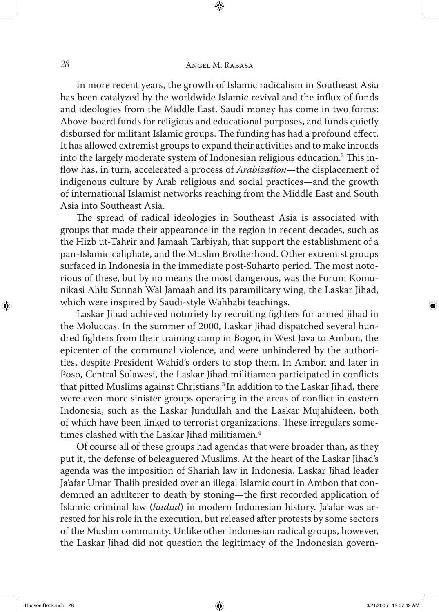#### *28* ANGEL M. RABASA

⊕

In more recent years, the growth of Islamic radicalism in Southeast Asia has been catalyzed by the worldwide Islamic revival and the influx of funds and ideologies from the Middle East. Saudi money has come in two forms: Above-board funds for religious and educational purposes, and funds quietly disbursed for militant Islamic groups. The funding has had a profound effect. It has allowed extremist groups to expand their activities and to make inroads into the largely moderate system of Indonesian religious education.2 This inflow has, in turn, accelerated a process of *Arabization*—the displacement of indigenous culture by Arab religious and social practices—and the growth of international Islamist networks reaching from the Middle East and South Asia into Southeast Asia.

The spread of radical ideologies in Southeast Asia is associated with groups that made their appearance in the region in recent decades, such as the Hizb ut-Tahrir and Jamaah Tarbiyah, that support the establishment of a pan-Islamic caliphate, and the Muslim Brotherhood. Other extremist groups surfaced in Indonesia in the immediate post-Suharto period. The most notorious of these, but by no means the most dangerous, was the Forum Komunikasi Ahlu Sunnah Wal Jamaah and its paramilitary wing, the Laskar Jihad, which were inspired by Saudi-style Wahhabi teachings.

Laskar Jihad achieved notoriety by recruiting fighters for armed jihad in the Moluccas. In the summer of 2000, Laskar Jihad dispatched several hundred fighters from their training camp in Bogor, in West Java to Ambon, the epicenter of the communal violence, and were unhindered by the authorities, despite President Wahid's orders to stop them. In Ambon and later in Poso, Central Sulawesi, the Laskar Jihad militiamen participated in conflicts that pitted Muslims against Christians.3 In addition to the Laskar Jihad, there were even more sinister groups operating in the areas of conflict in eastern Indonesia, such as the Laskar Jundullah and the Laskar Mujahideen, both of which have been linked to terrorist organizations. These irregulars sometimes clashed with the Laskar Jihad militiamen.<sup>4</sup>

Of course all of these groups had agendas that were broader than, as they put it, the defense of beleaguered Muslims. At the heart of the Laskar Jihad's agenda was the imposition of Shariah law in Indonesia. Laskar Jihad leader Ja'afar Umar Thalib presided over an illegal Islamic court in Ambon that condemned an adulterer to death by stoning—the first recorded application of Islamic criminal law (*hudud*) in modern Indonesian history. Ja'afar was arrested for his role in the execution, but released after protests by some sectors of the Muslim community. Unlike other Indonesian radical groups, however, the Laskar Jihad did not question the legitimacy of the Indonesian govern-

⊕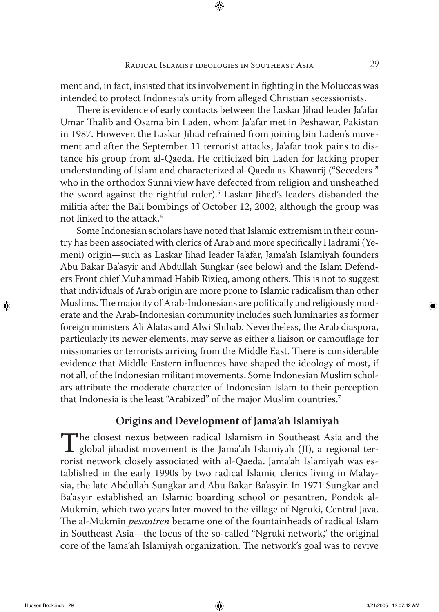⊕

ment and, in fact, insisted that its involvement in fighting in the Moluccas was intended to protect Indonesia's unity from alleged Christian secessionists.

There is evidence of early contacts between the Laskar Jihad leader Ja'afar Umar Thalib and Osama bin Laden, whom Ja'afar met in Peshawar, Pakistan in 1987. However, the Laskar Jihad refrained from joining bin Laden's movement and after the September 11 terrorist attacks, Ja'afar took pains to distance his group from al-Qaeda. He criticized bin Laden for lacking proper understanding of Islam and characterized al-Qaeda as Khawarij ("Seceders " who in the orthodox Sunni view have defected from religion and unsheathed the sword against the rightful ruler).5 Laskar Jihad's leaders disbanded the militia after the Bali bombings of October 12, 2002, although the group was not linked to the attack.6

Some Indonesian scholars have noted that Islamic extremism in their country has been associated with clerics of Arab and more specifically Hadrami (Yemeni) origin—such as Laskar Jihad leader Ja'afar, Jama'ah Islamiyah founders Abu Bakar Ba'asyir and Abdullah Sungkar (see below) and the Islam Defenders Front chief Muhammad Habib Rizieq, among others. This is not to suggest that individuals of Arab origin are more prone to Islamic radicalism than other Muslims. The majority of Arab-Indonesians are politically and religiously moderate and the Arab-Indonesian community includes such luminaries as former foreign ministers Ali Alatas and Alwi Shihab. Nevertheless, the Arab diaspora, particularly its newer elements, may serve as either a liaison or camouflage for missionaries or terrorists arriving from the Middle East. There is considerable evidence that Middle Eastern influences have shaped the ideology of most, if not all, of the Indonesian militant movements. Some Indonesian Muslim scholars attribute the moderate character of Indonesian Islam to their perception that Indonesia is the least "Arabized" of the major Muslim countries.7

#### **Origins and Development of Jama'ah Islamiyah**

The closest nexus between radical Islamism in Southeast Asia and the global jihadist movement is the Jama'ah Islamiyah (JI), a regional ter-<br>rorist network closely associated with al-Qaeda. Jama'ah Islamiyah was esglobal jihadist movement is the Jama'ah Islamiyah (JI), a regional terrorist network closely associated with al-Qaeda. Jama'ah Islamiyah was established in the early 1990s by two radical Islamic clerics living in Malaysia, the late Abdullah Sungkar and Abu Bakar Ba'asyir. In 1971 Sungkar and Ba'asyir established an Islamic boarding school or pesantren, Pondok al-Mukmin, which two years later moved to the village of Ngruki, Central Java. The al-Mukmin *pesantren* became one of the fountainheads of radical Islam in Southeast Asia—the locus of the so-called "Ngruki network," the original core of the Jama'ah Islamiyah organization. The network's goal was to revive

⊕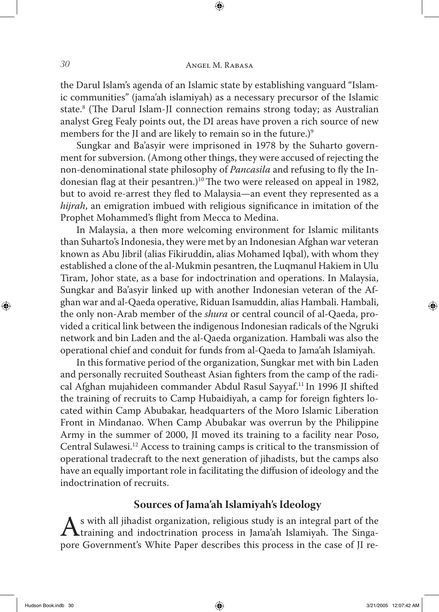#### *30* ANGEL M. RABASA

⊕

the Darul Islam's agenda of an Islamic state by establishing vanguard "Islamic communities" (jama'ah islamiyah) as a necessary precursor of the Islamic state.8 (The Darul Islam-JI connection remains strong today; as Australian analyst Greg Fealy points out, the DI areas have proven a rich source of new members for the JI and are likely to remain so in the future.)<sup>9</sup>

Sungkar and Ba'asyir were imprisoned in 1978 by the Suharto government for subversion. (Among other things, they were accused of rejecting the non-denominational state philosophy of *Pancasila* and refusing to fly the Indonesian flag at their pesantren.)<sup>10</sup> The two were released on appeal in 1982, but to avoid re-arrest they fled to Malaysia—an event they represented as a *hijrah*, an emigration imbued with religious significance in imitation of the Prophet Mohammed's flight from Mecca to Medina.

In Malaysia, a then more welcoming environment for Islamic militants than Suharto's Indonesia, they were met by an Indonesian Afghan war veteran known as Abu Jibril (alias Fikiruddin, alias Mohamed Iqbal), with whom they established a clone of the al-Mukmin pesantren, the Luqmanul Hakiem in Ulu Tiram, Johor state, as a base for indoctrination and operations. In Malaysia, Sungkar and Ba'asyir linked up with another Indonesian veteran of the Afghan war and al-Qaeda operative, Riduan Isamuddin, alias Hambali. Hambali, the only non-Arab member of the *shura* or central council of al-Qaeda, provided a critical link between the indigenous Indonesian radicals of the Ngruki network and bin Laden and the al-Qaeda organization. Hambali was also the operational chief and conduit for funds from al-Qaeda to Jama'ah Islamiyah.

In this formative period of the organization, Sungkar met with bin Laden and personally recruited Southeast Asian fighters from the camp of the radical Afghan mujahideen commander Abdul Rasul Sayyaf.11 In 1996 JI shifted the training of recruits to Camp Hubaidiyah, a camp for foreign fighters located within Camp Abubakar, headquarters of the Moro Islamic Liberation Front in Mindanao. When Camp Abubakar was overrun by the Philippine Army in the summer of 2000, JI moved its training to a facility near Poso, Central Sulawesi.12 Access to training camps is critical to the transmission of operational tradecraft to the next generation of jihadists, but the camps also have an equally important role in facilitating the diffusion of ideology and the indoctrination of recruits.

#### **Sources of Jama'ah Islamiyah's Ideology**

S with all jihadist organization, religious study is an integral part of the<br>Atraining and indoctrination process in Jama'ah Islamiyah. The Singa-<br>pore Government's White Paper describes this process in the case of II retraining and indoctrination process in Jama'ah Islamiyah. The Singapore Government's White Paper describes this process in the case of JI re-

⊕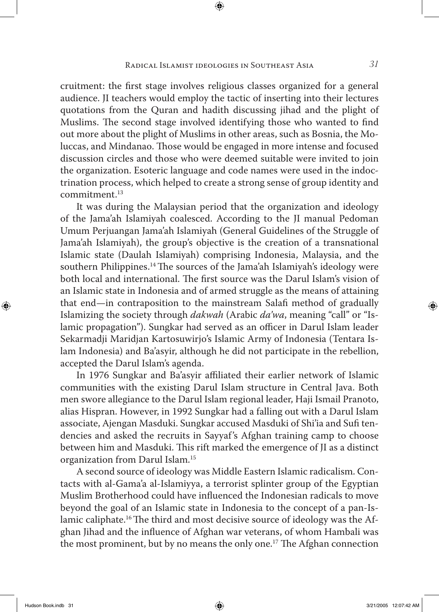#### RADICAL ISLAMIST IDEOLOGIES IN SOUTHEAST ASIA *31*

⊕

cruitment: the first stage involves religious classes organized for a general audience. JI teachers would employ the tactic of inserting into their lectures quotations from the Quran and hadith discussing jihad and the plight of Muslims. The second stage involved identifying those who wanted to find out more about the plight of Muslims in other areas, such as Bosnia, the Moluccas, and Mindanao. Those would be engaged in more intense and focused discussion circles and those who were deemed suitable were invited to join the organization. Esoteric language and code names were used in the indoctrination process, which helped to create a strong sense of group identity and commitment.13

It was during the Malaysian period that the organization and ideology of the Jama'ah Islamiyah coalesced. According to the JI manual Pedoman Umum Perjuangan Jama'ah Islamiyah (General Guidelines of the Struggle of Jama'ah Islamiyah), the group's objective is the creation of a transnational Islamic state (Daulah Islamiyah) comprising Indonesia, Malaysia, and the southern Philippines.<sup>14</sup> The sources of the Jama'ah Islamiyah's ideology were both local and international. The first source was the Darul Islam's vision of an Islamic state in Indonesia and of armed struggle as the means of attaining that end—in contraposition to the mainstream Salafi method of gradually Islamizing the society through *dakwah* (Arabic *da'wa*, meaning "call" or "Islamic propagation"). Sungkar had served as an officer in Darul Islam leader Sekarmadji Maridjan Kartosuwirjo's Islamic Army of Indonesia (Tentara Islam Indonesia) and Ba'asyir, although he did not participate in the rebellion, accepted the Darul Islam's agenda.

In 1976 Sungkar and Ba'asyir affiliated their earlier network of Islamic communities with the existing Darul Islam structure in Central Java. Both men swore allegiance to the Darul Islam regional leader, Haji Ismail Pranoto, alias Hispran. However, in 1992 Sungkar had a falling out with a Darul Islam associate, Ajengan Masduki. Sungkar accused Masduki of Shi'ia and Sufi tendencies and asked the recruits in Sayyaf's Afghan training camp to choose between him and Masduki. This rift marked the emergence of JI as a distinct organization from Darul Islam.15

A second source of ideology was Middle Eastern Islamic radicalism. Contacts with al-Gama'a al-Islamiyya, a terrorist splinter group of the Egyptian Muslim Brotherhood could have influenced the Indonesian radicals to move beyond the goal of an Islamic state in Indonesia to the concept of a pan-Islamic caliphate.<sup>16</sup> The third and most decisive source of ideology was the Afghan Jihad and the influence of Afghan war veterans, of whom Hambali was the most prominent, but by no means the only one.<sup>17</sup> The Afghan connection

⊕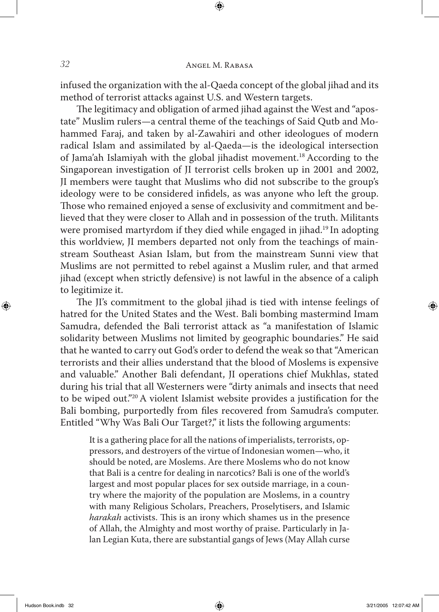⊕

infused the organization with the al-Qaeda concept of the global jihad and its method of terrorist attacks against U.S. and Western targets.

The legitimacy and obligation of armed jihad against the West and "apostate" Muslim rulers—a central theme of the teachings of Said Qutb and Mohammed Faraj, and taken by al-Zawahiri and other ideologues of modern radical Islam and assimilated by al-Qaeda—is the ideological intersection of Jama'ah Islamiyah with the global jihadist movement.18 According to the Singaporean investigation of JI terrorist cells broken up in 2001 and 2002, JI members were taught that Muslims who did not subscribe to the group's ideology were to be considered infidels, as was anyone who left the group. Those who remained enjoyed a sense of exclusivity and commitment and believed that they were closer to Allah and in possession of the truth. Militants were promised martyrdom if they died while engaged in jihad.<sup>19</sup> In adopting this worldview, JI members departed not only from the teachings of mainstream Southeast Asian Islam, but from the mainstream Sunni view that Muslims are not permitted to rebel against a Muslim ruler, and that armed jihad (except when strictly defensive) is not lawful in the absence of a caliph to legitimize it.

The JI's commitment to the global jihad is tied with intense feelings of hatred for the United States and the West. Bali bombing mastermind Imam Samudra, defended the Bali terrorist attack as "a manifestation of Islamic solidarity between Muslims not limited by geographic boundaries." He said that he wanted to carry out God's order to defend the weak so that "American terrorists and their allies understand that the blood of Moslems is expensive and valuable." Another Bali defendant, JI operations chief Mukhlas, stated during his trial that all Westerners were "dirty animals and insects that need to be wiped out."20 A violent Islamist website provides a justification for the Bali bombing, purportedly from files recovered from Samudra's computer. Entitled "Why Was Bali Our Target?," it lists the following arguments:

It is a gathering place for all the nations of imperialists, terrorists, oppressors, and destroyers of the virtue of Indonesian women—who, it should be noted, are Moslems. Are there Moslems who do not know that Bali is a centre for dealing in narcotics? Bali is one of the world's largest and most popular places for sex outside marriage, in a country where the majority of the population are Moslems, in a country with many Religious Scholars, Preachers, Proselytisers, and Islamic *harakah* activists. This is an irony which shames us in the presence of Allah, the Almighty and most worthy of praise. Particularly in Jalan Legian Kuta, there are substantial gangs of Jews (May Allah curse

⊕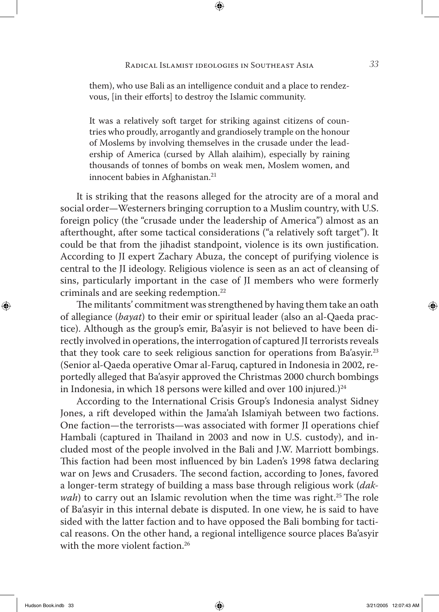#### RADICAL ISLAMIST IDEOLOGIES IN SOUTHEAST ASIA *33*

⊕

them), who use Bali as an intelligence conduit and a place to rendezvous, [in their efforts] to destroy the Islamic community.

It was a relatively soft target for striking against citizens of countries who proudly, arrogantly and grandiosely trample on the honour of Moslems by involving themselves in the crusade under the leadership of America (cursed by Allah alaihim), especially by raining thousands of tonnes of bombs on weak men, Moslem women, and innocent babies in Afghanistan.<sup>21</sup>

It is striking that the reasons alleged for the atrocity are of a moral and social order—Westerners bringing corruption to a Muslim country, with U.S. foreign policy (the "crusade under the leadership of America") almost as an afterthought, after some tactical considerations ("a relatively soft target"). It could be that from the jihadist standpoint, violence is its own justification. According to JI expert Zachary Abuza, the concept of purifying violence is central to the JI ideology. Religious violence is seen as an act of cleansing of sins, particularly important in the case of JI members who were formerly criminals and are seeking redemption.<sup>22</sup>

The militants' commitment was strengthened by having them take an oath of allegiance (*bayat*) to their emir or spiritual leader (also an al-Qaeda practice). Although as the group's emir, Ba'asyir is not believed to have been directly involved in operations, the interrogation of captured JI terrorists reveals that they took care to seek religious sanction for operations from Ba'asyir.23 (Senior al-Qaeda operative Omar al-Faruq, captured in Indonesia in 2002, reportedly alleged that Ba'asyir approved the Christmas 2000 church bombings in Indonesia, in which 18 persons were killed and over 100 injured.) $^{24}$ 

According to the International Crisis Group's Indonesia analyst Sidney Jones, a rift developed within the Jama'ah Islamiyah between two factions. One faction—the terrorists—was associated with former JI operations chief Hambali (captured in Thailand in 2003 and now in U.S. custody), and included most of the people involved in the Bali and J.W. Marriott bombings. This faction had been most influenced by bin Laden's 1998 fatwa declaring war on Jews and Crusaders. The second faction, according to Jones, favored a longer-term strategy of building a mass base through religious work (*dakwah*) to carry out an Islamic revolution when the time was right.<sup>25</sup> The role of Ba'asyir in this internal debate is disputed. In one view, he is said to have sided with the latter faction and to have opposed the Bali bombing for tactical reasons. On the other hand, a regional intelligence source places Ba'asyir with the more violent faction.<sup>26</sup>

⊕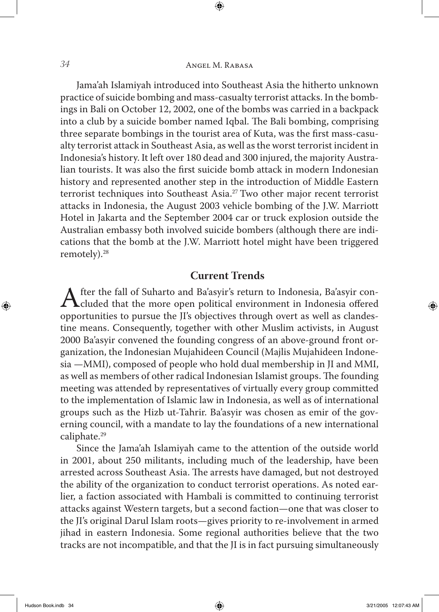#### *34* ANGEL M. RABASA

⊕

Jama'ah Islamiyah introduced into Southeast Asia the hitherto unknown practice of suicide bombing and mass-casualty terrorist attacks. In the bombings in Bali on October 12, 2002, one of the bombs was carried in a backpack into a club by a suicide bomber named Iqbal. The Bali bombing, comprising three separate bombings in the tourist area of Kuta, was the first mass-casualty terrorist attack in Southeast Asia, as well as the worst terrorist incident in Indonesia's history. It left over 180 dead and 300 injured, the majority Australian tourists. It was also the first suicide bomb attack in modern Indonesian history and represented another step in the introduction of Middle Eastern terrorist techniques into Southeast Asia.27 Two other major recent terrorist attacks in Indonesia, the August 2003 vehicle bombing of the J.W. Marriott Hotel in Jakarta and the September 2004 car or truck explosion outside the Australian embassy both involved suicide bombers (although there are indications that the bomb at the J.W. Marriott hotel might have been triggered remotely).28

# **Current Trends**

After the fall of Suharto and Ba'asyir's return to Indonesia, Ba'asyir con-<br>Cluded that the more open political environment in Indonesia offered<br>connectunities to pursue the II's objectives through overt as well as clandes cluded that the more open political environment in Indonesia offered opportunities to pursue the JI's objectives through overt as well as clandestine means. Consequently, together with other Muslim activists, in August 2000 Ba'asyir convened the founding congress of an above-ground front organization, the Indonesian Mujahideen Council (Majlis Mujahideen Indonesia —MMI), composed of people who hold dual membership in JI and MMI, as well as members of other radical Indonesian Islamist groups. The founding meeting was attended by representatives of virtually every group committed to the implementation of Islamic law in Indonesia, as well as of international groups such as the Hizb ut-Tahrir. Ba'asyir was chosen as emir of the governing council, with a mandate to lay the foundations of a new international caliphate.29

Since the Jama'ah Islamiyah came to the attention of the outside world in 2001, about 250 militants, including much of the leadership, have been arrested across Southeast Asia. The arrests have damaged, but not destroyed the ability of the organization to conduct terrorist operations. As noted earlier, a faction associated with Hambali is committed to continuing terrorist attacks against Western targets, but a second faction—one that was closer to the JI's original Darul Islam roots—gives priority to re-involvement in armed jihad in eastern Indonesia. Some regional authorities believe that the two tracks are not incompatible, and that the JI is in fact pursuing simultaneously

⊕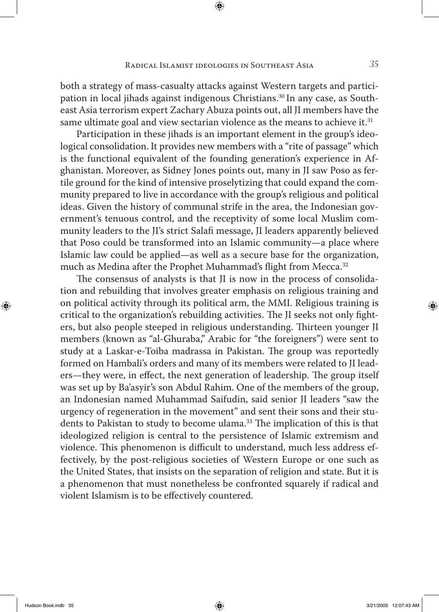both a strategy of mass-casualty attacks against Western targets and participation in local jihads against indigenous Christians.<sup>30</sup> In any case, as Southeast Asia terrorism expert Zachary Abuza points out, all JI members have the same ultimate goal and view sectarian violence as the means to achieve it.<sup>31</sup>

Participation in these jihads is an important element in the group's ideological consolidation. It provides new members with a "rite of passage" which is the functional equivalent of the founding generation's experience in Afghanistan. Moreover, as Sidney Jones points out, many in JI saw Poso as fertile ground for the kind of intensive proselytizing that could expand the community prepared to live in accordance with the group's religious and political ideas. Given the history of communal strife in the area, the Indonesian government's tenuous control, and the receptivity of some local Muslim community leaders to the JI's strict Salafi message, JI leaders apparently believed that Poso could be transformed into an Islamic community—a place where Islamic law could be applied—as well as a secure base for the organization, much as Medina after the Prophet Muhammad's flight from Mecca.<sup>32</sup>

The consensus of analysts is that JI is now in the process of consolidation and rebuilding that involves greater emphasis on religious training and on political activity through its political arm, the MMI. Religious training is critical to the organization's rebuilding activities. The JI seeks not only fighters, but also people steeped in religious understanding. Thirteen younger JI members (known as "al-Ghuraba," Arabic for "the foreigners") were sent to study at a Laskar-e-Toiba madrassa in Pakistan. The group was reportedly formed on Hambali's orders and many of its members were related to JI leaders—they were, in effect, the next generation of leadership. The group itself was set up by Ba'asyir's son Abdul Rahim. One of the members of the group, an Indonesian named Muhammad Saifudin, said senior JI leaders "saw the urgency of regeneration in the movement" and sent their sons and their students to Pakistan to study to become ulama.<sup>33</sup> The implication of this is that ideologized religion is central to the persistence of Islamic extremism and violence. This phenomenon is difficult to understand, much less address effectively, by the post-religious societies of Western Europe or one such as the United States, that insists on the separation of religion and state. But it is a phenomenon that must nonetheless be confronted squarely if radical and violent Islamism is to be effectively countered.

⊕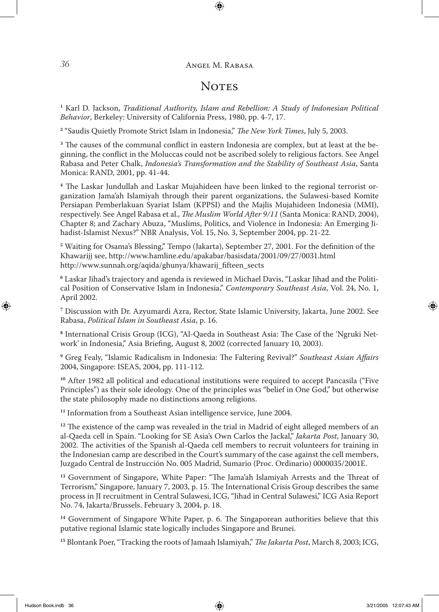#### *36* ANGEL M. RABASA

⊕

# **NOTES**

**1** Karl D. Jackson, *Traditional Authority, Islam and Rebellion: A Study of Indonesian Political Behavior*, Berkeley: University of California Press, 1980, pp. 4-7, 17.

**2** "Saudis Quietly Promote Strict Islam in Indonesia," *The New York Times*, July 5, 2003.

**3** The causes of the communal conflict in eastern Indonesia are complex, but at least at the beginning, the conflict in the Moluccas could not be ascribed solely to religious factors. See Angel Rabasa and Peter Chalk, *Indonesia's Transformation and the Stability of Southeast Asia*, Santa Monica: RAND, 2001, pp. 41-44.

**4** The Laskar Jundullah and Laskar Mujahideen have been linked to the regional terrorist organization Jama'ah Islamiyah through their parent organizations, the Sulawesi-based Komite Persiapan Pemberlakuan Syariat Islam (KPPSI) and the Majlis Mujahideen Indonesia (MMI), respectively. See Angel Rabasa et al., *The Muslim World After 9/11* (Santa Monica: RAND, 2004), Chapter 8; and Zachary Abuza, "Muslims, Politics, and Violence in Indonesia: An Emerging Jihadist-Islamist Nexus?" NBR Analysis, Vol. 15, No. 3, September 2004, pp. 21-22.

**5** Waiting for Osama's Blessing," Tempo (Jakarta), September 27, 2001. For the definition of the Khawarijj see, http://www.hamline.edu/apakabar/basisdata/2001/09/27/0031.html http://www.sunnah.org/aqida/ghunya/khawarij\_fifteen\_sects

**6** Laskar Jihad's trajectory and agenda is reviewed in Michael Davis, "Laskar Jihad and the Political Position of Conservative Islam in Indonesia," *Contemporary Southeast Asia*, Vol. 24, No. 1, April 2002.

**7** Discussion with Dr. Azyumardi Azra, Rector, State Islamic University, Jakarta, June 2002. See Rabasa, *Political Islam in Southeast Asia*, p. 16.

**8** International Crisis Group (ICG), "Al-Qaeda in Southeast Asia: The Case of the 'Ngruki Network' in Indonesia," Asia Briefing, August 8, 2002 (corrected January 10, 2003).

**9** Greg Fealy, "Islamic Radicalism in Indonesia: The Faltering Revival?" *Southeast Asian Affairs* 2004, Singapore: ISEAS, 2004, pp. 111-112.

**<sup>10</sup>** After 1982 all political and educational institutions were required to accept Pancasila ("Five Principles") as their sole ideology. One of the principles was "belief in One God," but otherwise the state philosophy made no distinctions among religions.

**<sup>11</sup>** Information from a Southeast Asian intelligence service, June 2004.

<sup>12</sup> The existence of the camp was revealed in the trial in Madrid of eight alleged members of an al-Qaeda cell in Spain. "Looking for SE Asia's Own Carlos the Jackal," *Jakarta Post*, January 30, 2002. The activities of the Spanish al-Qaeda cell members to recruit volunteers for training in the Indonesian camp are described in the Court's summary of the case against the cell members, Juzgado Central de Instrucción No. 005 Madrid, Sumario (Proc. Ordinario) 0000035/2001E.

**<sup>13</sup>** Government of Singapore, White Paper: "The Jama'ah Islamiyah Arrests and the Threat of Terrorism," Singapore, January 7, 2003, p. 15. The International Crisis Group describes the same process in JI recruitment in Central Sulawesi, ICG, "Jihad in Central Sulawesi," ICG Asia Report No. 74, Jakarta/Brussels. February 3, 2004, p. 18.

**<sup>14</sup>** Government of Singapore White Paper, p. 6. The Singaporean authorities believe that this putative regional Islamic state logically includes Singapore and Brunei.

**<sup>15</sup>** Blontank Poer, "Tracking the roots of Jamaah Islamiyah," *The Jakarta Post*, March 8, 2003; ICG,

⊕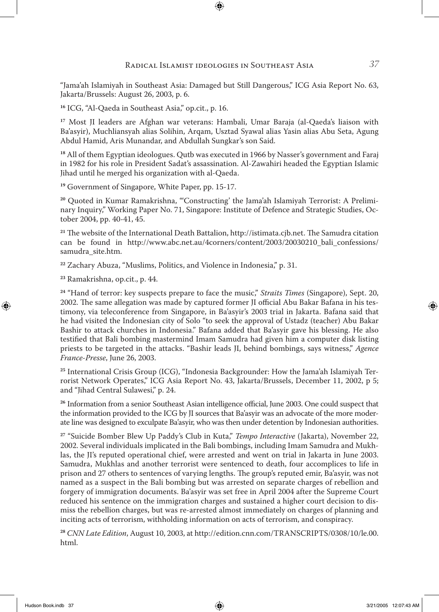#### RADICAL ISLAMIST IDEOLOGIES IN SOUTHEAST ASIA *37*

⊕

"Jama'ah Islamiyah in Southeast Asia: Damaged but Still Dangerous," ICG Asia Report No. 63, Jakarta/Brussels: August 26, 2003, p. 6.

**<sup>16</sup>** ICG, "Al-Qaeda in Southeast Asia," op.cit., p. 16.

**<sup>17</sup>** Most JI leaders are Afghan war veterans: Hambali, Umar Baraja (al-Qaeda's liaison with Ba'asyir), Muchliansyah alias Solihin, Arqam, Usztad Syawal alias Yasin alias Abu Seta, Agung Abdul Hamid, Aris Munandar, and Abdullah Sungkar's son Said.

**<sup>18</sup>** All of them Egyptian ideologues. Qutb was executed in 1966 by Nasser's government and Faraj in 1982 for his role in President Sadat's assassination. Al-Zawahiri headed the Egyptian Islamic Jihad until he merged his organization with al-Qaeda.

**<sup>19</sup>** Government of Singapore, White Paper, pp. 15-17.

**20** Quoted in Kumar Ramakrishna, "'Constructing' the Jama'ah Islamiyah Terrorist: A Preliminary Inquiry," Working Paper No. 71, Singapore: Institute of Defence and Strategic Studies, October 2004, pp. 40-41, 45.

**<sup>21</sup>** The website of the International Death Battalion, http://istimata.cjb.net. The Samudra citation can be found in http://www.abc.net.au/4corners/content/2003/20030210\_bali\_confessions/ samudra site.htm.

**<sup>22</sup>** Zachary Abuza, "Muslims, Politics, and Violence in Indonesia," p. 31.

**<sup>23</sup>** Ramakrishna, op.cit., p. 44.

**<sup>24</sup>** "Hand of terror: key suspects prepare to face the music," *Straits Times* (Singapore), Sept. 20, 2002. The same allegation was made by captured former JI official Abu Bakar Bafana in his testimony, via teleconference from Singapore, in Ba'asyir's 2003 trial in Jakarta. Bafana said that he had visited the Indonesian city of Solo "to seek the approval of Ustadz (teacher) Abu Bakar Bashir to attack churches in Indonesia." Bafana added that Ba'asyir gave his blessing. He also testified that Bali bombing mastermind Imam Samudra had given him a computer disk listing priests to be targeted in the attacks. "Bashir leads JI, behind bombings, says witness," *Agence France-Presse*, June 26, 2003.

**<sup>25</sup>** International Crisis Group (ICG), "Indonesia Backgrounder: How the Jama'ah Islamiyah Terrorist Network Operates," ICG Asia Report No. 43, Jakarta/Brussels, December 11, 2002, p 5; and "Jihad Central Sulawesi," p. 24.

**<sup>26</sup>** Information from a senior Southeast Asian intelligence official, June 2003. One could suspect that the information provided to the ICG by JI sources that Ba'asyir was an advocate of the more moderate line was designed to exculpate Ba'asyir, who was then under detention by Indonesian authorities.

**<sup>27</sup>** "Suicide Bomber Blew Up Paddy's Club in Kuta," *Tempo Interactive* (Jakarta), November 22, 2002. Several individuals implicated in the Bali bombings, including Imam Samudra and Mukhlas, the JI's reputed operational chief, were arrested and went on trial in Jakarta in June 2003. Samudra, Mukhlas and another terrorist were sentenced to death, four accomplices to life in prison and 27 others to sentences of varying lengths. The group's reputed emir, Ba'asyir, was not named as a suspect in the Bali bombing but was arrested on separate charges of rebellion and forgery of immigration documents. Ba'asyir was set free in April 2004 after the Supreme Court reduced his sentence on the immigration charges and sustained a higher court decision to dismiss the rebellion charges, but was re-arrested almost immediately on charges of planning and inciting acts of terrorism, withholding information on acts of terrorism, and conspiracy.

**<sup>28</sup>** *CNN Late Edition*, August 10, 2003, at http://edition.cnn.com/TRANSCRIPTS/0308/10/le.00. html.

⊕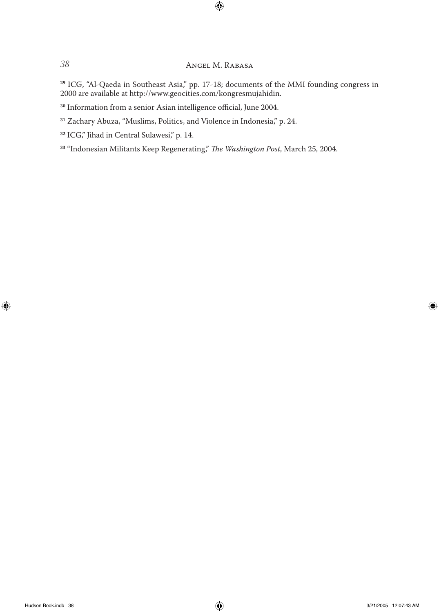#### *38* ANGEL M. RABASA

 $\bigoplus$ 

**<sup>29</sup>** ICG, "Al-Qaeda in Southeast Asia," pp. 17-18; documents of the MMI founding congress in 2000 are available at http://www.geocities.com/kongresmujahidin.

**<sup>30</sup>** Information from a senior Asian intelligence official, June 2004.

<sup>31</sup> Zachary Abuza, "Muslims, Politics, and Violence in Indonesia," p. 24.

**<sup>32</sup>** ICG," Jihad in Central Sulawesi," p. 14.

**<sup>33</sup>** "Indonesian Militants Keep Regenerating," *The Washington Post*, March 25, 2004.

 $\bigoplus$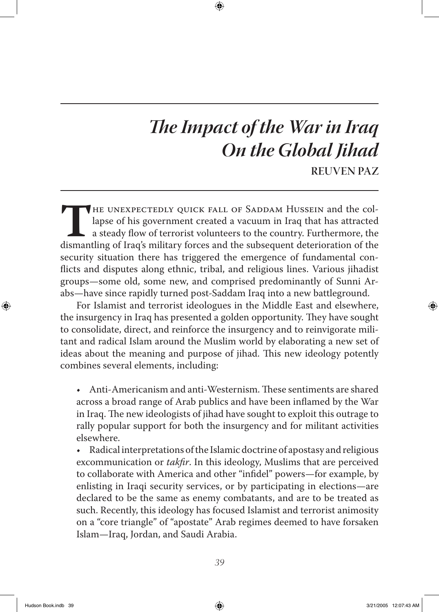# *The Impact of the War in Iraq On the Global Jihad* **REUVEN PAZ**

THE UNEXPECTEDLY QUICK FALL OF SADDAM HUSSEIN and the collapse of his government created a vacuum in Iraq that has attracted a steady flow of terrorist volunteers to the country. Furthermore, the dismantling of Iraq's mili lapse of his government created a vacuum in Iraq that has attracted a steady flow of terrorist volunteers to the country. Furthermore, the security situation there has triggered the emergence of fundamental conflicts and disputes along ethnic, tribal, and religious lines. Various jihadist groups—some old, some new, and comprised predominantly of Sunni Arabs—have since rapidly turned post-Saddam Iraq into a new battleground.

⊕

For Islamist and terrorist ideologues in the Middle East and elsewhere, the insurgency in Iraq has presented a golden opportunity. They have sought to consolidate, direct, and reinforce the insurgency and to reinvigorate militant and radical Islam around the Muslim world by elaborating a new set of ideas about the meaning and purpose of jihad. This new ideology potently combines several elements, including:

• Anti-Americanism and anti-Westernism. These sentiments are shared across a broad range of Arab publics and have been inflamed by the War in Iraq. The new ideologists of jihad have sought to exploit this outrage to rally popular support for both the insurgency and for militant activities elsewhere.

• Radical interpretations of the Islamic doctrine of apostasy and religious excommunication or *takfir*. In this ideology, Muslims that are perceived to collaborate with America and other "infidel" powers—for example, by enlisting in Iraqi security services, or by participating in elections—are declared to be the same as enemy combatants, and are to be treated as such. Recently, this ideology has focused Islamist and terrorist animosity on a "core triangle" of "apostate" Arab regimes deemed to have forsaken Islam—Iraq, Jordan, and Saudi Arabia.

⊕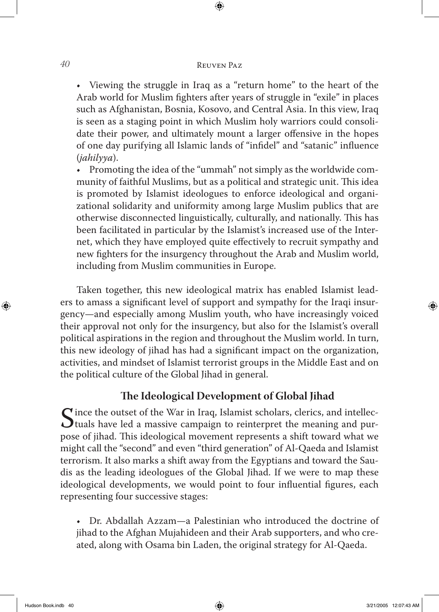#### *40* REUVEN PAZ

⊕

• Viewing the struggle in Iraq as a "return home" to the heart of the Arab world for Muslim fighters after years of struggle in "exile" in places such as Afghanistan, Bosnia, Kosovo, and Central Asia. In this view, Iraq is seen as a staging point in which Muslim holy warriors could consolidate their power, and ultimately mount a larger offensive in the hopes of one day purifying all Islamic lands of "infidel" and "satanic" influence (*jahilyya*).

• Promoting the idea of the "ummah" not simply as the worldwide community of faithful Muslims, but as a political and strategic unit. This idea is promoted by Islamist ideologues to enforce ideological and organizational solidarity and uniformity among large Muslim publics that are otherwise disconnected linguistically, culturally, and nationally. This has been facilitated in particular by the Islamist's increased use of the Internet, which they have employed quite effectively to recruit sympathy and new fighters for the insurgency throughout the Arab and Muslim world, including from Muslim communities in Europe.

Taken together, this new ideological matrix has enabled Islamist leaders to amass a significant level of support and sympathy for the Iraqi insurgency—and especially among Muslim youth, who have increasingly voiced their approval not only for the insurgency, but also for the Islamist's overall political aspirations in the region and throughout the Muslim world. In turn, this new ideology of jihad has had a significant impact on the organization, activities, and mindset of Islamist terrorist groups in the Middle East and on the political culture of the Global Jihad in general.

### **The Ideological Development of Global Jihad**

Since the outset of the War in Iraq, Islamist scholars, clerics, and intellectuals have led a massive campaign to reinterpret the meaning and pur-<br>nose of iihad. This ideological movement represents a shift toward what we tuals have led a massive campaign to reinterpret the meaning and purpose of jihad. This ideological movement represents a shift toward what we might call the "second" and even "third generation" of Al-Qaeda and Islamist terrorism. It also marks a shift away from the Egyptians and toward the Saudis as the leading ideologues of the Global Jihad. If we were to map these ideological developments, we would point to four influential figures, each representing four successive stages:

• Dr. Abdallah Azzam—a Palestinian who introduced the doctrine of jihad to the Afghan Mujahideen and their Arab supporters, and who created, along with Osama bin Laden, the original strategy for Al-Qaeda.

⊕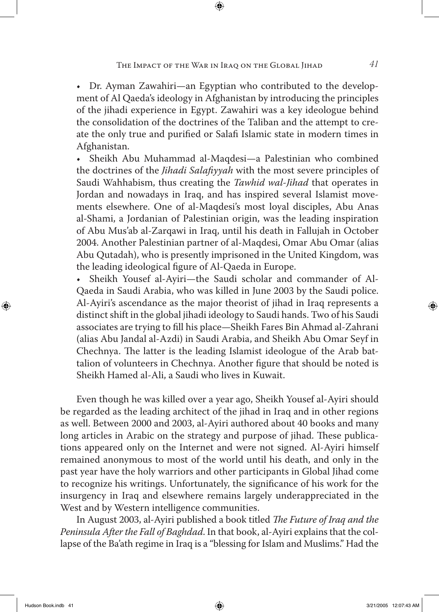• Dr. Ayman Zawahiri—an Egyptian who contributed to the development of Al Qaeda's ideology in Afghanistan by introducing the principles of the jihadi experience in Egypt. Zawahiri was a key ideologue behind the consolidation of the doctrines of the Taliban and the attempt to create the only true and purified or Salafi Islamic state in modern times in Afghanistan.

• Sheikh Abu Muhammad al-Maqdesi—a Palestinian who combined the doctrines of the *Jihadi Salafiyyah* with the most severe principles of Saudi Wahhabism, thus creating the *Tawhid wal-Jihad* that operates in Jordan and nowadays in Iraq, and has inspired several Islamist movements elsewhere. One of al-Maqdesi's most loyal disciples, Abu Anas al-Shami, a Jordanian of Palestinian origin, was the leading inspiration of Abu Mus'ab al-Zarqawi in Iraq, until his death in Fallujah in October 2004. Another Palestinian partner of al-Maqdesi, Omar Abu Omar (alias Abu Qutadah), who is presently imprisoned in the United Kingdom, was the leading ideological figure of Al-Qaeda in Europe.

• Sheikh Yousef al-Ayiri—the Saudi scholar and commander of Al-Qaeda in Saudi Arabia, who was killed in June 2003 by the Saudi police. Al-Ayiri's ascendance as the major theorist of jihad in Iraq represents a distinct shift in the global jihadi ideology to Saudi hands. Two of his Saudi associates are trying to fill his place—Sheikh Fares Bin Ahmad al-Zahrani (alias Abu Jandal al-Azdi) in Saudi Arabia, and Sheikh Abu Omar Seyf in Chechnya. The latter is the leading Islamist ideologue of the Arab battalion of volunteers in Chechnya. Another figure that should be noted is Sheikh Hamed al-Ali, a Saudi who lives in Kuwait.

Even though he was killed over a year ago, Sheikh Yousef al-Ayiri should be regarded as the leading architect of the jihad in Iraq and in other regions as well. Between 2000 and 2003, al-Ayiri authored about 40 books and many long articles in Arabic on the strategy and purpose of jihad. These publications appeared only on the Internet and were not signed. Al-Ayiri himself remained anonymous to most of the world until his death, and only in the past year have the holy warriors and other participants in Global Jihad come to recognize his writings. Unfortunately, the significance of his work for the insurgency in Iraq and elsewhere remains largely underappreciated in the West and by Western intelligence communities.

In August 2003, al-Ayiri published a book titled *The Future of Iraq and the Peninsula After the Fall of Baghdad*. In that book, al-Ayiri explains that the collapse of the Ba'ath regime in Iraq is a "blessing for Islam and Muslims." Had the

⊕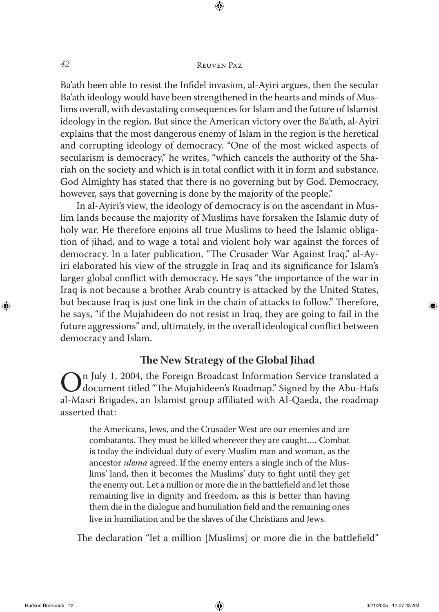#### *42* REUVEN PAZ

⊕

Ba'ath been able to resist the Infidel invasion, al-Ayiri argues, then the secular Ba'ath ideology would have been strengthened in the hearts and minds of Muslims overall, with devastating consequences for Islam and the future of Islamist ideology in the region. But since the American victory over the Ba'ath, al-Ayiri explains that the most dangerous enemy of Islam in the region is the heretical and corrupting ideology of democracy. "One of the most wicked aspects of secularism is democracy," he writes, "which cancels the authority of the Shariah on the society and which is in total conflict with it in form and substance. God Almighty has stated that there is no governing but by God. Democracy, however, says that governing is done by the majority of the people."

In al-Ayiri's view, the ideology of democracy is on the ascendant in Muslim lands because the majority of Muslims have forsaken the Islamic duty of holy war. He therefore enjoins all true Muslims to heed the Islamic obligation of jihad, and to wage a total and violent holy war against the forces of democracy. In a later publication, "The Crusader War Against Iraq," al-Ayiri elaborated his view of the struggle in Iraq and its significance for Islam's larger global conflict with democracy. He says "the importance of the war in Iraq is not because a brother Arab country is attacked by the United States, but because Iraq is just one link in the chain of attacks to follow." Therefore, he says, "if the Mujahideen do not resist in Iraq, they are going to fail in the future aggressions" and, ultimately, in the overall ideological conflict between democracy and Islam.

### **The New Strategy of the Global Jihad**

**On** July 1, 2004, the Foreign Broadcast Information Service translated a<br>document titled "The Mujahideen's Roadmap." Signed by the Abu-Hafs<br>al-Masri Brigades, an Islamist group affiliated with Al-Qaeda, the roadman document titled "The Mujahideen's Roadmap." Signed by the Abu-Hafs al-Masri Brigades, an Islamist group affiliated with Al-Qaeda, the roadmap asserted that:

the Americans, Jews, and the Crusader West are our enemies and are combatants. They must be killed wherever they are caught.… Combat is today the individual duty of every Muslim man and woman, as the ancestor *ulema* agreed. If the enemy enters a single inch of the Muslims' land, then it becomes the Muslims' duty to fight until they get the enemy out. Let a million or more die in the battlefield and let those remaining live in dignity and freedom, as this is better than having them die in the dialogue and humiliation field and the remaining ones live in humiliation and be the slaves of the Christians and Jews.

The declaration "let a million [Muslims] or more die in the battlefield"

⊕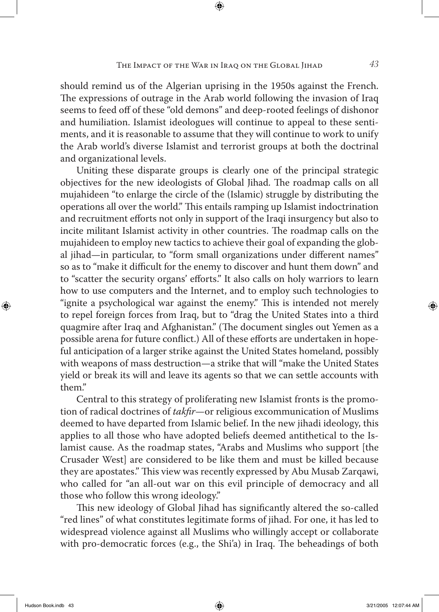should remind us of the Algerian uprising in the 1950s against the French. The expressions of outrage in the Arab world following the invasion of Iraq seems to feed off of these "old demons" and deep-rooted feelings of dishonor and humiliation. Islamist ideologues will continue to appeal to these sentiments, and it is reasonable to assume that they will continue to work to unify the Arab world's diverse Islamist and terrorist groups at both the doctrinal and organizational levels.

Uniting these disparate groups is clearly one of the principal strategic objectives for the new ideologists of Global Jihad. The roadmap calls on all mujahideen "to enlarge the circle of the (Islamic) struggle by distributing the operations all over the world." This entails ramping up Islamist indoctrination and recruitment efforts not only in support of the Iraqi insurgency but also to incite militant Islamist activity in other countries. The roadmap calls on the mujahideen to employ new tactics to achieve their goal of expanding the global jihad—in particular, to "form small organizations under different names" so as to "make it difficult for the enemy to discover and hunt them down" and to "scatter the security organs' efforts." It also calls on holy warriors to learn how to use computers and the Internet, and to employ such technologies to "ignite a psychological war against the enemy." This is intended not merely to repel foreign forces from Iraq, but to "drag the United States into a third quagmire after Iraq and Afghanistan." (The document singles out Yemen as a possible arena for future conflict.) All of these efforts are undertaken in hopeful anticipation of a larger strike against the United States homeland, possibly with weapons of mass destruction—a strike that will "make the United States yield or break its will and leave its agents so that we can settle accounts with them."

Central to this strategy of proliferating new Islamist fronts is the promotion of radical doctrines of *takfir*—or religious excommunication of Muslims deemed to have departed from Islamic belief. In the new jihadi ideology, this applies to all those who have adopted beliefs deemed antithetical to the Islamist cause. As the roadmap states, "Arabs and Muslims who support [the Crusader West] are considered to be like them and must be killed because they are apostates." This view was recently expressed by Abu Musab Zarqawi, who called for "an all-out war on this evil principle of democracy and all those who follow this wrong ideology."

This new ideology of Global Jihad has significantly altered the so-called "red lines" of what constitutes legitimate forms of jihad. For one, it has led to widespread violence against all Muslims who willingly accept or collaborate with pro-democratic forces (e.g., the Shi'a) in Iraq. The beheadings of both

⊕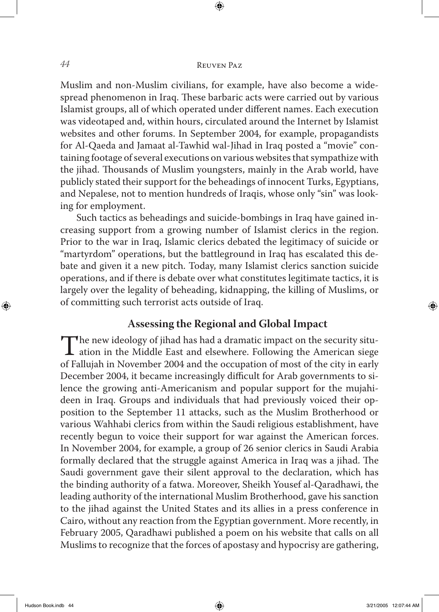#### *44* REUVEN PAZ

⊕

Muslim and non-Muslim civilians, for example, have also become a widespread phenomenon in Iraq. These barbaric acts were carried out by various Islamist groups, all of which operated under different names. Each execution was videotaped and, within hours, circulated around the Internet by Islamist websites and other forums. In September 2004, for example, propagandists for Al-Qaeda and Jamaat al-Tawhid wal-Jihad in Iraq posted a "movie" containing footage of several executions on various websites that sympathize with the jihad. Thousands of Muslim youngsters, mainly in the Arab world, have publicly stated their support for the beheadings of innocent Turks, Egyptians, and Nepalese, not to mention hundreds of Iraqis, whose only "sin" was looking for employment.

Such tactics as beheadings and suicide-bombings in Iraq have gained increasing support from a growing number of Islamist clerics in the region. Prior to the war in Iraq, Islamic clerics debated the legitimacy of suicide or "martyrdom" operations, but the battleground in Iraq has escalated this debate and given it a new pitch. Today, many Islamist clerics sanction suicide operations, and if there is debate over what constitutes legitimate tactics, it is largely over the legality of beheading, kidnapping, the killing of Muslims, or of committing such terrorist acts outside of Iraq.

# **Assessing the Regional and Global Impact**

The new ideology of jihad has had a dramatic impact on the security situ-<br>ation in the Middle East and elsewhere. Following the American siege<br>of Fallujah in November 2004 and the occupation of most of the city in early ation in the Middle East and elsewhere. Following the American siege of Fallujah in November 2004 and the occupation of most of the city in early December 2004, it became increasingly difficult for Arab governments to silence the growing anti-Americanism and popular support for the mujahideen in Iraq. Groups and individuals that had previously voiced their opposition to the September 11 attacks, such as the Muslim Brotherhood or various Wahhabi clerics from within the Saudi religious establishment, have recently begun to voice their support for war against the American forces. In November 2004, for example, a group of 26 senior clerics in Saudi Arabia formally declared that the struggle against America in Iraq was a jihad. The Saudi government gave their silent approval to the declaration, which has the binding authority of a fatwa. Moreover, Sheikh Yousef al-Qaradhawi, the leading authority of the international Muslim Brotherhood, gave his sanction to the jihad against the United States and its allies in a press conference in Cairo, without any reaction from the Egyptian government. More recently, in February 2005, Qaradhawi published a poem on his website that calls on all Muslims to recognize that the forces of apostasy and hypocrisy are gathering,

⊕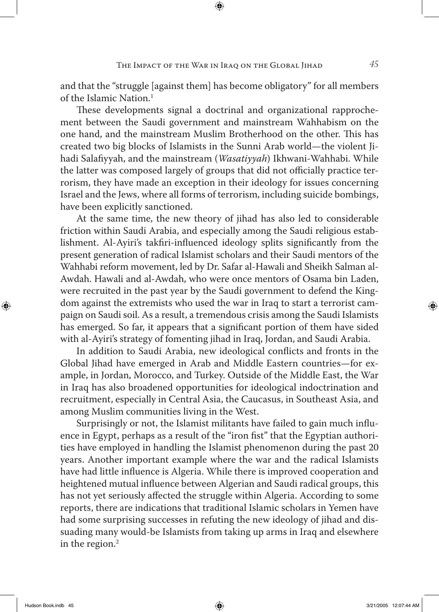and that the "struggle [against them] has become obligatory" for all members of the Islamic Nation.<sup>1</sup>

These developments signal a doctrinal and organizational rapprochement between the Saudi government and mainstream Wahhabism on the one hand, and the mainstream Muslim Brotherhood on the other. This has created two big blocks of Islamists in the Sunni Arab world—the violent Jihadi Salafiyyah, and the mainstream (*Wasatiyyah*) Ikhwani-Wahhabi. While the latter was composed largely of groups that did not officially practice terrorism, they have made an exception in their ideology for issues concerning Israel and the Jews, where all forms of terrorism, including suicide bombings, have been explicitly sanctioned.

At the same time, the new theory of jihad has also led to considerable friction within Saudi Arabia, and especially among the Saudi religious establishment. Al-Ayiri's takfiri-influenced ideology splits significantly from the present generation of radical Islamist scholars and their Saudi mentors of the Wahhabi reform movement, led by Dr. Safar al-Hawali and Sheikh Salman al-Awdah. Hawali and al-Awdah, who were once mentors of Osama bin Laden, were recruited in the past year by the Saudi government to defend the Kingdom against the extremists who used the war in Iraq to start a terrorist campaign on Saudi soil. As a result, a tremendous crisis among the Saudi Islamists has emerged. So far, it appears that a significant portion of them have sided with al-Ayiri's strategy of fomenting jihad in Iraq, Jordan, and Saudi Arabia.

In addition to Saudi Arabia, new ideological conflicts and fronts in the Global Jihad have emerged in Arab and Middle Eastern countries—for example, in Jordan, Morocco, and Turkey. Outside of the Middle East, the War in Iraq has also broadened opportunities for ideological indoctrination and recruitment, especially in Central Asia, the Caucasus, in Southeast Asia, and among Muslim communities living in the West.

Surprisingly or not, the Islamist militants have failed to gain much influence in Egypt, perhaps as a result of the "iron fist" that the Egyptian authorities have employed in handling the Islamist phenomenon during the past 20 years. Another important example where the war and the radical Islamists have had little influence is Algeria. While there is improved cooperation and heightened mutual influence between Algerian and Saudi radical groups, this has not yet seriously affected the struggle within Algeria. According to some reports, there are indications that traditional Islamic scholars in Yemen have had some surprising successes in refuting the new ideology of jihad and dissuading many would-be Islamists from taking up arms in Iraq and elsewhere in the region. $2$ 

⊕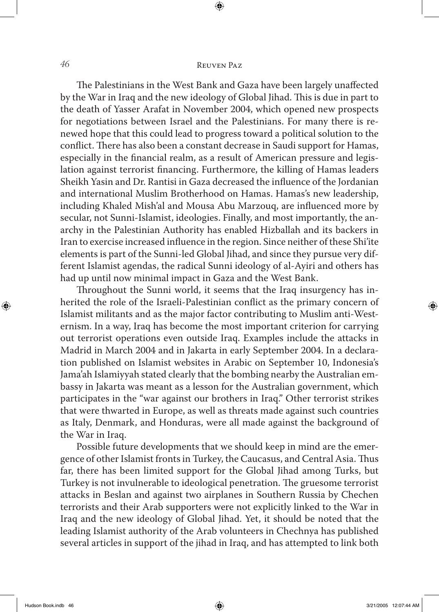#### *46* REUVEN PAZ

⊕

The Palestinians in the West Bank and Gaza have been largely unaffected by the War in Iraq and the new ideology of Global Jihad. This is due in part to the death of Yasser Arafat in November 2004, which opened new prospects for negotiations between Israel and the Palestinians. For many there is renewed hope that this could lead to progress toward a political solution to the conflict. There has also been a constant decrease in Saudi support for Hamas, especially in the financial realm, as a result of American pressure and legislation against terrorist financing. Furthermore, the killing of Hamas leaders Sheikh Yasin and Dr. Rantisi in Gaza decreased the influence of the Jordanian and international Muslim Brotherhood on Hamas. Hamas's new leadership, including Khaled Mish'al and Mousa Abu Marzouq, are influenced more by secular, not Sunni-Islamist, ideologies. Finally, and most importantly, the anarchy in the Palestinian Authority has enabled Hizballah and its backers in Iran to exercise increased influence in the region. Since neither of these Shi'ite elements is part of the Sunni-led Global Jihad, and since they pursue very different Islamist agendas, the radical Sunni ideology of al-Ayiri and others has had up until now minimal impact in Gaza and the West Bank.

Throughout the Sunni world, it seems that the Iraq insurgency has inherited the role of the Israeli-Palestinian conflict as the primary concern of Islamist militants and as the major factor contributing to Muslim anti-Westernism. In a way, Iraq has become the most important criterion for carrying out terrorist operations even outside Iraq. Examples include the attacks in Madrid in March 2004 and in Jakarta in early September 2004. In a declaration published on Islamist websites in Arabic on September 10, Indonesia's Jama'ah Islamiyyah stated clearly that the bombing nearby the Australian embassy in Jakarta was meant as a lesson for the Australian government, which participates in the "war against our brothers in Iraq." Other terrorist strikes that were thwarted in Europe, as well as threats made against such countries as Italy, Denmark, and Honduras, were all made against the background of the War in Iraq.

Possible future developments that we should keep in mind are the emergence of other Islamist fronts in Turkey, the Caucasus, and Central Asia. Thus far, there has been limited support for the Global Jihad among Turks, but Turkey is not invulnerable to ideological penetration. The gruesome terrorist attacks in Beslan and against two airplanes in Southern Russia by Chechen terrorists and their Arab supporters were not explicitly linked to the War in Iraq and the new ideology of Global Jihad. Yet, it should be noted that the leading Islamist authority of the Arab volunteers in Chechnya has published several articles in support of the jihad in Iraq, and has attempted to link both

⊕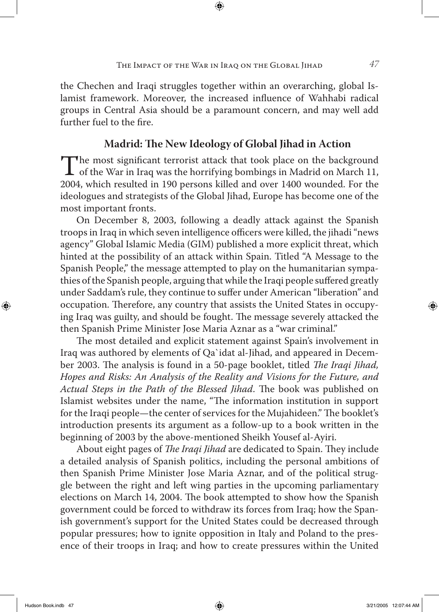the Chechen and Iraqi struggles together within an overarching, global Islamist framework. Moreover, the increased influence of Wahhabi radical groups in Central Asia should be a paramount concern, and may well add further fuel to the fire.

# **Madrid: The New Ideology of Global Jihad in Action**

The most significant terrorist attack that took place on the background<br>of the War in Iraq was the horrifying bombings in Madrid on March 11,<br>2004, which resulted in 190 persons killed and over 1400 wounded. For the of the War in Iraq was the horrifying bombings in Madrid on March 11, 2004, which resulted in 190 persons killed and over 1400 wounded. For the ideologues and strategists of the Global Jihad, Europe has become one of the most important fronts.

On December 8, 2003, following a deadly attack against the Spanish troops in Iraq in which seven intelligence officers were killed, the jihadi "news agency" Global Islamic Media (GIM) published a more explicit threat, which hinted at the possibility of an attack within Spain. Titled "A Message to the Spanish People," the message attempted to play on the humanitarian sympathies of the Spanish people, arguing that while the Iraqi people suffered greatly under Saddam's rule, they continue to suffer under American "liberation" and occupation. Therefore, any country that assists the United States in occupying Iraq was guilty, and should be fought. The message severely attacked the then Spanish Prime Minister Jose Maria Aznar as a "war criminal."

The most detailed and explicit statement against Spain's involvement in Iraq was authored by elements of Qa`idat al-Jihad, and appeared in December 2003. The analysis is found in a 50-page booklet, titled *The Iraqi Jihad, Hopes and Risks: An Analysis of the Reality and Visions for the Future, and Actual Steps in the Path of the Blessed Jihad*. The book was published on Islamist websites under the name, "The information institution in support for the Iraqi people—the center of services for the Mujahideen." The booklet's introduction presents its argument as a follow-up to a book written in the beginning of 2003 by the above-mentioned Sheikh Yousef al-Ayiri.

About eight pages of *The Iraqi Jihad* are dedicated to Spain. They include a detailed analysis of Spanish politics, including the personal ambitions of then Spanish Prime Minister Jose Maria Aznar, and of the political struggle between the right and left wing parties in the upcoming parliamentary elections on March 14, 2004. The book attempted to show how the Spanish government could be forced to withdraw its forces from Iraq; how the Spanish government's support for the United States could be decreased through popular pressures; how to ignite opposition in Italy and Poland to the presence of their troops in Iraq; and how to create pressures within the United

⊕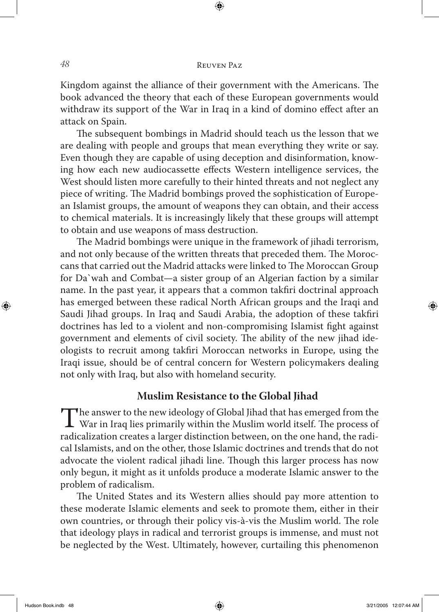#### *48* REUVEN PAZ

⊕

Kingdom against the alliance of their government with the Americans. The book advanced the theory that each of these European governments would withdraw its support of the War in Iraq in a kind of domino effect after an attack on Spain.

The subsequent bombings in Madrid should teach us the lesson that we are dealing with people and groups that mean everything they write or say. Even though they are capable of using deception and disinformation, knowing how each new audiocassette effects Western intelligence services, the West should listen more carefully to their hinted threats and not neglect any piece of writing. The Madrid bombings proved the sophistication of European Islamist groups, the amount of weapons they can obtain, and their access to chemical materials. It is increasingly likely that these groups will attempt to obtain and use weapons of mass destruction.

The Madrid bombings were unique in the framework of jihadi terrorism, and not only because of the written threats that preceded them. The Moroccans that carried out the Madrid attacks were linked to The Moroccan Group for Da`wah and Combat—a sister group of an Algerian faction by a similar name. In the past year, it appears that a common takfiri doctrinal approach has emerged between these radical North African groups and the Iraqi and Saudi Jihad groups. In Iraq and Saudi Arabia, the adoption of these takfiri doctrines has led to a violent and non-compromising Islamist fight against government and elements of civil society. The ability of the new jihad ideologists to recruit among takfiri Moroccan networks in Europe, using the Iraqi issue, should be of central concern for Western policymakers dealing not only with Iraq, but also with homeland security.

#### **Muslim Resistance to the Global Jihad**

The answer to the new ideology of Global Jihad that has emerged from the<br>War in Iraq lies primarily within the Muslim world itself. The process of<br>radicalization creates a larger distinction between, on the one hand, the r War in Iraq lies primarily within the Muslim world itself. The process of radicalization creates a larger distinction between, on the one hand, the radical Islamists, and on the other, those Islamic doctrines and trends that do not advocate the violent radical jihadi line. Though this larger process has now only begun, it might as it unfolds produce a moderate Islamic answer to the problem of radicalism.

The United States and its Western allies should pay more attention to these moderate Islamic elements and seek to promote them, either in their own countries, or through their policy vis-à-vis the Muslim world. The role that ideology plays in radical and terrorist groups is immense, and must not be neglected by the West. Ultimately, however, curtailing this phenomenon

⊕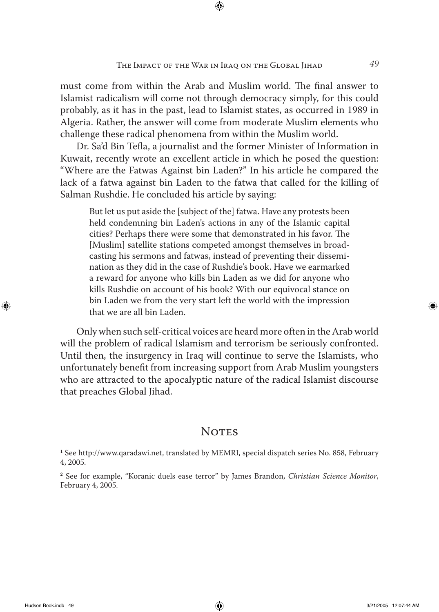must come from within the Arab and Muslim world. The final answer to Islamist radicalism will come not through democracy simply, for this could probably, as it has in the past, lead to Islamist states, as occurred in 1989 in Algeria. Rather, the answer will come from moderate Muslim elements who challenge these radical phenomena from within the Muslim world.

Dr. Sa'd Bin Tefla, a journalist and the former Minister of Information in Kuwait, recently wrote an excellent article in which he posed the question: "Where are the Fatwas Against bin Laden?" In his article he compared the lack of a fatwa against bin Laden to the fatwa that called for the killing of Salman Rushdie. He concluded his article by saying:

But let us put aside the [subject of the] fatwa. Have any protests been held condemning bin Laden's actions in any of the Islamic capital cities? Perhaps there were some that demonstrated in his favor. The [Muslim] satellite stations competed amongst themselves in broadcasting his sermons and fatwas, instead of preventing their dissemination as they did in the case of Rushdie's book. Have we earmarked a reward for anyone who kills bin Laden as we did for anyone who kills Rushdie on account of his book? With our equivocal stance on bin Laden we from the very start left the world with the impression that we are all bin Laden.

Only when such self-critical voices are heard more often in the Arab world will the problem of radical Islamism and terrorism be seriously confronted. Until then, the insurgency in Iraq will continue to serve the Islamists, who unfortunately benefit from increasing support from Arab Muslim youngsters who are attracted to the apocalyptic nature of the radical Islamist discourse that preaches Global Jihad.

# **NOTES**

⊕

**<sup>1</sup>** See http://www.qaradawi.net, translated by MEMRI, special dispatch series No. 858, February 4, 2005.

**<sup>2</sup>** See for example, "Koranic duels ease terror" by James Brandon, *Christian Science Monitor*, February 4, 2005.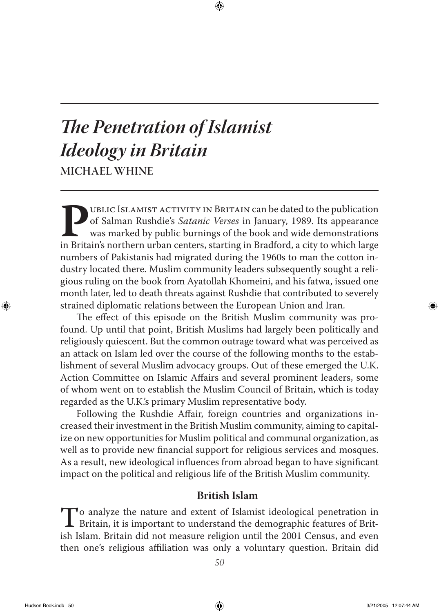# *The Penetration of Islamist Ideology in Britain*

**MICHAEL WHINE**

**PUBLIC ISLAMIST ACTIVITY IN BRITAIN can be dated to the publication** of Salman Rushdie's *Satanic Verses* in January, 1989. Its appearance was marked by public burnings of the book and wide demonstrations in Britain's nor of Salman Rushdie's *Satanic Verses* in January, 1989. Its appearance was marked by public burnings of the book and wide demonstrations numbers of Pakistanis had migrated during the 1960s to man the cotton industry located there. Muslim community leaders subsequently sought a religious ruling on the book from Ayatollah Khomeini, and his fatwa, issued one month later, led to death threats against Rushdie that contributed to severely strained diplomatic relations between the European Union and Iran.

⊕

The effect of this episode on the British Muslim community was profound. Up until that point, British Muslims had largely been politically and religiously quiescent. But the common outrage toward what was perceived as an attack on Islam led over the course of the following months to the establishment of several Muslim advocacy groups. Out of these emerged the U.K. Action Committee on Islamic Affairs and several prominent leaders, some of whom went on to establish the Muslim Council of Britain, which is today regarded as the U.K.'s primary Muslim representative body.

Following the Rushdie Affair, foreign countries and organizations increased their investment in the British Muslim community, aiming to capitalize on new opportunities for Muslim political and communal organization, as well as to provide new financial support for religious services and mosques. As a result, new ideological influences from abroad began to have significant impact on the political and religious life of the British Muslim community.

#### **British Islam**

To analyze the nature and extent of Islamist ideological penetration in<br>Britain, it is important to understand the demographic features of Brit-<br>ish Islam, Britain did not measure religion until the 2001 Census, and even Britain, it is important to understand the demographic features of British Islam. Britain did not measure religion until the 2001 Census, and even then one's religious affiliation was only a voluntary question. Britain did

*50*

⊕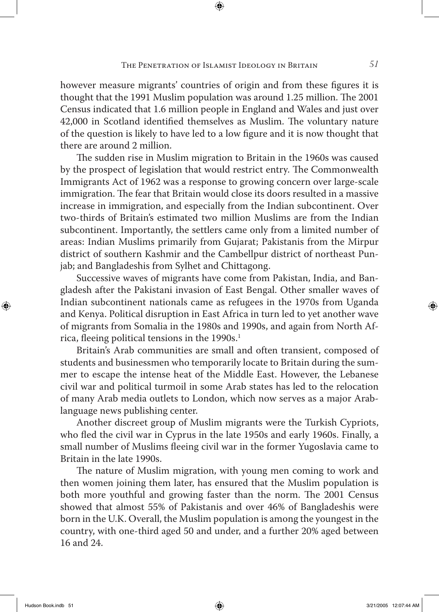however measure migrants' countries of origin and from these figures it is thought that the 1991 Muslim population was around 1.25 million. The 2001 Census indicated that 1.6 million people in England and Wales and just over 42,000 in Scotland identified themselves as Muslim. The voluntary nature of the question is likely to have led to a low figure and it is now thought that there are around 2 million.

The sudden rise in Muslim migration to Britain in the 1960s was caused by the prospect of legislation that would restrict entry. The Commonwealth Immigrants Act of 1962 was a response to growing concern over large-scale immigration. The fear that Britain would close its doors resulted in a massive increase in immigration, and especially from the Indian subcontinent. Over two-thirds of Britain's estimated two million Muslims are from the Indian subcontinent. Importantly, the settlers came only from a limited number of areas: Indian Muslims primarily from Gujarat; Pakistanis from the Mirpur district of southern Kashmir and the Cambellpur district of northeast Punjab; and Bangladeshis from Sylhet and Chittagong.

Successive waves of migrants have come from Pakistan, India, and Bangladesh after the Pakistani invasion of East Bengal. Other smaller waves of Indian subcontinent nationals came as refugees in the 1970s from Uganda and Kenya. Political disruption in East Africa in turn led to yet another wave of migrants from Somalia in the 1980s and 1990s, and again from North Africa, fleeing political tensions in the  $1990s<sup>1</sup>$ .

Britain's Arab communities are small and often transient, composed of students and businessmen who temporarily locate to Britain during the summer to escape the intense heat of the Middle East. However, the Lebanese civil war and political turmoil in some Arab states has led to the relocation of many Arab media outlets to London, which now serves as a major Arablanguage news publishing center.

Another discreet group of Muslim migrants were the Turkish Cypriots, who fled the civil war in Cyprus in the late 1950s and early 1960s. Finally, a small number of Muslims fleeing civil war in the former Yugoslavia came to Britain in the late 1990s.

The nature of Muslim migration, with young men coming to work and then women joining them later, has ensured that the Muslim population is both more youthful and growing faster than the norm. The 2001 Census showed that almost 55% of Pakistanis and over 46% of Bangladeshis were born in the U.K. Overall, the Muslim population is among the youngest in the country, with one-third aged 50 and under, and a further 20% aged between 16 and 24.

⊕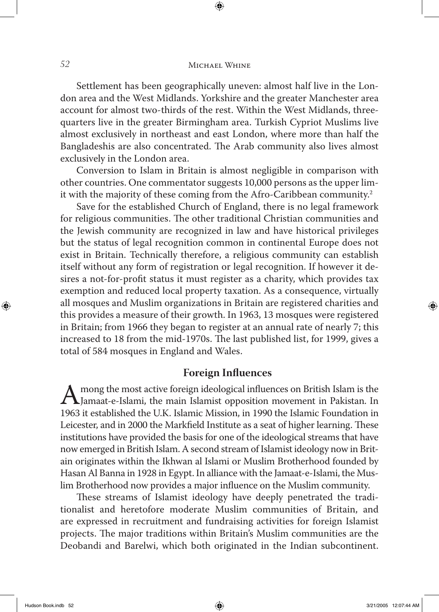#### *52* MICHAEL WHINE

⊕

Settlement has been geographically uneven: almost half live in the London area and the West Midlands. Yorkshire and the greater Manchester area account for almost two-thirds of the rest. Within the West Midlands, threequarters live in the greater Birmingham area. Turkish Cypriot Muslims live almost exclusively in northeast and east London, where more than half the Bangladeshis are also concentrated. The Arab community also lives almost exclusively in the London area.

Conversion to Islam in Britain is almost negligible in comparison with other countries. One commentator suggests 10,000 persons as the upper limit with the majority of these coming from the Afro-Caribbean community.<sup>2</sup>

Save for the established Church of England, there is no legal framework for religious communities. The other traditional Christian communities and the Jewish community are recognized in law and have historical privileges but the status of legal recognition common in continental Europe does not exist in Britain. Technically therefore, a religious community can establish itself without any form of registration or legal recognition. If however it desires a not-for-profit status it must register as a charity, which provides tax exemption and reduced local property taxation. As a consequence, virtually all mosques and Muslim organizations in Britain are registered charities and this provides a measure of their growth. In 1963, 13 mosques were registered in Britain; from 1966 they began to register at an annual rate of nearly 7; this increased to 18 from the mid-1970s. The last published list, for 1999, gives a total of 584 mosques in England and Wales.

#### **Foreign Influences**

A mong the most active foreign ideological influences on British Islam is the<br>Jamaat-e-Islami, the main Islamist opposition movement in Pakistan. In<br>1963 it established the UK Islamic Mission, in 1990 the Islamic Foundatio Jamaat-e-Islami, the main Islamist opposition movement in Pakistan. In 1963 it established the U.K. Islamic Mission, in 1990 the Islamic Foundation in Leicester, and in 2000 the Markfield Institute as a seat of higher learning. These institutions have provided the basis for one of the ideological streams that have now emerged in British Islam. A second stream of Islamist ideology now in Britain originates within the Ikhwan al Islami or Muslim Brotherhood founded by Hasan Al Banna in 1928 in Egypt. In alliance with the Jamaat-e-Islami, the Muslim Brotherhood now provides a major influence on the Muslim community.

These streams of Islamist ideology have deeply penetrated the traditionalist and heretofore moderate Muslim communities of Britain, and are expressed in recruitment and fundraising activities for foreign Islamist projects. The major traditions within Britain's Muslim communities are the Deobandi and Barelwi, which both originated in the Indian subcontinent.

⊕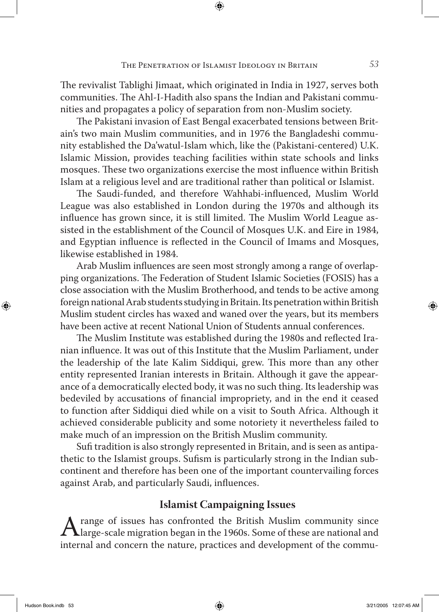The revivalist Tablighi Jimaat, which originated in India in 1927, serves both communities. The Ahl-I-Hadith also spans the Indian and Pakistani communities and propagates a policy of separation from non-Muslim society.

The Pakistani invasion of East Bengal exacerbated tensions between Britain's two main Muslim communities, and in 1976 the Bangladeshi community established the Da'watul-Islam which, like the (Pakistani-centered) U.K. Islamic Mission, provides teaching facilities within state schools and links mosques. These two organizations exercise the most influence within British Islam at a religious level and are traditional rather than political or Islamist.

The Saudi-funded, and therefore Wahhabi-influenced, Muslim World League was also established in London during the 1970s and although its influence has grown since, it is still limited. The Muslim World League assisted in the establishment of the Council of Mosques U.K. and Eire in 1984, and Egyptian influence is reflected in the Council of Imams and Mosques, likewise established in 1984.

Arab Muslim influences are seen most strongly among a range of overlapping organizations. The Federation of Student Islamic Societies (FOSIS) has a close association with the Muslim Brotherhood, and tends to be active among foreign national Arab students studying in Britain. Its penetration within British Muslim student circles has waxed and waned over the years, but its members have been active at recent National Union of Students annual conferences.

The Muslim Institute was established during the 1980s and reflected Iranian influence. It was out of this Institute that the Muslim Parliament, under the leadership of the late Kalim Siddiqui, grew. This more than any other entity represented Iranian interests in Britain. Although it gave the appearance of a democratically elected body, it was no such thing. Its leadership was bedeviled by accusations of financial impropriety, and in the end it ceased to function after Siddiqui died while on a visit to South Africa. Although it achieved considerable publicity and some notoriety it nevertheless failed to make much of an impression on the British Muslim community.

Sufi tradition is also strongly represented in Britain, and is seen as antipathetic to the Islamist groups. Sufism is particularly strong in the Indian subcontinent and therefore has been one of the important countervailing forces against Arab, and particularly Saudi, influences.

#### **Islamist Campaigning Issues**

A range of issues has confronted the British Muslim community since<br>
large-scale migration began in the 1960s. Some of these are national and<br>
internal and concern the nature practices and development of the commularge-scale migration began in the 1960s. Some of these are national and internal and concern the nature, practices and development of the commu-

⊕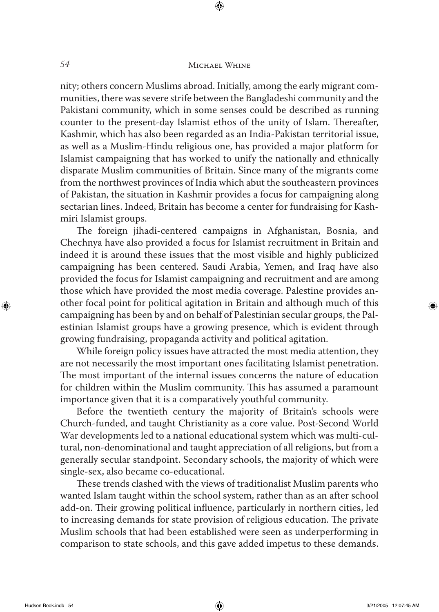#### *54* MICHAEL WHINE

⊕

nity; others concern Muslims abroad. Initially, among the early migrant communities, there was severe strife between the Bangladeshi community and the Pakistani community, which in some senses could be described as running counter to the present-day Islamist ethos of the unity of Islam. Thereafter, Kashmir, which has also been regarded as an India-Pakistan territorial issue, as well as a Muslim-Hindu religious one, has provided a major platform for Islamist campaigning that has worked to unify the nationally and ethnically disparate Muslim communities of Britain. Since many of the migrants come from the northwest provinces of India which abut the southeastern provinces of Pakistan, the situation in Kashmir provides a focus for campaigning along sectarian lines. Indeed, Britain has become a center for fundraising for Kashmiri Islamist groups.

The foreign jihadi-centered campaigns in Afghanistan, Bosnia, and Chechnya have also provided a focus for Islamist recruitment in Britain and indeed it is around these issues that the most visible and highly publicized campaigning has been centered. Saudi Arabia, Yemen, and Iraq have also provided the focus for Islamist campaigning and recruitment and are among those which have provided the most media coverage. Palestine provides another focal point for political agitation in Britain and although much of this campaigning has been by and on behalf of Palestinian secular groups, the Palestinian Islamist groups have a growing presence, which is evident through growing fundraising, propaganda activity and political agitation.

While foreign policy issues have attracted the most media attention, they are not necessarily the most important ones facilitating Islamist penetration. The most important of the internal issues concerns the nature of education for children within the Muslim community. This has assumed a paramount importance given that it is a comparatively youthful community.

Before the twentieth century the majority of Britain's schools were Church-funded, and taught Christianity as a core value. Post-Second World War developments led to a national educational system which was multi-cultural, non-denominational and taught appreciation of all religions, but from a generally secular standpoint. Secondary schools, the majority of which were single-sex, also became co-educational.

These trends clashed with the views of traditionalist Muslim parents who wanted Islam taught within the school system, rather than as an after school add-on. Their growing political influence, particularly in northern cities, led to increasing demands for state provision of religious education. The private Muslim schools that had been established were seen as underperforming in comparison to state schools, and this gave added impetus to these demands.

⊕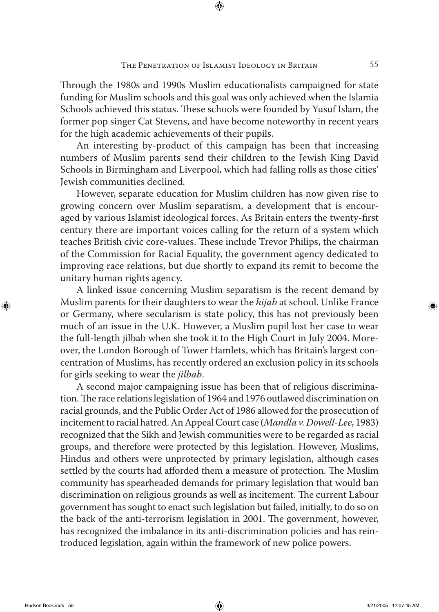Through the 1980s and 1990s Muslim educationalists campaigned for state funding for Muslim schools and this goal was only achieved when the Islamia Schools achieved this status. These schools were founded by Yusuf Islam, the former pop singer Cat Stevens, and have become noteworthy in recent years for the high academic achievements of their pupils.

An interesting by-product of this campaign has been that increasing numbers of Muslim parents send their children to the Jewish King David Schools in Birmingham and Liverpool, which had falling rolls as those cities' Jewish communities declined.

However, separate education for Muslim children has now given rise to growing concern over Muslim separatism, a development that is encouraged by various Islamist ideological forces. As Britain enters the twenty-first century there are important voices calling for the return of a system which teaches British civic core-values. These include Trevor Philips, the chairman of the Commission for Racial Equality, the government agency dedicated to improving race relations, but due shortly to expand its remit to become the unitary human rights agency.

A linked issue concerning Muslim separatism is the recent demand by Muslim parents for their daughters to wear the *hijab* at school. Unlike France or Germany, where secularism is state policy, this has not previously been much of an issue in the U.K. However, a Muslim pupil lost her case to wear the full-length jilbab when she took it to the High Court in July 2004. Moreover, the London Borough of Tower Hamlets, which has Britain's largest concentration of Muslims, has recently ordered an exclusion policy in its schools for girls seeking to wear the *jilbab*.

A second major campaigning issue has been that of religious discrimination. The race relations legislation of 1964 and 1976 outlawed discrimination on racial grounds, and the Public Order Act of 1986 allowed for the prosecution of incitement to racial hatred. An Appeal Court case (*Mandla v. Dowell-Lee*, 1983) recognized that the Sikh and Jewish communities were to be regarded as racial groups, and therefore were protected by this legislation. However, Muslims, Hindus and others were unprotected by primary legislation, although cases settled by the courts had afforded them a measure of protection. The Muslim community has spearheaded demands for primary legislation that would ban discrimination on religious grounds as well as incitement. The current Labour government has sought to enact such legislation but failed, initially, to do so on the back of the anti-terrorism legislation in 2001. The government, however, has recognized the imbalance in its anti-discrimination policies and has reintroduced legislation, again within the framework of new police powers.

⊕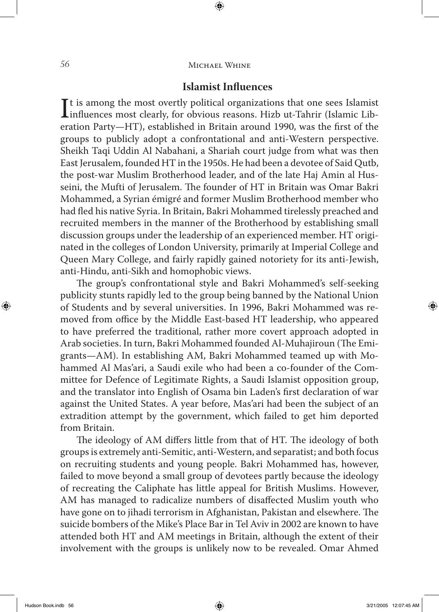#### *56* MICHAEL WHINE

⊕

#### **Islamist Influences**

 $\prod_{\alpha\in\mathbb{Z}}$  $\mathbf{T}$ t is among the most overtly political organizations that one sees Islamist influences most clearly, for obvious reasons. Hizb ut-Tahrir (Islamic Liberation Party—HT), established in Britain around 1990, was the first of the groups to publicly adopt a confrontational and anti-Western perspective. Sheikh Taqi Uddin Al Nabahani, a Shariah court judge from what was then East Jerusalem, founded HT in the 1950s. He had been a devotee of Said Qutb, the post-war Muslim Brotherhood leader, and of the late Haj Amin al Husseini, the Mufti of Jerusalem. The founder of HT in Britain was Omar Bakri Mohammed, a Syrian émigré and former Muslim Brotherhood member who had fled his native Syria. In Britain, Bakri Mohammed tirelessly preached and recruited members in the manner of the Brotherhood by establishing small discussion groups under the leadership of an experienced member. HT originated in the colleges of London University, primarily at Imperial College and Queen Mary College, and fairly rapidly gained notoriety for its anti-Jewish, anti-Hindu, anti-Sikh and homophobic views.

The group's confrontational style and Bakri Mohammed's self-seeking publicity stunts rapidly led to the group being banned by the National Union of Students and by several universities. In 1996, Bakri Mohammed was removed from office by the Middle East-based HT leadership, who appeared to have preferred the traditional, rather more covert approach adopted in Arab societies. In turn, Bakri Mohammed founded Al-Muhajiroun (The Emigrants—AM). In establishing AM, Bakri Mohammed teamed up with Mohammed Al Mas'ari, a Saudi exile who had been a co-founder of the Committee for Defence of Legitimate Rights, a Saudi Islamist opposition group, and the translator into English of Osama bin Laden's first declaration of war against the United States. A year before, Mas'ari had been the subject of an extradition attempt by the government, which failed to get him deported from Britain.

The ideology of AM differs little from that of HT. The ideology of both groups is extremely anti-Semitic, anti-Western, and separatist; and both focus on recruiting students and young people. Bakri Mohammed has, however, failed to move beyond a small group of devotees partly because the ideology of recreating the Caliphate has little appeal for British Muslims. However, AM has managed to radicalize numbers of disaffected Muslim youth who have gone on to jihadi terrorism in Afghanistan, Pakistan and elsewhere. The suicide bombers of the Mike's Place Bar in Tel Aviv in 2002 are known to have attended both HT and AM meetings in Britain, although the extent of their involvement with the groups is unlikely now to be revealed. Omar Ahmed

⊕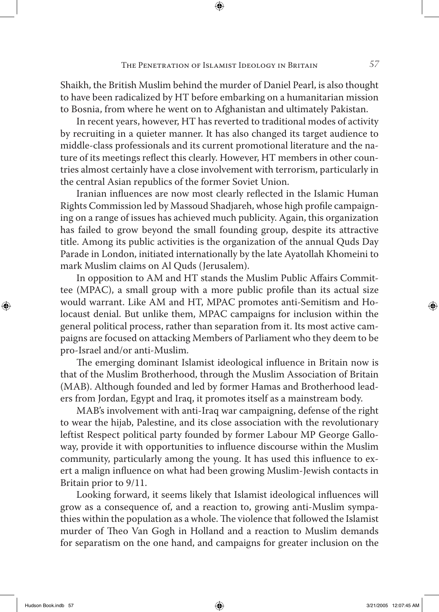Shaikh, the British Muslim behind the murder of Daniel Pearl, is also thought to have been radicalized by HT before embarking on a humanitarian mission to Bosnia, from where he went on to Afghanistan and ultimately Pakistan.

In recent years, however, HT has reverted to traditional modes of activity by recruiting in a quieter manner. It has also changed its target audience to middle-class professionals and its current promotional literature and the nature of its meetings reflect this clearly. However, HT members in other countries almost certainly have a close involvement with terrorism, particularly in the central Asian republics of the former Soviet Union.

Iranian influences are now most clearly reflected in the Islamic Human Rights Commission led by Massoud Shadjareh, whose high profile campaigning on a range of issues has achieved much publicity. Again, this organization has failed to grow beyond the small founding group, despite its attractive title. Among its public activities is the organization of the annual Quds Day Parade in London, initiated internationally by the late Ayatollah Khomeini to mark Muslim claims on Al Quds (Jerusalem).

In opposition to AM and HT stands the Muslim Public Affairs Committee (MPAC), a small group with a more public profile than its actual size would warrant. Like AM and HT, MPAC promotes anti-Semitism and Holocaust denial. But unlike them, MPAC campaigns for inclusion within the general political process, rather than separation from it. Its most active campaigns are focused on attacking Members of Parliament who they deem to be pro-Israel and/or anti-Muslim.

The emerging dominant Islamist ideological influence in Britain now is that of the Muslim Brotherhood, through the Muslim Association of Britain (MAB). Although founded and led by former Hamas and Brotherhood leaders from Jordan, Egypt and Iraq, it promotes itself as a mainstream body.

MAB's involvement with anti-Iraq war campaigning, defense of the right to wear the hijab, Palestine, and its close association with the revolutionary leftist Respect political party founded by former Labour MP George Galloway, provide it with opportunities to influence discourse within the Muslim community, particularly among the young. It has used this influence to exert a malign influence on what had been growing Muslim-Jewish contacts in Britain prior to 9/11.

Looking forward, it seems likely that Islamist ideological influences will grow as a consequence of, and a reaction to, growing anti-Muslim sympathies within the population as a whole. The violence that followed the Islamist murder of Theo Van Gogh in Holland and a reaction to Muslim demands for separatism on the one hand, and campaigns for greater inclusion on the

⊕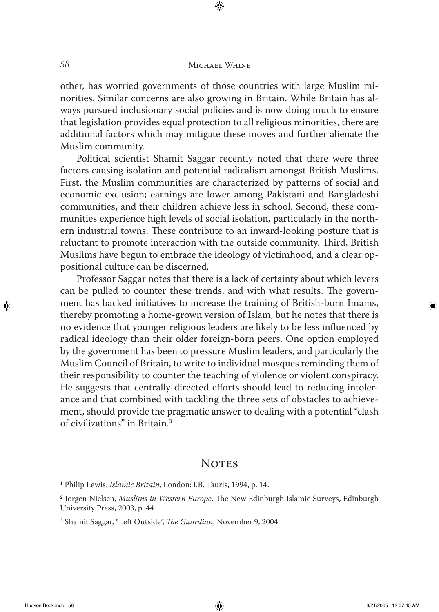#### *58* MICHAEL WHINE

⊕

other, has worried governments of those countries with large Muslim minorities. Similar concerns are also growing in Britain. While Britain has always pursued inclusionary social policies and is now doing much to ensure that legislation provides equal protection to all religious minorities, there are additional factors which may mitigate these moves and further alienate the Muslim community.

Political scientist Shamit Saggar recently noted that there were three factors causing isolation and potential radicalism amongst British Muslims. First, the Muslim communities are characterized by patterns of social and economic exclusion; earnings are lower among Pakistani and Bangladeshi communities, and their children achieve less in school. Second, these communities experience high levels of social isolation, particularly in the northern industrial towns. These contribute to an inward-looking posture that is reluctant to promote interaction with the outside community. Third, British Muslims have begun to embrace the ideology of victimhood, and a clear oppositional culture can be discerned.

Professor Saggar notes that there is a lack of certainty about which levers can be pulled to counter these trends, and with what results. The government has backed initiatives to increase the training of British-born Imams, thereby promoting a home-grown version of Islam, but he notes that there is no evidence that younger religious leaders are likely to be less influenced by radical ideology than their older foreign-born peers. One option employed by the government has been to pressure Muslim leaders, and particularly the Muslim Council of Britain, to write to individual mosques reminding them of their responsibility to counter the teaching of violence or violent conspiracy. He suggests that centrally-directed efforts should lead to reducing intolerance and that combined with tackling the three sets of obstacles to achievement, should provide the pragmatic answer to dealing with a potential "clash of civilizations" in Britain.3

# **NOTES**

⊕

**<sup>1</sup>** Philip Lewis, *Islamic Britain*, London: I.B. Tauris, 1994, p. 14.

**<sup>2</sup>** Jorgen Nielsen, *Muslims in Western Europe*, The New Edinburgh Islamic Surveys, Edinburgh University Press, 2003, p. 44.

**<sup>3</sup>** Shamit Saggar, "Left Outside", *The Guardian*, November 9, 2004.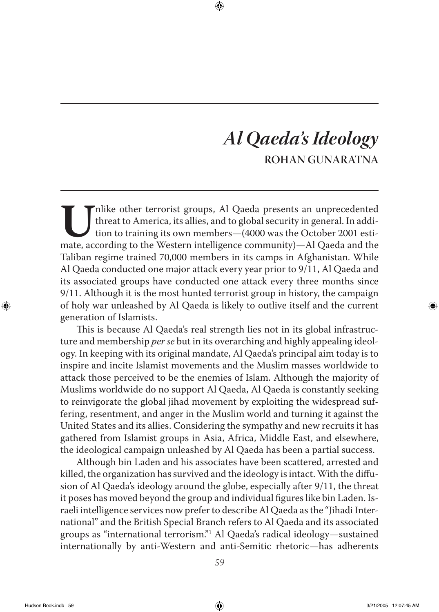# *Al Qaeda's Ideology* **ROHAN GUNARATNA**

Thike other terrorist groups, Al Qaeda presents an unprecedented threat to America, its allies, and to global security in general. In addition to training its own members—(4000 was the October 2001 estimate, according to t threat to America, its allies, and to global security in general. In addition to training its own members—(4000 was the October 2001 estimate, according to the Western intelligence community)—Al Qaeda and the Taliban regime trained 70,000 members in its camps in Afghanistan. While Al Qaeda conducted one major attack every year prior to 9/11, Al Qaeda and its associated groups have conducted one attack every three months since 9/11. Although it is the most hunted terrorist group in history, the campaign of holy war unleashed by Al Qaeda is likely to outlive itself and the current generation of Islamists.

⊕

This is because Al Qaeda's real strength lies not in its global infrastructure and membership *per se* but in its overarching and highly appealing ideology. In keeping with its original mandate, Al Qaeda's principal aim today is to inspire and incite Islamist movements and the Muslim masses worldwide to attack those perceived to be the enemies of Islam. Although the majority of Muslims worldwide do no support Al Qaeda, Al Qaeda is constantly seeking to reinvigorate the global jihad movement by exploiting the widespread suffering, resentment, and anger in the Muslim world and turning it against the United States and its allies. Considering the sympathy and new recruits it has gathered from Islamist groups in Asia, Africa, Middle East, and elsewhere, the ideological campaign unleashed by Al Qaeda has been a partial success.

Although bin Laden and his associates have been scattered, arrested and killed, the organization has survived and the ideology is intact. With the diffusion of Al Qaeda's ideology around the globe, especially after 9/11, the threat it poses has moved beyond the group and individual figures like bin Laden. Israeli intelligence services now prefer to describe Al Qaeda as the "Jihadi International" and the British Special Branch refers to Al Qaeda and its associated groups as "international terrorism."1 Al Qaeda's radical ideology—sustained internationally by anti-Western and anti-Semitic rhetoric—has adherents

⊕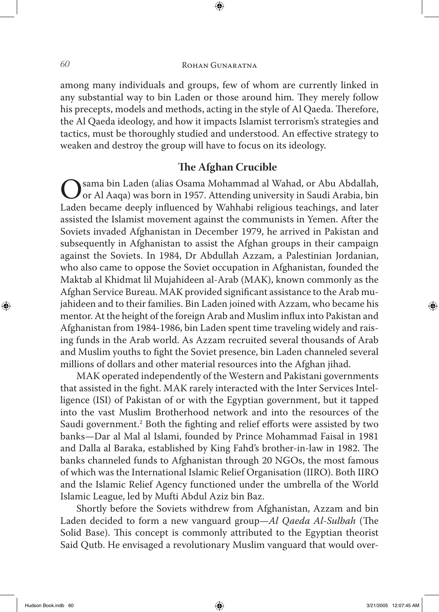#### *60* ROHAN GUNARATNA

⊕

among many individuals and groups, few of whom are currently linked in any substantial way to bin Laden or those around him. They merely follow his precepts, models and methods, acting in the style of Al Qaeda. Therefore, the Al Qaeda ideology, and how it impacts Islamist terrorism's strategies and tactics, must be thoroughly studied and understood. An effective strategy to weaken and destroy the group will have to focus on its ideology.

#### **The Afghan Crucible**

Sama bin Laden (alias Osama Mohammad al Wahad, or Abu Abdallah,<br>Oor Al Aaqa) was born in 1957. Attending university in Saudi Arabia, bin<br>Laden became deeply influenced by Wabbabi religious teachings, and later or Al Aaqa) was born in 1957. Attending university in Saudi Arabia, bin Laden became deeply influenced by Wahhabi religious teachings, and later assisted the Islamist movement against the communists in Yemen. After the Soviets invaded Afghanistan in December 1979, he arrived in Pakistan and subsequently in Afghanistan to assist the Afghan groups in their campaign against the Soviets. In 1984, Dr Abdullah Azzam, a Palestinian Jordanian, who also came to oppose the Soviet occupation in Afghanistan, founded the Maktab al Khidmat lil Mujahideen al-Arab (MAK), known commonly as the Afghan Service Bureau. MAK provided significant assistance to the Arab mujahideen and to their families. Bin Laden joined with Azzam, who became his mentor. At the height of the foreign Arab and Muslim influx into Pakistan and Afghanistan from 1984-1986, bin Laden spent time traveling widely and raising funds in the Arab world. As Azzam recruited several thousands of Arab and Muslim youths to fight the Soviet presence, bin Laden channeled several millions of dollars and other material resources into the Afghan jihad.

MAK operated independently of the Western and Pakistani governments that assisted in the fight. MAK rarely interacted with the Inter Services Intelligence (ISI) of Pakistan of or with the Egyptian government, but it tapped into the vast Muslim Brotherhood network and into the resources of the Saudi government. 2 Both the fighting and relief efforts were assisted by two banks—Dar al Mal al Islami, founded by Prince Mohammad Faisal in 1981 and Dalla al Baraka, established by King Fahd's brother-in-law in 1982. The banks channeled funds to Afghanistan through 20 NGOs, the most famous of which was the International Islamic Relief Organisation (IIRO). Both IIRO and the Islamic Relief Agency functioned under the umbrella of the World Islamic League, led by Mufti Abdul Aziz bin Baz.

Shortly before the Soviets withdrew from Afghanistan, Azzam and bin Laden decided to form a new vanguard group—*Al Qaeda Al-Sulbah* (The Solid Base). This concept is commonly attributed to the Egyptian theorist Said Qutb. He envisaged a revolutionary Muslim vanguard that would over-

⊕

Hudson Book.indb 60 3/21/2005 12:07:45 AM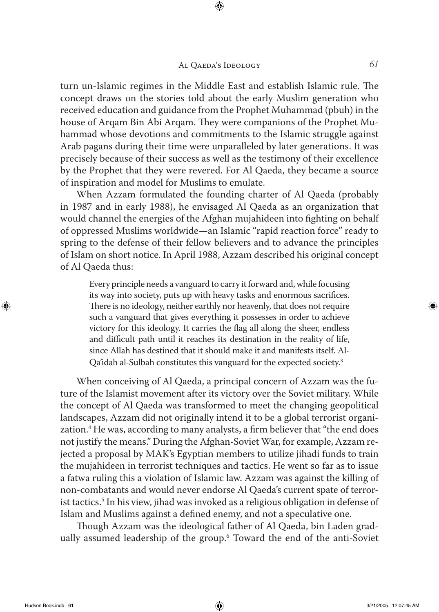#### AL QAEDA'S IDEOLOGY *61*

⊕

turn un-Islamic regimes in the Middle East and establish Islamic rule. The concept draws on the stories told about the early Muslim generation who received education and guidance from the Prophet Muhammad (pbuh) in the house of Arqam Bin Abi Arqam. They were companions of the Prophet Muhammad whose devotions and commitments to the Islamic struggle against Arab pagans during their time were unparalleled by later generations. It was precisely because of their success as well as the testimony of their excellence by the Prophet that they were revered. For Al Qaeda, they became a source of inspiration and model for Muslims to emulate.

When Azzam formulated the founding charter of Al Qaeda (probably in 1987 and in early 1988), he envisaged Al Qaeda as an organization that would channel the energies of the Afghan mujahideen into fighting on behalf of oppressed Muslims worldwide—an Islamic "rapid reaction force" ready to spring to the defense of their fellow believers and to advance the principles of Islam on short notice. In April 1988, Azzam described his original concept of Al Qaeda thus:

Every principle needs a vanguard to carry it forward and, while focusing its way into society, puts up with heavy tasks and enormous sacrifices. There is no ideology, neither earthly nor heavenly, that does not require such a vanguard that gives everything it possesses in order to achieve victory for this ideology. It carries the flag all along the sheer, endless and difficult path until it reaches its destination in the reality of life, since Allah has destined that it should make it and manifests itself. Al-Qa'idah al-Sulbah constitutes this vanguard for the expected society.3

When conceiving of Al Qaeda, a principal concern of Azzam was the future of the Islamist movement after its victory over the Soviet military. While the concept of Al Qaeda was transformed to meet the changing geopolitical landscapes, Azzam did not originally intend it to be a global terrorist organization.4 He was, according to many analysts, a firm believer that "the end does not justify the means." During the Afghan-Soviet War, for example, Azzam rejected a proposal by MAK's Egyptian members to utilize jihadi funds to train the mujahideen in terrorist techniques and tactics. He went so far as to issue a fatwa ruling this a violation of Islamic law. Azzam was against the killing of non-combatants and would never endorse Al Qaeda's current spate of terrorist tactics.5 In his view, jihad was invoked as a religious obligation in defense of Islam and Muslims against a defined enemy, and not a speculative one.

Though Azzam was the ideological father of Al Qaeda, bin Laden gradually assumed leadership of the group.6 Toward the end of the anti-Soviet

⊕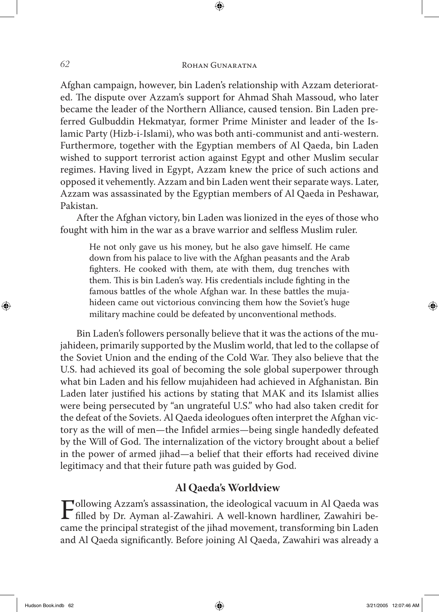#### *62* ROHAN GUNARATNA

⊕

Afghan campaign, however, bin Laden's relationship with Azzam deteriorated. The dispute over Azzam's support for Ahmad Shah Massoud, who later became the leader of the Northern Alliance, caused tension. Bin Laden preferred Gulbuddin Hekmatyar, former Prime Minister and leader of the Islamic Party (Hizb-i-Islami), who was both anti-communist and anti-western. Furthermore, together with the Egyptian members of Al Qaeda, bin Laden wished to support terrorist action against Egypt and other Muslim secular regimes. Having lived in Egypt, Azzam knew the price of such actions and opposed it vehemently. Azzam and bin Laden went their separate ways. Later, Azzam was assassinated by the Egyptian members of Al Qaeda in Peshawar, Pakistan.

After the Afghan victory, bin Laden was lionized in the eyes of those who fought with him in the war as a brave warrior and selfless Muslim ruler.

He not only gave us his money, but he also gave himself. He came down from his palace to live with the Afghan peasants and the Arab fighters. He cooked with them, ate with them, dug trenches with them. This is bin Laden's way. His credentials include fighting in the famous battles of the whole Afghan war. In these battles the mujahideen came out victorious convincing them how the Soviet's huge military machine could be defeated by unconventional methods.

Bin Laden's followers personally believe that it was the actions of the mujahideen, primarily supported by the Muslim world, that led to the collapse of the Soviet Union and the ending of the Cold War. They also believe that the U.S. had achieved its goal of becoming the sole global superpower through what bin Laden and his fellow mujahideen had achieved in Afghanistan. Bin Laden later justified his actions by stating that MAK and its Islamist allies were being persecuted by "an ungrateful U.S." who had also taken credit for the defeat of the Soviets. Al Qaeda ideologues often interpret the Afghan victory as the will of men—the Infidel armies—being single handedly defeated by the Will of God. The internalization of the victory brought about a belief in the power of armed jihad—a belief that their efforts had received divine legitimacy and that their future path was guided by God.

#### **Al Qaeda's Worldview**

Following Azzam's assassination, the ideological vacuum in Al Qaeda was<br>filled by Dr. Ayman al-Zawahiri. A well-known hardliner, Zawahiri be-<br>came the principal strategist of the iihad movement, transforming bin Laden filled by Dr. Ayman al-Zawahiri. A well-known hardliner, Zawahiri became the principal strategist of the jihad movement, transforming bin Laden and Al Qaeda significantly. Before joining Al Qaeda, Zawahiri was already a

⊕

↔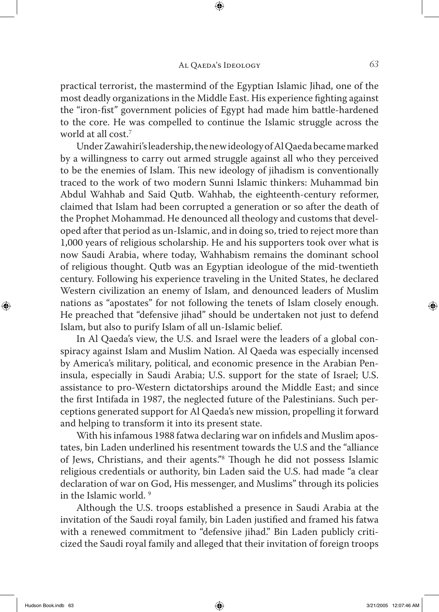#### AL QAEDA'S IDEOLOGY *63*

⊕

practical terrorist, the mastermind of the Egyptian Islamic Jihad, one of the most deadly organizations in the Middle East. His experience fighting against the "iron-fist" government policies of Egypt had made him battle-hardened to the core. He was compelled to continue the Islamic struggle across the world at all cost.7

Under Zawahiri's leadership, the new ideology of Al Qaeda became marked by a willingness to carry out armed struggle against all who they perceived to be the enemies of Islam. This new ideology of jihadism is conventionally traced to the work of two modern Sunni Islamic thinkers: Muhammad bin Abdul Wahhab and Said Qutb. Wahhab, the eighteenth-century reformer, claimed that Islam had been corrupted a generation or so after the death of the Prophet Mohammad. He denounced all theology and customs that developed after that period as un-Islamic, and in doing so, tried to reject more than 1,000 years of religious scholarship. He and his supporters took over what is now Saudi Arabia, where today, Wahhabism remains the dominant school of religious thought. Qutb was an Egyptian ideologue of the mid-twentieth century. Following his experience traveling in the United States, he declared Western civilization an enemy of Islam, and denounced leaders of Muslim nations as "apostates" for not following the tenets of Islam closely enough. He preached that "defensive jihad" should be undertaken not just to defend Islam, but also to purify Islam of all un-Islamic belief.

In Al Qaeda's view, the U.S. and Israel were the leaders of a global conspiracy against Islam and Muslim Nation. Al Qaeda was especially incensed by America's military, political, and economic presence in the Arabian Peninsula, especially in Saudi Arabia; U.S. support for the state of Israel; U.S. assistance to pro-Western dictatorships around the Middle East; and since the first Intifada in 1987, the neglected future of the Palestinians. Such perceptions generated support for Al Qaeda's new mission, propelling it forward and helping to transform it into its present state.

With his infamous 1988 fatwa declaring war on infidels and Muslim apostates, bin Laden underlined his resentment towards the U.S and the "alliance of Jews, Christians, and their agents."8 Though he did not possess Islamic religious credentials or authority, bin Laden said the U.S. had made "a clear declaration of war on God, His messenger, and Muslims" through its policies in the Islamic world. <sup>9</sup>

Although the U.S. troops established a presence in Saudi Arabia at the invitation of the Saudi royal family, bin Laden justified and framed his fatwa with a renewed commitment to "defensive jihad." Bin Laden publicly criticized the Saudi royal family and alleged that their invitation of foreign troops

⊕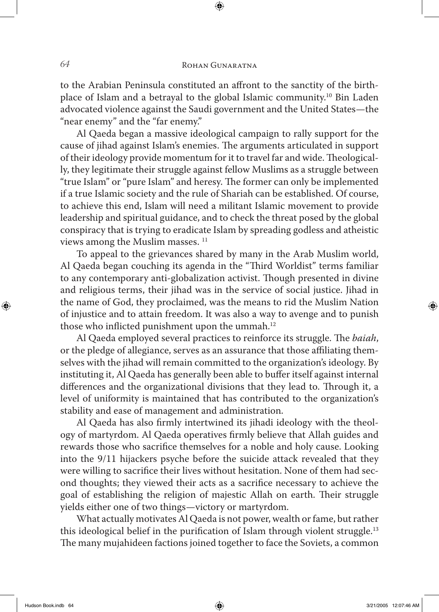#### *64* ROHAN GUNARATNA

⊕

to the Arabian Peninsula constituted an affront to the sanctity of the birthplace of Islam and a betrayal to the global Islamic community.10 Bin Laden advocated violence against the Saudi government and the United States—the "near enemy" and the "far enemy."

Al Qaeda began a massive ideological campaign to rally support for the cause of jihad against Islam's enemies. The arguments articulated in support of their ideology provide momentum for it to travel far and wide. Theologically, they legitimate their struggle against fellow Muslims as a struggle between "true Islam" or "pure Islam" and heresy. The former can only be implemented if a true Islamic society and the rule of Shariah can be established. Of course, to achieve this end, Islam will need a militant Islamic movement to provide leadership and spiritual guidance, and to check the threat posed by the global conspiracy that is trying to eradicate Islam by spreading godless and atheistic views among the Muslim masses. 11

To appeal to the grievances shared by many in the Arab Muslim world, Al Qaeda began couching its agenda in the "Third Worldist" terms familiar to any contemporary anti-globalization activist. Though presented in divine and religious terms, their jihad was in the service of social justice. Jihad in the name of God, they proclaimed, was the means to rid the Muslim Nation of injustice and to attain freedom. It was also a way to avenge and to punish those who inflicted punishment upon the ummah. $12$ 

Al Qaeda employed several practices to reinforce its struggle. The *baiah*, or the pledge of allegiance, serves as an assurance that those affiliating themselves with the jihad will remain committed to the organization's ideology. By instituting it, Al Qaeda has generally been able to buffer itself against internal differences and the organizational divisions that they lead to. Through it, a level of uniformity is maintained that has contributed to the organization's stability and ease of management and administration.

Al Qaeda has also firmly intertwined its jihadi ideology with the theology of martyrdom. Al Qaeda operatives firmly believe that Allah guides and rewards those who sacrifice themselves for a noble and holy cause. Looking into the 9/11 hijackers psyche before the suicide attack revealed that they were willing to sacrifice their lives without hesitation. None of them had second thoughts; they viewed their acts as a sacrifice necessary to achieve the goal of establishing the religion of majestic Allah on earth. Their struggle yields either one of two things—victory or martyrdom.

What actually motivates Al Qaeda is not power, wealth or fame, but rather this ideological belief in the purification of Islam through violent struggle.<sup>13</sup> The many mujahideen factions joined together to face the Soviets, a common

⊕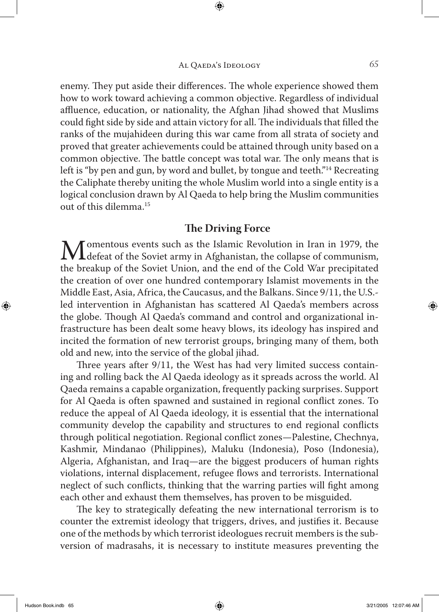#### AL QAEDA'S IDEOLOGY *65*

⊕

enemy. They put aside their differences. The whole experience showed them how to work toward achieving a common objective. Regardless of individual affluence, education, or nationality, the Afghan Jihad showed that Muslims could fight side by side and attain victory for all. The individuals that filled the ranks of the mujahideen during this war came from all strata of society and proved that greater achievements could be attained through unity based on a common objective. The battle concept was total war. The only means that is left is "by pen and gun, by word and bullet, by tongue and teeth."14 Recreating the Caliphate thereby uniting the whole Muslim world into a single entity is a logical conclusion drawn by Al Qaeda to help bring the Muslim communities out of this dilemma.15

#### **The Driving Force**

Momentous events such as the Islamic Revolution in Iran in 1979, the<br>defeat of the Soviet army in Afghanistan, the collapse of communism,<br>the breakup of the Soviet Union, and the end of the Cold War precipitated defeat of the Soviet army in Afghanistan, the collapse of communism, the breakup of the Soviet Union, and the end of the Cold War precipitated the creation of over one hundred contemporary Islamist movements in the Middle East, Asia, Africa, the Caucasus, and the Balkans. Since 9/11, the U.S. led intervention in Afghanistan has scattered Al Qaeda's members across the globe. Though Al Qaeda's command and control and organizational infrastructure has been dealt some heavy blows, its ideology has inspired and incited the formation of new terrorist groups, bringing many of them, both old and new, into the service of the global jihad.

Three years after 9/11, the West has had very limited success containing and rolling back the Al Qaeda ideology as it spreads across the world. Al Qaeda remains a capable organization, frequently packing surprises. Support for Al Qaeda is often spawned and sustained in regional conflict zones. To reduce the appeal of Al Qaeda ideology, it is essential that the international community develop the capability and structures to end regional conflicts through political negotiation. Regional conflict zones—Palestine, Chechnya, Kashmir, Mindanao (Philippines), Maluku (Indonesia), Poso (Indonesia), Algeria, Afghanistan, and Iraq—are the biggest producers of human rights violations, internal displacement, refugee flows and terrorists. International neglect of such conflicts, thinking that the warring parties will fight among each other and exhaust them themselves, has proven to be misguided.

The key to strategically defeating the new international terrorism is to counter the extremist ideology that triggers, drives, and justifies it. Because one of the methods by which terrorist ideologues recruit members is the subversion of madrasahs, it is necessary to institute measures preventing the

⊕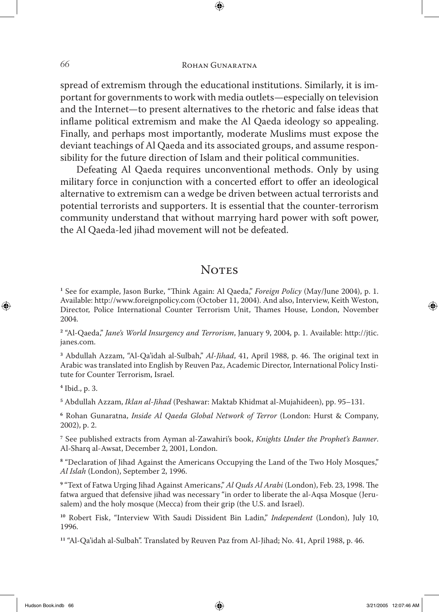#### *66* ROHAN GUNARATNA

⊕

spread of extremism through the educational institutions. Similarly, it is important for governments to work with media outlets—especially on television and the Internet—to present alternatives to the rhetoric and false ideas that inflame political extremism and make the Al Qaeda ideology so appealing. Finally, and perhaps most importantly, moderate Muslims must expose the deviant teachings of Al Qaeda and its associated groups, and assume responsibility for the future direction of Islam and their political communities.

Defeating Al Qaeda requires unconventional methods. Only by using military force in conjunction with a concerted effort to offer an ideological alternative to extremism can a wedge be driven between actual terrorists and potential terrorists and supporters. It is essential that the counter-terrorism community understand that without marrying hard power with soft power, the Al Qaeda-led jihad movement will not be defeated.

# **NOTES**

**1** See for example, Jason Burke, "Think Again: Al Qaeda," *Foreign Policy* (May/June 2004), p. 1. Available: http://www.foreignpolicy.com (October 11, 2004). And also, Interview, Keith Weston, Director, Police International Counter Terrorism Unit, Thames House, London, November 2004.

**2** "Al-Qaeda," *Jane's World Insurgency and Terrorism*, January 9, 2004, p. 1. Available: http://jtic. janes.com.

**3** Abdullah Azzam, "Al-Qa'idah al-Sulbah," *Al-Jihad*, 41, April 1988, p. 46. The original text in Arabic was translated into English by Reuven Paz, Academic Director, International Policy Institute for Counter Terrorism, Israel.

**4** Ibid., p. 3.

⊕

**5** Abdullah Azzam, *Iklan al-Jihad* (Peshawar: Maktab Khidmat al-Mujahideen), pp. 95–131.

**6** Rohan Gunaratna, *Inside Al Qaeda Global Network of Terror* (London: Hurst & Company, 2002), p. 2.

**7** See published extracts from Ayman al-Zawahiri's book, *Knights Under the Prophet's Banner*. Al-Sharq al-Awsat, December 2, 2001, London.

**8** "Declaration of Jihad Against the Americans Occupying the Land of the Two Holy Mosques," *Al Islah* (London), September 2, 1996.

**9** "Text of Fatwa Urging Jihad Against Americans," *Al Quds Al Arabi* (London), Feb. 23, 1998. The fatwa argued that defensive jihad was necessary "in order to liberate the al-Aqsa Mosque (Jerusalem) and the holy mosque (Mecca) from their grip (the U.S. and Israel).

<sup>10</sup> Robert Fisk, "Interview With Saudi Dissident Bin Ladin," *Independent* (London), July 10, 1996.

**<sup>11</sup>** "Al-Qa'idah al-Sulbah". Translated by Reuven Paz from Al-Jihad; No. 41, April 1988, p. 46.

Hudson Book.indb 66 3/21/2005 12:07:46 AM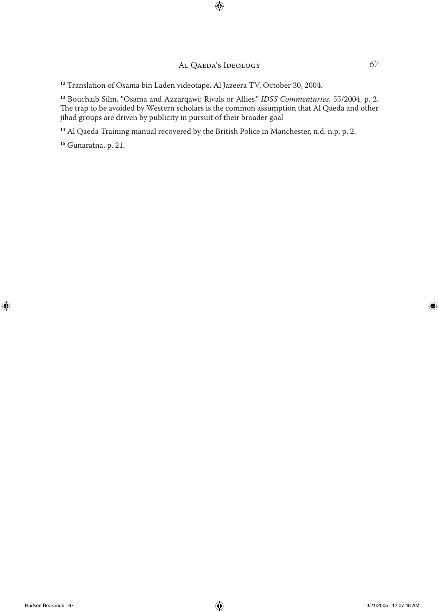# AL QAEDA'S IDEOLOGY *67*

 $\bigoplus$ 

**<sup>12</sup>** Translation of Osama bin Laden videotape, Al Jazeera TV, October 30, 2004.

**<sup>13</sup>** Bouchaib Silm, "Osama and Azzarqawi: Rivals or Allies," *IDSS Commentaries*, 55/2004, p. 2. The trap to be avoided by Western scholars is the common assumption that Al Qaeda and other jihad groups are driven by publicity in pursuit of their broader goal

**<sup>14</sup>** Al Qaeda Training manual recovered by the British Police in Manchester, n.d. n.p. p. 2.

**<sup>15</sup>** Gunaratna, p. 21.

 $\bigoplus$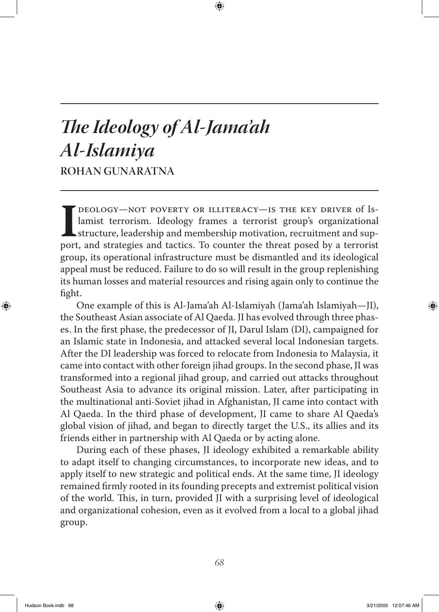# *The Ideology of Al-Jama'ah Al-Islamiya*

**ROHAN GUNARATNA**

DEOLOGY—NOT POVERTY OR ILLITERACY—IS THE KEY DRIVER OF IS-<br>
lamist terrorism. Ideology frames a terrorist group's organizational<br>
structure, leadership and membership motivation, recruitment and sup-<br>
port, and strategies DEOLOGY—NOT POVERTY OR ILLITERACY—IS THE KEY DRIVER of Islamist terrorism. Ideology frames a terrorist group's organizational structure, leadership and membership motivation, recruitment and supgroup, its operational infrastructure must be dismantled and its ideological appeal must be reduced. Failure to do so will result in the group replenishing its human losses and material resources and rising again only to continue the fight.

⊕

One example of this is Al-Jama'ah Al-Islamiyah (Jama'ah Islamiyah—JI), the Southeast Asian associate of Al Qaeda. JI has evolved through three phases. In the first phase, the predecessor of JI, Darul Islam (DI), campaigned for an Islamic state in Indonesia, and attacked several local Indonesian targets. After the DI leadership was forced to relocate from Indonesia to Malaysia, it came into contact with other foreign jihad groups. In the second phase, JI was transformed into a regional jihad group, and carried out attacks throughout Southeast Asia to advance its original mission. Later, after participating in the multinational anti-Soviet jihad in Afghanistan, JI came into contact with Al Qaeda. In the third phase of development, JI came to share Al Qaeda's global vision of jihad, and began to directly target the U.S., its allies and its friends either in partnership with Al Qaeda or by acting alone.

During each of these phases, JI ideology exhibited a remarkable ability to adapt itself to changing circumstances, to incorporate new ideas, and to apply itself to new strategic and political ends. At the same time, JI ideology remained firmly rooted in its founding precepts and extremist political vision of the world. This, in turn, provided JI with a surprising level of ideological and organizational cohesion, even as it evolved from a local to a global jihad group.

⊕

Hudson Book.indb 68 3/21/2005 12:07:46 AM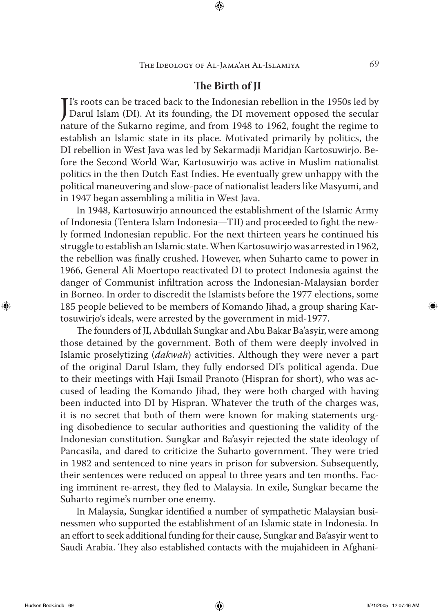⊕

## **The Birth of JI**

 $\int$ I's roots can be traced back to the Indonesian rebellion in the 1950s led by Darul Islam (DI). At its founding, the DI movement opposed the secular nature of the Sukarno regime, and from 1948 to 1962, fought the regime to establish an Islamic state in its place. Motivated primarily by politics, the DI rebellion in West Java was led by Sekarmadji Maridjan Kartosuwirjo. Before the Second World War, Kartosuwirjo was active in Muslim nationalist politics in the then Dutch East Indies. He eventually grew unhappy with the political maneuvering and slow-pace of nationalist leaders like Masyumi, and in 1947 began assembling a militia in West Java.

In 1948, Kartosuwirjo announced the establishment of the Islamic Army of Indonesia (Tentera Islam Indonesia—TII) and proceeded to fight the newly formed Indonesian republic. For the next thirteen years he continued his struggle to establish an Islamic state. When Kartosuwirjo was arrested in 1962, the rebellion was finally crushed. However, when Suharto came to power in 1966, General Ali Moertopo reactivated DI to protect Indonesia against the danger of Communist infiltration across the Indonesian-Malaysian border in Borneo. In order to discredit the Islamists before the 1977 elections, some 185 people believed to be members of Komando Jihad, a group sharing Kartosuwirjo's ideals, were arrested by the government in mid-1977.

The founders of JI, Abdullah Sungkar and Abu Bakar Ba'asyir, were among those detained by the government. Both of them were deeply involved in Islamic proselytizing (*dakwah*) activities. Although they were never a part of the original Darul Islam, they fully endorsed DI's political agenda. Due to their meetings with Haji Ismail Pranoto (Hispran for short), who was accused of leading the Komando Jihad, they were both charged with having been inducted into DI by Hispran. Whatever the truth of the charges was, it is no secret that both of them were known for making statements urging disobedience to secular authorities and questioning the validity of the Indonesian constitution. Sungkar and Ba'asyir rejected the state ideology of Pancasila, and dared to criticize the Suharto government. They were tried in 1982 and sentenced to nine years in prison for subversion. Subsequently, their sentences were reduced on appeal to three years and ten months. Facing imminent re-arrest, they fled to Malaysia. In exile, Sungkar became the Suharto regime's number one enemy.

In Malaysia, Sungkar identified a number of sympathetic Malaysian businessmen who supported the establishment of an Islamic state in Indonesia. In an effort to seek additional funding for their cause, Sungkar and Ba'asyir went to Saudi Arabia. They also established contacts with the mujahideen in Afghani-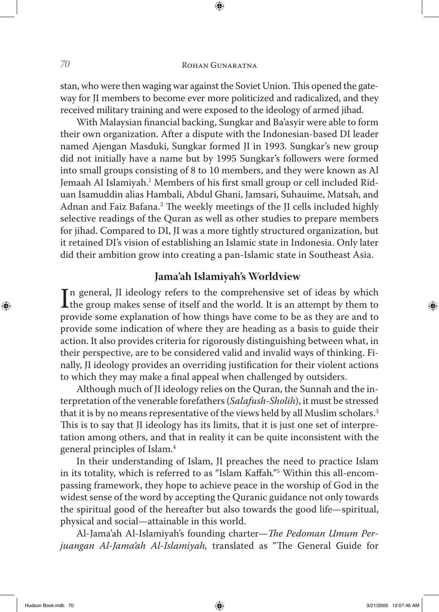⊕

stan, who were then waging war against the Soviet Union. This opened the gateway for JI members to become ever more politicized and radicalized, and they received military training and were exposed to the ideology of armed jihad.

With Malaysian financial backing, Sungkar and Ba'asyir were able to form their own organization. After a dispute with the Indonesian-based DI leader named Ajengan Masduki, Sungkar formed JI in 1993. Sungkar's new group did not initially have a name but by 1995 Sungkar's followers were formed into small groups consisting of 8 to 10 members, and they were known as Al Jemaah Al Islamiyah.<sup>1</sup> Members of his first small group or cell included Riduan Isamuddin alias Hambali, Abdul Ghani, Jamsari, Suhauime, Matsah, and Adnan and Faiz Bafana.2 The weekly meetings of the JI cells included highly selective readings of the Quran as well as other studies to prepare members for jihad. Compared to DI, JI was a more tightly structured organization, but it retained DI's vision of establishing an Islamic state in Indonesia. Only later did their ambition grow into creating a pan-Islamic state in Southeast Asia.

## **Jama'ah Islamiyah's Worldview**

 $\prod_{\alpha\in\mathcal{C}}$ In general, JI ideology refers to the comprehensive set of ideas by which the group makes sense of itself and the world. It is an attempt by them to provide some explanation of how things have come to be as they are and to provide some indication of where they are heading as a basis to guide their action. It also provides criteria for rigorously distinguishing between what, in their perspective, are to be considered valid and invalid ways of thinking. Finally, JI ideology provides an overriding justification for their violent actions to which they may make a final appeal when challenged by outsiders.

Although much of JI ideology relies on the Quran, the Sunnah and the interpretation of the venerable forefathers (*Salafush-Sholih*), it must be stressed that it is by no means representative of the views held by all Muslim scholars.<sup>3</sup> This is to say that JI ideology has its limits, that it is just one set of interpretation among others, and that in reality it can be quite inconsistent with the general principles of Islam.4

In their understanding of Islam, JI preaches the need to practice Islam in its totality, which is referred to as "Islam Kaffah."<sup>5</sup> Within this all-encompassing framework, they hope to achieve peace in the worship of God in the widest sense of the word by accepting the Quranic guidance not only towards the spiritual good of the hereafter but also towards the good life—spiritual, physical and social—attainable in this world.

Al-Jama'ah Al-Islamiyah's founding charter—*The Pedoman Umum Perjuangan Al-Jama'ah Al-Islamiyah,* translated as "The General Guide for

⊕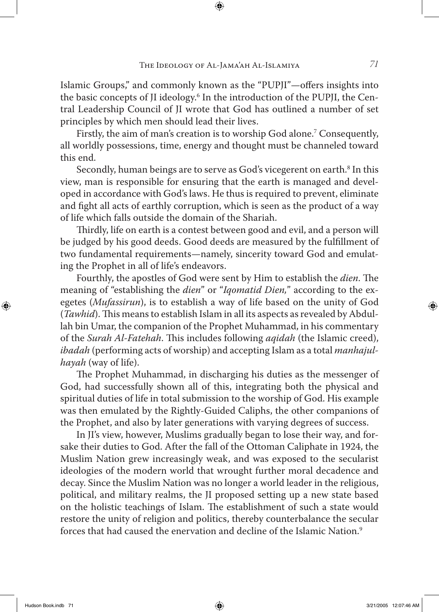⊕

Islamic Groups," and commonly known as the "PUPJI"—offers insights into the basic concepts of JI ideology.6 In the introduction of the PUPJI, the Central Leadership Council of JI wrote that God has outlined a number of set principles by which men should lead their lives.

Firstly, the aim of man's creation is to worship God alone.7 Consequently, all worldly possessions, time, energy and thought must be channeled toward this end.

Secondly, human beings are to serve as God's vicegerent on earth.<sup>8</sup> In this view, man is responsible for ensuring that the earth is managed and developed in accordance with God's laws. He thus is required to prevent, eliminate and fight all acts of earthly corruption, which is seen as the product of a way of life which falls outside the domain of the Shariah.

Thirdly, life on earth is a contest between good and evil, and a person will be judged by his good deeds. Good deeds are measured by the fulfillment of two fundamental requirements—namely, sincerity toward God and emulating the Prophet in all of life's endeavors.

Fourthly, the apostles of God were sent by Him to establish the *dien*. The meaning of "establishing the *dien*" or "*Iqomatid Dien,*" according to the exegetes (*Mufassirun*), is to establish a way of life based on the unity of God (*Tawhid*). This means to establish Islam in all its aspects as revealed by Abdullah bin Umar, the companion of the Prophet Muhammad, in his commentary of the *Surah Al-Fatehah*. This includes following *aqidah* (the Islamic creed), *ibadah* (performing acts of worship) and accepting Islam as a total *manhajulhayah* (way of life).

The Prophet Muhammad, in discharging his duties as the messenger of God, had successfully shown all of this, integrating both the physical and spiritual duties of life in total submission to the worship of God. His example was then emulated by the Rightly-Guided Caliphs, the other companions of the Prophet, and also by later generations with varying degrees of success.

In JI's view, however, Muslims gradually began to lose their way, and forsake their duties to God. After the fall of the Ottoman Caliphate in 1924, the Muslim Nation grew increasingly weak, and was exposed to the secularist ideologies of the modern world that wrought further moral decadence and decay. Since the Muslim Nation was no longer a world leader in the religious, political, and military realms, the JI proposed setting up a new state based on the holistic teachings of Islam. The establishment of such a state would restore the unity of religion and politics, thereby counterbalance the secular forces that had caused the enervation and decline of the Islamic Nation.9

⊕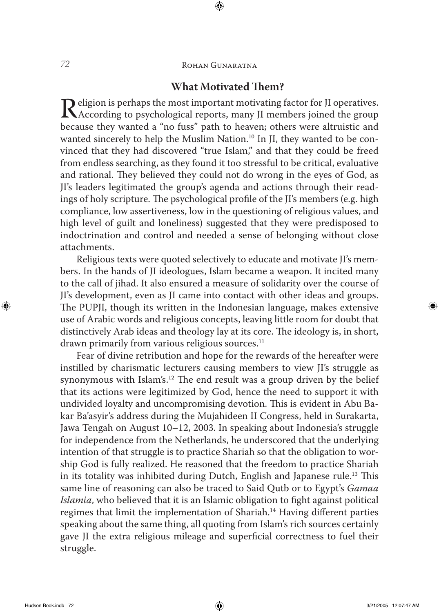⊕

#### **What Motivated Them?**

Religion is perhaps the most important motivating factor for JI operatives.<br>According to psychological reports, many JI members joined the group<br>because they wanted a "no fuss" path to beaven: others were altruistic and According to psychological reports, many JI members joined the group because they wanted a "no fuss" path to heaven; others were altruistic and wanted sincerely to help the Muslim Nation.<sup>10</sup> In JI, they wanted to be convinced that they had discovered "true Islam," and that they could be freed from endless searching, as they found it too stressful to be critical, evaluative and rational. They believed they could not do wrong in the eyes of God, as JI's leaders legitimated the group's agenda and actions through their readings of holy scripture. The psychological profile of the JI's members (e.g. high compliance, low assertiveness, low in the questioning of religious values, and high level of guilt and loneliness) suggested that they were predisposed to indoctrination and control and needed a sense of belonging without close attachments.

Religious texts were quoted selectively to educate and motivate JI's members. In the hands of JI ideologues, Islam became a weapon. It incited many to the call of jihad. It also ensured a measure of solidarity over the course of JI's development, even as JI came into contact with other ideas and groups. The PUPJI, though its written in the Indonesian language, makes extensive use of Arabic words and religious concepts, leaving little room for doubt that distinctively Arab ideas and theology lay at its core. The ideology is, in short, drawn primarily from various religious sources.<sup>11</sup>

Fear of divine retribution and hope for the rewards of the hereafter were instilled by charismatic lecturers causing members to view JI's struggle as synonymous with Islam's.<sup>12</sup> The end result was a group driven by the belief that its actions were legitimized by God, hence the need to support it with undivided loyalty and uncompromising devotion. This is evident in Abu Bakar Ba'asyir's address during the Mujahideen II Congress, held in Surakarta, Jawa Tengah on August 10–12, 2003. In speaking about Indonesia's struggle for independence from the Netherlands, he underscored that the underlying intention of that struggle is to practice Shariah so that the obligation to worship God is fully realized. He reasoned that the freedom to practice Shariah in its totality was inhibited during Dutch, English and Japanese rule.<sup>13</sup> This same line of reasoning can also be traced to Said Qutb or to Egypt's *Gamaa Islamia*, who believed that it is an Islamic obligation to fight against political regimes that limit the implementation of Shariah.14 Having different parties speaking about the same thing, all quoting from Islam's rich sources certainly gave JI the extra religious mileage and superficial correctness to fuel their struggle.

⊕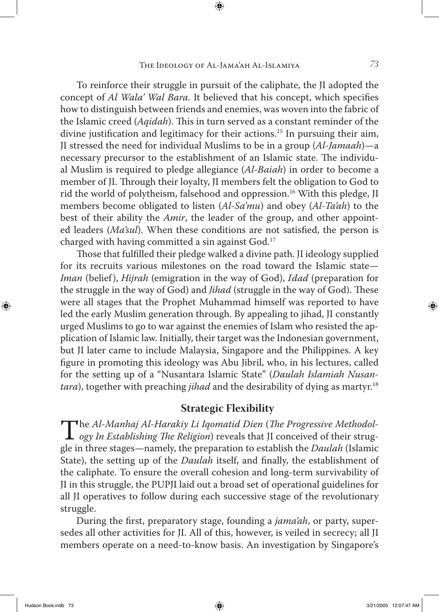⊕

To reinforce their struggle in pursuit of the caliphate, the JI adopted the concept of *Al Wala' Wal Bara.* It believed that his concept, which specifies how to distinguish between friends and enemies, was woven into the fabric of the Islamic creed (*Aqidah*). This in turn served as a constant reminder of the divine justification and legitimacy for their actions.15 In pursuing their aim, JI stressed the need for individual Muslims to be in a group (*Al-Jamaah*)—a necessary precursor to the establishment of an Islamic state. The individual Muslim is required to pledge allegiance (*Al-Baiah*) in order to become a member of JI. Through their loyalty, JI members felt the obligation to God to rid the world of polytheism, falsehood and oppression.16 With this pledge, JI members become obligated to listen (*Al-Sa'mu*) and obey (*Al-Ta'ah*) to the best of their ability the *Amir*, the leader of the group, and other appointed leaders (*Ma'sul*). When these conditions are not satisfied, the person is charged with having committed a sin against God.17

Those that fulfilled their pledge walked a divine path. JI ideology supplied for its recruits various milestones on the road toward the Islamic state— *Iman* (belief), *Hijrah* (emigration in the way of God), *I ' dad* (preparation for the struggle in the way of God) and *Jihad* (struggle in the way of God). These were all stages that the Prophet Muhammad himself was reported to have led the early Muslim generation through. By appealing to jihad, JI constantly urged Muslims to go to war against the enemies of Islam who resisted the application of Islamic law. Initially, their target was the Indonesian government, but JI later came to include Malaysia, Singapore and the Philippines. A key figure in promoting this ideology was Abu Jibril, who, in his lectures, called for the setting up of a "Nusantara Islamic State" (*Daulah Islamiah Nusantara*), together with preaching *jihad* and the desirability of dying as martyr.<sup>18</sup>

# **Strategic Flexibility**

The *Al-Manhaj Al-Harakiy Li Iqomatid Dien* (*The Progressive Methodol-*<br> *ogy In Establishing The Religion*) reveals that JI conceived of their strug-<br>
gle in three stages—namely, the preparation to establish the *Daulah ogy In Establishing The Religion*) reveals that JI conceived of their struggle in three stages—namely, the preparation to establish the *Daulah* (Islamic State), the setting up of the *Daulah* itself, and finally, the establishment of the caliphate. To ensure the overall cohesion and long-term survivability of JI in this struggle, the PUPJI laid out a broad set of operational guidelines for all JI operatives to follow during each successive stage of the revolutionary struggle.

During the first, preparatory stage, founding a *jama'ah*, or party, supersedes all other activities for JI. All of this, however, is veiled in secrecy; all JI members operate on a need-to-know basis. An investigation by Singapore's

⊕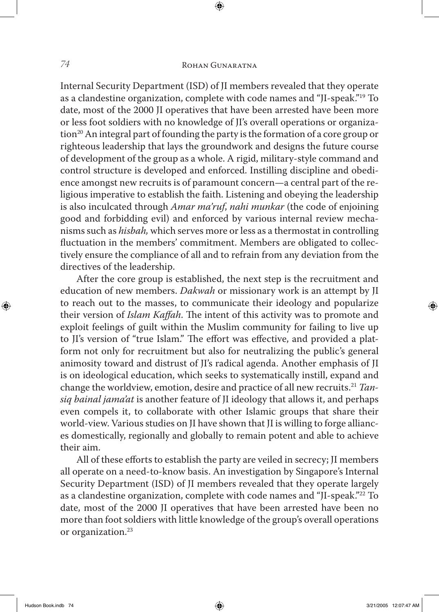⊕

Internal Security Department (ISD) of JI members revealed that they operate as a clandestine organization, complete with code names and "JI-speak."19 To date, most of the 2000 JI operatives that have been arrested have been more or less foot soldiers with no knowledge of JI's overall operations or organization $^{\rm 20}$  An integral part of founding the party is the formation of a core group or righteous leadership that lays the groundwork and designs the future course of development of the group as a whole. A rigid, military-style command and control structure is developed and enforced. Instilling discipline and obedience amongst new recruits is of paramount concern—a central part of the religious imperative to establish the faith. Listening and obeying the leadership is also inculcated through *Amar ma'ruf*, *nahi munkar* (the code of enjoining good and forbidding evil) and enforced by various internal review mechanisms such as *hisbah,* which serves more or less as a thermostat in controlling fluctuation in the members' commitment. Members are obligated to collectively ensure the compliance of all and to refrain from any deviation from the directives of the leadership.

After the core group is established, the next step is the recruitment and education of new members. *Dakwah* or missionary work is an attempt by JI to reach out to the masses, to communicate their ideology and popularize their version of *Islam Kaffah*. The intent of this activity was to promote and exploit feelings of guilt within the Muslim community for failing to live up to JI's version of "true Islam." The effort was effective, and provided a platform not only for recruitment but also for neutralizing the public's general animosity toward and distrust of JI's radical agenda. Another emphasis of JI is on ideological education, which seeks to systematically instill, expand and change the worldview, emotion, desire and practice of all new recruits.21 *Tansiq bainal jama'at* is another feature of JI ideology that allows it, and perhaps even compels it, to collaborate with other Islamic groups that share their world-view. Various studies on JI have shown that JI is willing to forge alliances domestically, regionally and globally to remain potent and able to achieve their aim.

All of these efforts to establish the party are veiled in secrecy; JI members all operate on a need-to-know basis. An investigation by Singapore's Internal Security Department (ISD) of JI members revealed that they operate largely as a clandestine organization, complete with code names and "JI-speak."22 To date, most of the 2000 JI operatives that have been arrested have been no more than foot soldiers with little knowledge of the group's overall operations or organization.<sup>23</sup>

⊕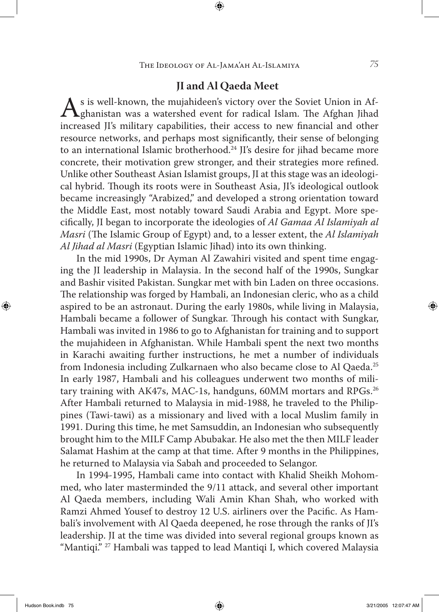⊕

#### **JI and Al Qaeda Meet**

 $A$ s is well-known, the mujahideen's victory over the Soviet Union in Af-<br>ghanistan was a watershed event for radical Islam. The Afghan Jihad<br>increased II's military capabilities, their access to new financial and other ghanistan was a watershed event for radical Islam. The Afghan Jihad increased JI's military capabilities, their access to new financial and other resource networks, and perhaps most significantly, their sense of belonging to an international Islamic brotherhood.24 JI's desire for jihad became more concrete, their motivation grew stronger, and their strategies more refined. Unlike other Southeast Asian Islamist groups, JI at this stage was an ideological hybrid. Though its roots were in Southeast Asia, JI's ideological outlook became increasingly "Arabized," and developed a strong orientation toward the Middle East, most notably toward Saudi Arabia and Egypt. More specifically, JI began to incorporate the ideologies of *Al Gamaa Al Islamiyah al Masri* (The Islamic Group of Egypt) and, to a lesser extent, the *Al Islamiyah Al Jihad al Masri* (Egyptian Islamic Jihad) into its own thinking.

In the mid 1990s, Dr Ayman Al Zawahiri visited and spent time engaging the JI leadership in Malaysia. In the second half of the 1990s, Sungkar and Bashir visited Pakistan. Sungkar met with bin Laden on three occasions. The relationship was forged by Hambali, an Indonesian cleric, who as a child aspired to be an astronaut. During the early 1980s, while living in Malaysia, Hambali became a follower of Sungkar. Through his contact with Sungkar, Hambali was invited in 1986 to go to Afghanistan for training and to support the mujahideen in Afghanistan. While Hambali spent the next two months in Karachi awaiting further instructions, he met a number of individuals from Indonesia including Zulkarnaen who also became close to Al Qaeda.25 In early 1987, Hambali and his colleagues underwent two months of military training with AK47s, MAC-1s, handguns, 60MM mortars and RPGs.<sup>26</sup> After Hambali returned to Malaysia in mid-1988, he traveled to the Philippines (Tawi-tawi) as a missionary and lived with a local Muslim family in 1991. During this time, he met Samsuddin, an Indonesian who subsequently brought him to the MILF Camp Abubakar. He also met the then MILF leader Salamat Hashim at the camp at that time. After 9 months in the Philippines, he returned to Malaysia via Sabah and proceeded to Selangor.

In 1994-1995, Hambali came into contact with Khalid Sheikh Mohommed, who later masterminded the 9/11 attack, and several other important Al Qaeda members, including Wali Amin Khan Shah, who worked with Ramzi Ahmed Yousef to destroy 12 U.S. airliners over the Pacific. As Hambali's involvement with Al Qaeda deepened, he rose through the ranks of JI's leadership. JI at the time was divided into several regional groups known as "Mantiqi." 27 Hambali was tapped to lead Mantiqi I, which covered Malaysia

⊕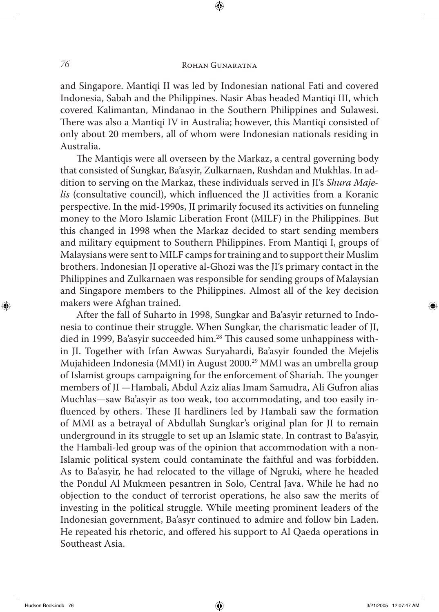⊕

and Singapore. Mantiqi II was led by Indonesian national Fati and covered Indonesia, Sabah and the Philippines. Nasir Abas headed Mantiqi III, which covered Kalimantan, Mindanao in the Southern Philippines and Sulawesi. There was also a Mantiqi IV in Australia; however, this Mantiqi consisted of only about 20 members, all of whom were Indonesian nationals residing in Australia.

The Mantiqis were all overseen by the Markaz, a central governing body that consisted of Sungkar, Ba'asyir, Zulkarnaen, Rushdan and Mukhlas. In addition to serving on the Markaz, these individuals served in JI's *Shura Majelis* (consultative council), which influenced the JI activities from a Koranic perspective. In the mid-1990s, JI primarily focused its activities on funneling money to the Moro Islamic Liberation Front (MILF) in the Philippines. But this changed in 1998 when the Markaz decided to start sending members and military equipment to Southern Philippines. From Mantiqi I, groups of Malaysians were sent to MILF camps for training and to support their Muslim brothers. Indonesian JI operative al-Ghozi was the JI's primary contact in the Philippines and Zulkarnaen was responsible for sending groups of Malaysian and Singapore members to the Philippines. Almost all of the key decision makers were Afghan trained.

After the fall of Suharto in 1998, Sungkar and Ba'asyir returned to Indonesia to continue their struggle. When Sungkar, the charismatic leader of JI, died in 1999, Ba'asyir succeeded him.<sup>28</sup> This caused some unhappiness within JI. Together with Irfan Awwas Suryahardi, Ba'asyir founded the Mejelis Mujahideen Indonesia (MMI) in August 2000.29 MMI was an umbrella group of Islamist groups campaigning for the enforcement of Shariah. The younger members of JI —Hambali, Abdul Aziz alias Imam Samudra, Ali Gufron alias Muchlas—saw Ba'asyir as too weak, too accommodating, and too easily influenced by others. These JI hardliners led by Hambali saw the formation of MMI as a betrayal of Abdullah Sungkar's original plan for JI to remain underground in its struggle to set up an Islamic state. In contrast to Ba'asyir, the Hambali-led group was of the opinion that accommodation with a non-Islamic political system could contaminate the faithful and was forbidden. As to Ba'asyir, he had relocated to the village of Ngruki, where he headed the Pondul Al Mukmeen pesantren in Solo, Central Java. While he had no objection to the conduct of terrorist operations, he also saw the merits of investing in the political struggle. While meeting prominent leaders of the Indonesian government, Ba'asyr continued to admire and follow bin Laden. He repeated his rhetoric, and offered his support to Al Qaeda operations in Southeast Asia.

⊕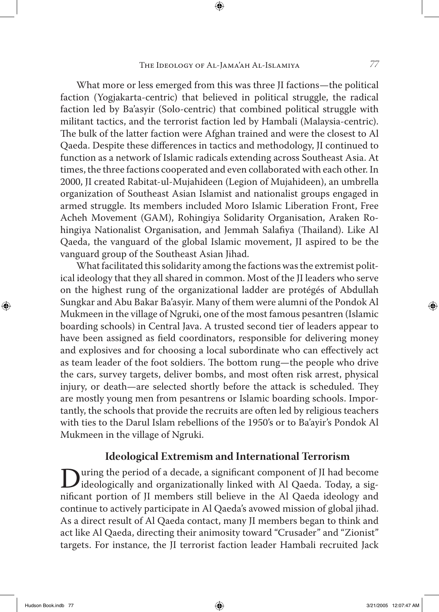⊕

What more or less emerged from this was three JI factions—the political faction (Yogjakarta-centric) that believed in political struggle, the radical faction led by Ba'asyir (Solo-centric) that combined political struggle with militant tactics, and the terrorist faction led by Hambali (Malaysia-centric). The bulk of the latter faction were Afghan trained and were the closest to Al Qaeda. Despite these differences in tactics and methodology, JI continued to function as a network of Islamic radicals extending across Southeast Asia. At times, the three factions cooperated and even collaborated with each other. In 2000, JI created Rabitat-ul-Mujahideen (Legion of Mujahideen), an umbrella organization of Southeast Asian Islamist and nationalist groups engaged in armed struggle. Its members included Moro Islamic Liberation Front, Free Acheh Movement (GAM), Rohingiya Solidarity Organisation, Araken Rohingiya Nationalist Organisation, and Jemmah Salafiya (Thailand). Like Al Qaeda, the vanguard of the global Islamic movement, JI aspired to be the vanguard group of the Southeast Asian Jihad.

What facilitated this solidarity among the factions was the extremist political ideology that they all shared in common. Most of the JI leaders who serve on the highest rung of the organizational ladder are protégés of Abdullah Sungkar and Abu Bakar Ba'asyir. Many of them were alumni of the Pondok Al Mukmeen in the village of Ngruki, one of the most famous pesantren (Islamic boarding schools) in Central Java. A trusted second tier of leaders appear to have been assigned as field coordinators, responsible for delivering money and explosives and for choosing a local subordinate who can effectively act as team leader of the foot soldiers. The bottom rung—the people who drive the cars, survey targets, deliver bombs, and most often risk arrest, physical injury, or death—are selected shortly before the attack is scheduled. They are mostly young men from pesantrens or Islamic boarding schools. Importantly, the schools that provide the recruits are often led by religious teachers with ties to the Darul Islam rebellions of the 1950's or to Ba'ayir's Pondok Al Mukmeen in the village of Ngruki.

## **Ideological Extremism and International Terrorism**

During the period of a decade, a significant component of JI had become<br>ideologically and organizationally linked with Al Qaeda. Today, a significant portion of II members still believe in the Al Qaeda ideology and ideologically and organizationally linked with Al Qaeda. Today, a significant portion of JI members still believe in the Al Qaeda ideology and continue to actively participate in Al Qaeda's avowed mission of global jihad. As a direct result of Al Qaeda contact, many JI members began to think and act like Al Qaeda, directing their animosity toward "Crusader" and "Zionist" targets. For instance, the JI terrorist faction leader Hambali recruited Jack

⊕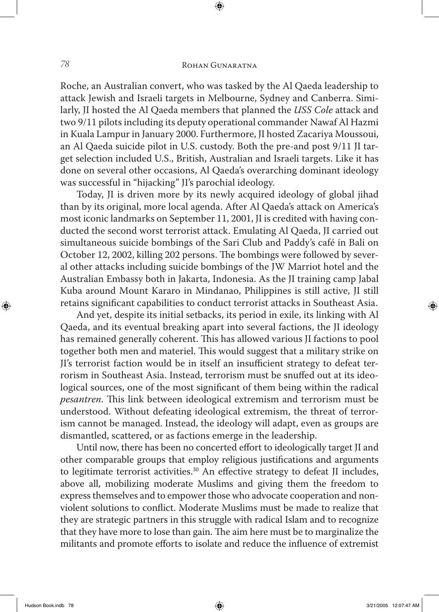⊕

Roche, an Australian convert, who was tasked by the Al Qaeda leadership to attack Jewish and Israeli targets in Melbourne, Sydney and Canberra. Similarly, JI hosted the Al Qaeda members that planned the *USS Cole* attack and two 9/11 pilots including its deputy operational commander Nawaf Al Hazmi in Kuala Lampur in January 2000. Furthermore, JI hosted Zacariya Moussoui, an Al Qaeda suicide pilot in U.S. custody. Both the pre-and post 9/11 JI target selection included U.S., British, Australian and Israeli targets. Like it has done on several other occasions, Al Qaeda's overarching dominant ideology was successful in "hijacking" JI's parochial ideology.

Today, JI is driven more by its newly acquired ideology of global jihad than by its original, more local agenda. After Al Qaeda's attack on America's most iconic landmarks on September 11, 2001, JI is credited with having conducted the second worst terrorist attack. Emulating Al Qaeda, JI carried out simultaneous suicide bombings of the Sari Club and Paddy's café in Bali on October 12, 2002, killing 202 persons. The bombings were followed by several other attacks including suicide bombings of the JW Marriot hotel and the Australian Embassy both in Jakarta, Indonesia. As the JI training camp Jabal Kuba around Mount Kararo in Mindanao, Philippines is still active, JI still retains significant capabilities to conduct terrorist attacks in Southeast Asia.

And yet, despite its initial setbacks, its period in exile, its linking with Al Qaeda, and its eventual breaking apart into several factions, the JI ideology has remained generally coherent. This has allowed various JI factions to pool together both men and materiel. This would suggest that a military strike on JI's terrorist faction would be in itself an insufficient strategy to defeat terrorism in Southeast Asia. Instead, terrorism must be snuffed out at its ideological sources, one of the most significant of them being within the radical *pesantren*. This link between ideological extremism and terrorism must be understood. Without defeating ideological extremism, the threat of terrorism cannot be managed. Instead, the ideology will adapt, even as groups are dismantled, scattered, or as factions emerge in the leadership.

Until now, there has been no concerted effort to ideologically target JI and other comparable groups that employ religious justifications and arguments to legitimate terrorist activities.<sup>30</sup> An effective strategy to defeat JI includes, above all, mobilizing moderate Muslims and giving them the freedom to express themselves and to empower those who advocate cooperation and nonviolent solutions to conflict. Moderate Muslims must be made to realize that they are strategic partners in this struggle with radical Islam and to recognize that they have more to lose than gain. The aim here must be to marginalize the militants and promote efforts to isolate and reduce the influence of extremist

⊕

Hudson Book.indb 78 3/21/2005 12:07:47 AM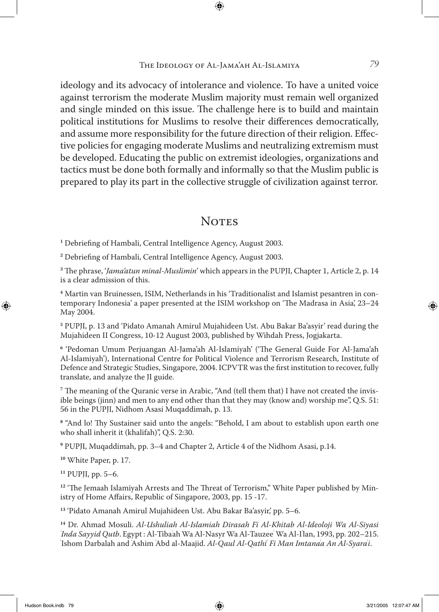⊕

ideology and its advocacy of intolerance and violence. To have a united voice against terrorism the moderate Muslim majority must remain well organized and single minded on this issue. The challenge here is to build and maintain political institutions for Muslims to resolve their differences democratically, and assume more responsibility for the future direction of their religion. Effective policies for engaging moderate Muslims and neutralizing extremism must be developed. Educating the public on extremist ideologies, organizations and tactics must be done both formally and informally so that the Muslim public is prepared to play its part in the collective struggle of civilization against terror.

## **NOTES**

**1** Debriefing of Hambali, Central Intelligence Agency, August 2003.

**2** Debriefing of Hambali, Central Intelligence Agency, August 2003.

**3** The phrase, '*Jama'atun minal-Muslimin*' which appears in the PUPJI, Chapter 1, Article 2, p. 14 is a clear admission of this.

**4** Martin van Bruinessen, ISIM, Netherlands in his 'Traditionalist and Islamist pesantren in contemporary Indonesia' a paper presented at the ISIM workshop on 'The Madrasa in Asia', 23–24 May 2004.

**5** PUPJI, p. 13 and 'Pidato Amanah Amirul Mujahideen Ust. Abu Bakar Ba'asyir' read during the Mujahideen II Congress, 10-12 August 2003, published by Wihdah Press, Jogjakarta.

**6** 'Pedoman Umum Perjuangan Al-Jama'ah Al-Islamiyah' ('The General Guide For Al-Jama'ah Al-Islamiyah'), International Centre for Political Violence and Terrorism Research, Institute of Defence and Strategic Studies, Singapore, 2004. ICPVTR was the first institution to recover, fully translate, and analyze the JI guide.

**7** The meaning of the Quranic verse in Arabic, "And (tell them that) I have not created the invisible beings (jinn) and men to any end other than that they may (know and) worship me", Q.S. 51: 56 in the PUPJI, Nidhom Asasi Muqaddimah, p. 13.

**8** "And lo! Thy Sustainer said unto the angels: "Behold, I am about to establish upon earth one who shall inherit it (khalifah)", Q.S. 2:30.

**9** PUPJI, Muqaddimah, pp. 3–4 and Chapter 2, Article 4 of the Nidhom Asasi, p.14.

**<sup>10</sup>** White Paper, p. 17.

**<sup>11</sup>** PUPJI, pp. 5–6.

<sup>12</sup> 'The Jemaah Islamiyah Arrests and The Threat of Terrorism," White Paper published by Ministry of Home Affairs, Republic of Singapore, 2003, pp. 15 -17.

**<sup>13</sup>** 'Pidato Amanah Amirul Mujahideen Ust. Abu Bakar Ba'asyir,' pp. 5–6.

**<sup>14</sup>** Dr. Ahmad Mosuli. *Al-Ushuliah Al-Islamiah Dirasah Fi Al-Khitab Al-Ideoloji Wa Al-Siyasi ' Inda Sayyid Qutb.* Egypt : Al-Tibaah Wa Al-Nasyr Wa Al-Tauzee' Wa Al-I'lan, 1993, pp. 202–215.<br>'Ishom Darbalah and 'Ashim 'Abd al-Maajid' *Al-Qaul Al-Qathi' Fi Man Imtanga An Al-Syargi* . Ishom Darbalah and Ashim 'Abd al-Maajid. *Al-Qaul Al-Qathi' Fi Man Imtana'a An Al-Syara'i*.

⊕

↔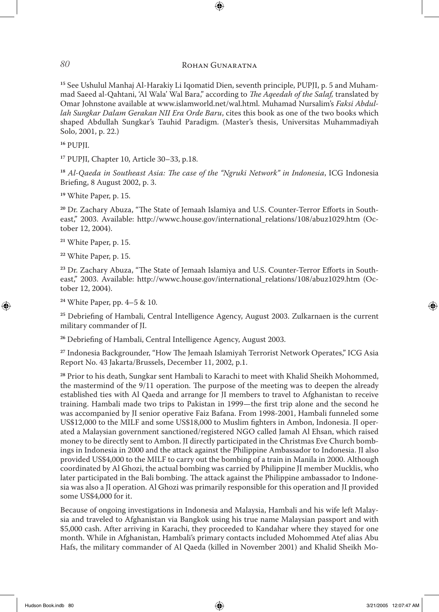⊕

**15** See Ushulul Manhaj Al-Harakiy Li Iqomatid Dien, seventh principle, PUPJI, p. 5 and Muhammad Saeed al-Qahtani, 'Al Wala' Wal Bara," according to *The Aqeedah of the Salaf,* translated by Omar Johnstone available at www.islamworld.net/wal.html. Muhamad Nursalim's *Faksi Abdullah Sungkar Dalam Gerakan NII Era Orde Baru*, cites this book as one of the two books which shaped Abdullah Sungkar's Tauhid Paradigm. (Master's thesis, Universitas Muhammadiyah Solo, 2001, p. 22.)

**16** PUPJI.

**17** PUPJI, Chapter 10, Article 30–33, p.18.

**<sup>18</sup>** *Al-Qaeda in Southeast Asia: The case of the "Ngruki Network" in Indonesia*, ICG Indonesia Briefing, 8 August 2002, p. 3.

**<sup>19</sup>** White Paper, p. 15.

**20** Dr. Zachary Abuza, "The State of Jemaah Islamiya and U.S. Counter-Terror Efforts in Southeast," 2003. Available: http://wwwc.house.gov/international\_relations/108/abuz1029.htm (October 12, 2004).

**21** White Paper, p. 15.

**22** White Paper, p. 15.

⊕

**23** Dr. Zachary Abuza, "The State of Jemaah Islamiya and U.S. Counter-Terror Efforts in Southeast," 2003. Available: http://wwwc.house.gov/international\_relations/108/abuz1029.htm (October 12, 2004).

**24** White Paper, pp. 4–5 & 10.

**25** Debriefing of Hambali, Central Intelligence Agency, August 2003. Zulkarnaen is the current military commander of JI.

**26** Debriefing of Hambali, Central Intelligence Agency, August 2003.

**27** Indonesia Backgrounder, "How The Jemaah Islamiyah Terrorist Network Operates," ICG Asia Report No. 43 Jakarta/Brussels, December 11, 2002, p.1.

**<sup>28</sup>** Prior to his death, Sungkar sent Hambali to Karachi to meet with Khalid Sheikh Mohommed, the mastermind of the 9/11 operation. The purpose of the meeting was to deepen the already established ties with Al Qaeda and arrange for JI members to travel to Afghanistan to receive training. Hambali made two trips to Pakistan in 1999—the first trip alone and the second he was accompanied by JI senior operative Faiz Bafana. From 1998-2001, Hambali funneled some US\$12,000 to the MILF and some US\$18,000 to Muslim fighters in Ambon, Indonesia. JI operated a Malaysian government sanctioned/registered NGO called Jamah Al Ehsan, which raised money to be directly sent to Ambon. JI directly participated in the Christmas Eve Church bombings in Indonesia in 2000 and the attack against the Philippine Ambassador to Indonesia. JI also provided US\$4,000 to the MILF to carry out the bombing of a train in Manila in 2000. Although coordinated by Al Ghozi, the actual bombing was carried by Philippine JI member Mucklis, who later participated in the Bali bombing. The attack against the Philippine ambassador to Indonesia was also a JI operation. Al Ghozi was primarily responsible for this operation and JI provided some US\$4,000 for it.

Because of ongoing investigations in Indonesia and Malaysia, Hambali and his wife left Malaysia and traveled to Afghanistan via Bangkok using his true name Malaysian passport and with \$5,000 cash. After arriving in Karachi, they proceeded to Kandahar where they stayed for one month. While in Afghanistan, Hambali's primary contacts included Mohommed Atef alias Abu Hafs, the military commander of Al Qaeda (killed in November 2001) and Khalid Sheikh Mo-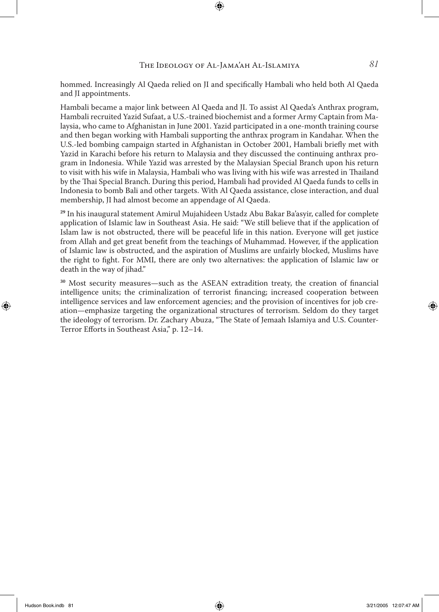hommed. Increasingly Al Qaeda relied on JI and specifically Hambali who held both Al Qaeda and JI appointments.

⊕

Hambali became a major link between Al Qaeda and JI. To assist Al Qaeda's Anthrax program, Hambali recruited Yazid Sufaat, a U.S.-trained biochemist and a former Army Captain from Malaysia, who came to Afghanistan in June 2001. Yazid participated in a one-month training course and then began working with Hambali supporting the anthrax program in Kandahar. When the U.S.-led bombing campaign started in Afghanistan in October 2001, Hambali briefly met with Yazid in Karachi before his return to Malaysia and they discussed the continuing anthrax program in Indonesia. While Yazid was arrested by the Malaysian Special Branch upon his return to visit with his wife in Malaysia, Hambali who was living with his wife was arrested in Thailand by the Thai Special Branch. During this period, Hambali had provided Al Qaeda funds to cells in Indonesia to bomb Bali and other targets. With Al Qaeda assistance, close interaction, and dual membership, JI had almost become an appendage of Al Qaeda.

**<sup>29</sup>** In his inaugural statement Amirul Mujahideen Ustadz Abu Bakar Ba'asyir, called for complete application of Islamic law in Southeast Asia. He said: "We still believe that if the application of Islam law is not obstructed, there will be peaceful life in this nation. Everyone will get justice from Allah and get great benefit from the teachings of Muhammad. However, if the application of Islamic law is obstructed, and the aspiration of Muslims are unfairly blocked, Muslims have the right to fight. For MMI, there are only two alternatives: the application of Islamic law or death in the way of jihad."

**<sup>30</sup>** Most security measures—such as the ASEAN extradition treaty, the creation of financial intelligence units; the criminalization of terrorist financing; increased cooperation between intelligence services and law enforcement agencies; and the provision of incentives for job creation—emphasize targeting the organizational structures of terrorism. Seldom do they target the ideology of terrorism. Dr. Zachary Abuza, "The State of Jemaah Islamiya and U.S. Counter-Terror Efforts in Southeast Asia," p. 12–14.

⊕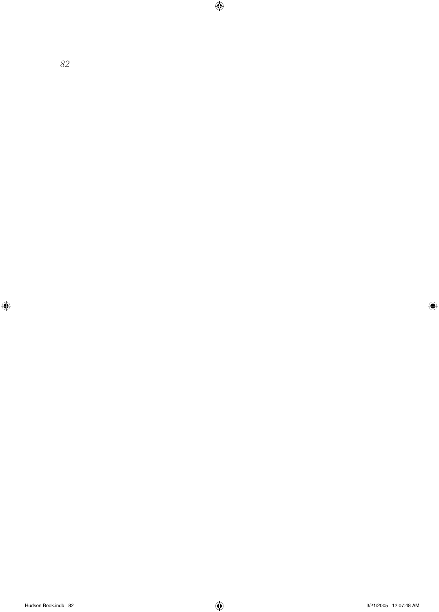

 $\bigoplus$ 

 $\bigoplus$ 

 $\bigoplus$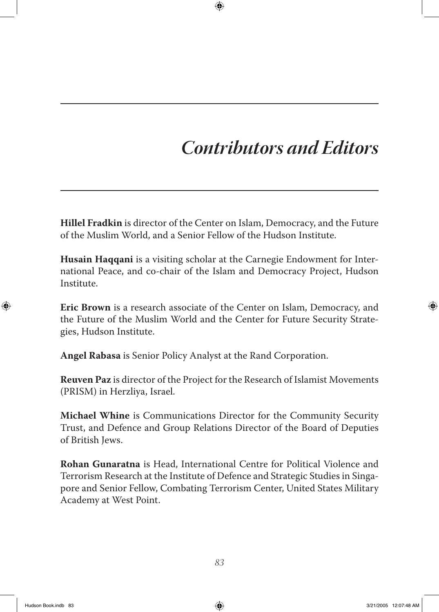# *Contributors and Editors*

**Hillel Fradkin** is director of the Center on Islam, Democracy, and the Future of the Muslim World, and a Senior Fellow of the Hudson Institute.

⊕

**Husain Haqqani** is a visiting scholar at the Carnegie Endowment for International Peace, and co-chair of the Islam and Democracy Project, Hudson Institute.

**Eric Brown** is a research associate of the Center on Islam, Democracy, and the Future of the Muslim World and the Center for Future Security Strategies, Hudson Institute.

**Angel Rabasa** is Senior Policy Analyst at the Rand Corporation.

**Reuven Paz** is director of the Project for the Research of Islamist Movements (PRISM) in Herzliya, Israel.

**Michael Whine** is Communications Director for the Community Security Trust, and Defence and Group Relations Director of the Board of Deputies of British Jews.

**Rohan Gunaratna** is Head, International Centre for Political Violence and Terrorism Research at the Institute of Defence and Strategic Studies in Singapore and Senior Fellow, Combating Terrorism Center, United States Military Academy at West Point.

⊕